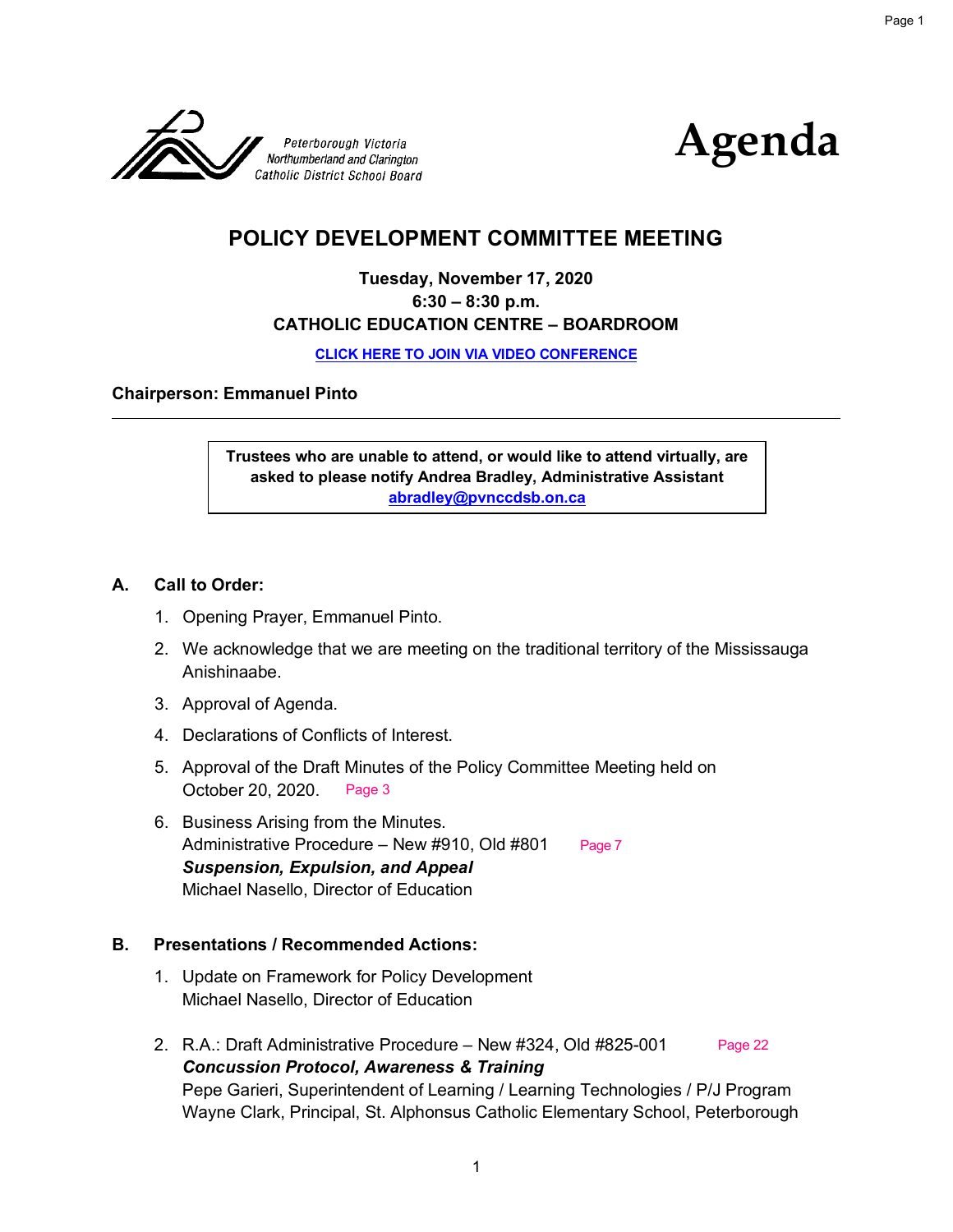



## **POLICY DEVELOPMENT COMMITTEE MEETING**

## **Tuesday, November 17, 2020 6:30 – 8:30 p.m. CATHOLIC EDUCATION CENTRE – BOARDROOM**

**CLICK HERE TO [JOIN VIA VIDEO CONFERENCE](meet.google.com/nbw-btif-yhm)**

**Chairperson: Emmanuel Pinto**

**Trustees who are unable to attend, or would like to attend virtually, are asked to please notify Andrea Bradley, Administrative Assistant abradley@pvnccdsb.on.ca** 

### **A. Call to Order:**

- 1. Opening Prayer, Emmanuel Pinto.
- 2. We acknowledge that we are meeting on the traditional territory of the Mississauga Anishinaabe.
- 3. Approval of Agenda.
- 4. Declarations of Conflicts of Interest.
- 5. Approval of the Draft Minutes of the Policy Committee Meeting held on October 20, 2020. Page 3
- 6. Business Arising from the Minutes. Administrative Procedure – New #910, Old #801 *Suspension, Expulsion, and Appeal* Michael Nasello, Director of Education Page 7

#### **B. Presentations / Recommended Actions:**

- 1. Update on Framework for Policy Development Michael Nasello, Director of Education
- 2. R.A.: Draft Administrative Procedure New #324, Old #825-001 *Concussion Protocol, Awareness & Training* Pepe Garieri, Superintendent of Learning / Learning Technologies / P/J Program Wayne Clark, Principal, St. Alphonsus Catholic Elementary School, Peterborough Page 22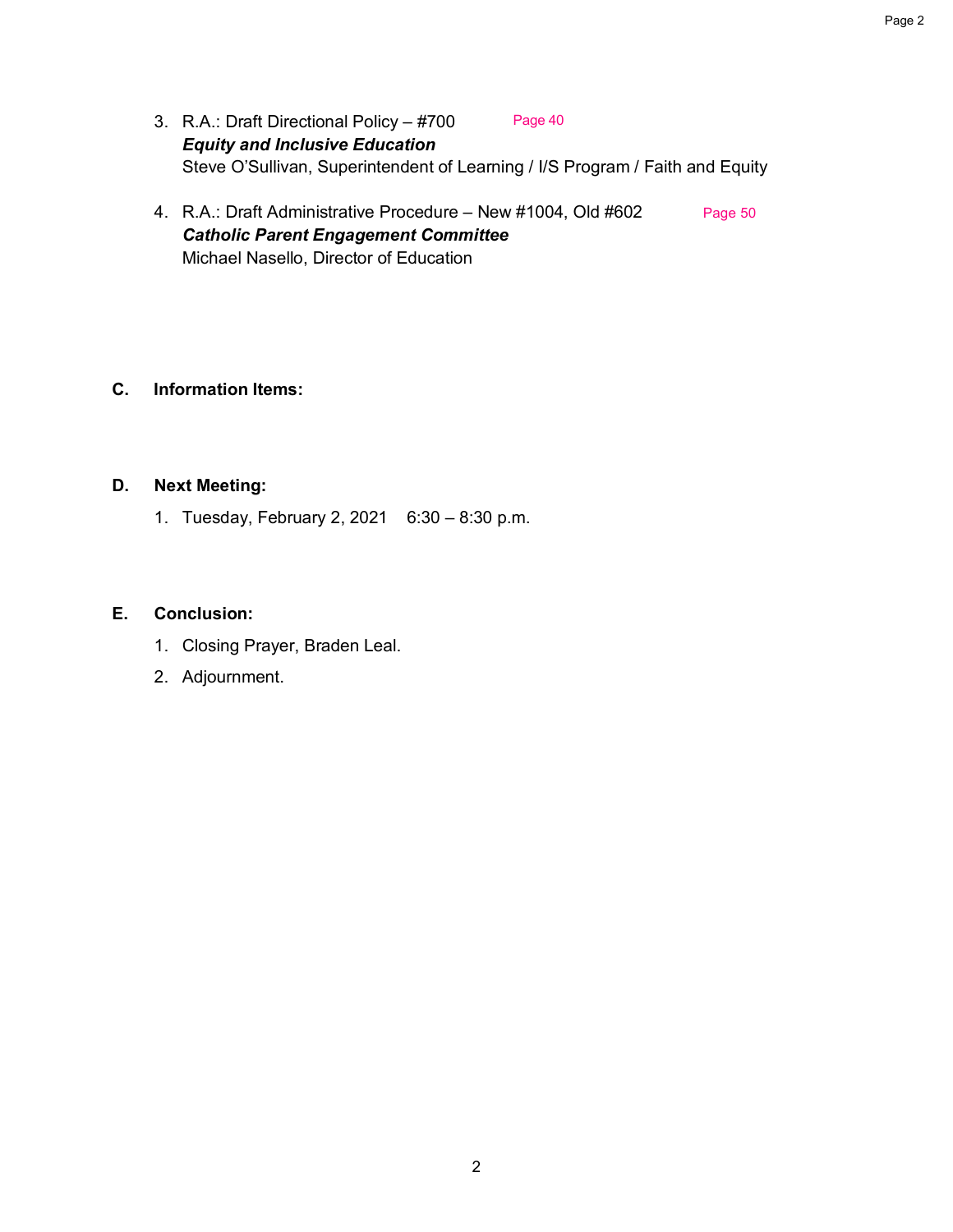- 3. R.A.: Draft Directional Policy #700 *Equity and Inclusive Education* Steve O'Sullivan, Superintendent of Learning / I/S Program / Faith and Equity Page 40
- 4. R.A.: Draft Administrative Procedure New #1004, Old #602 *Catholic Parent Engagement Committee* Michael Nasello, Director of Education Page 50

## **C. Information Items:**

#### **D. Next Meeting:**

1. Tuesday, February 2, 2021 6:30 – 8:30 p.m.

#### **E. Conclusion:**

- 1. Closing Prayer, Braden Leal.
- 2. Adjournment.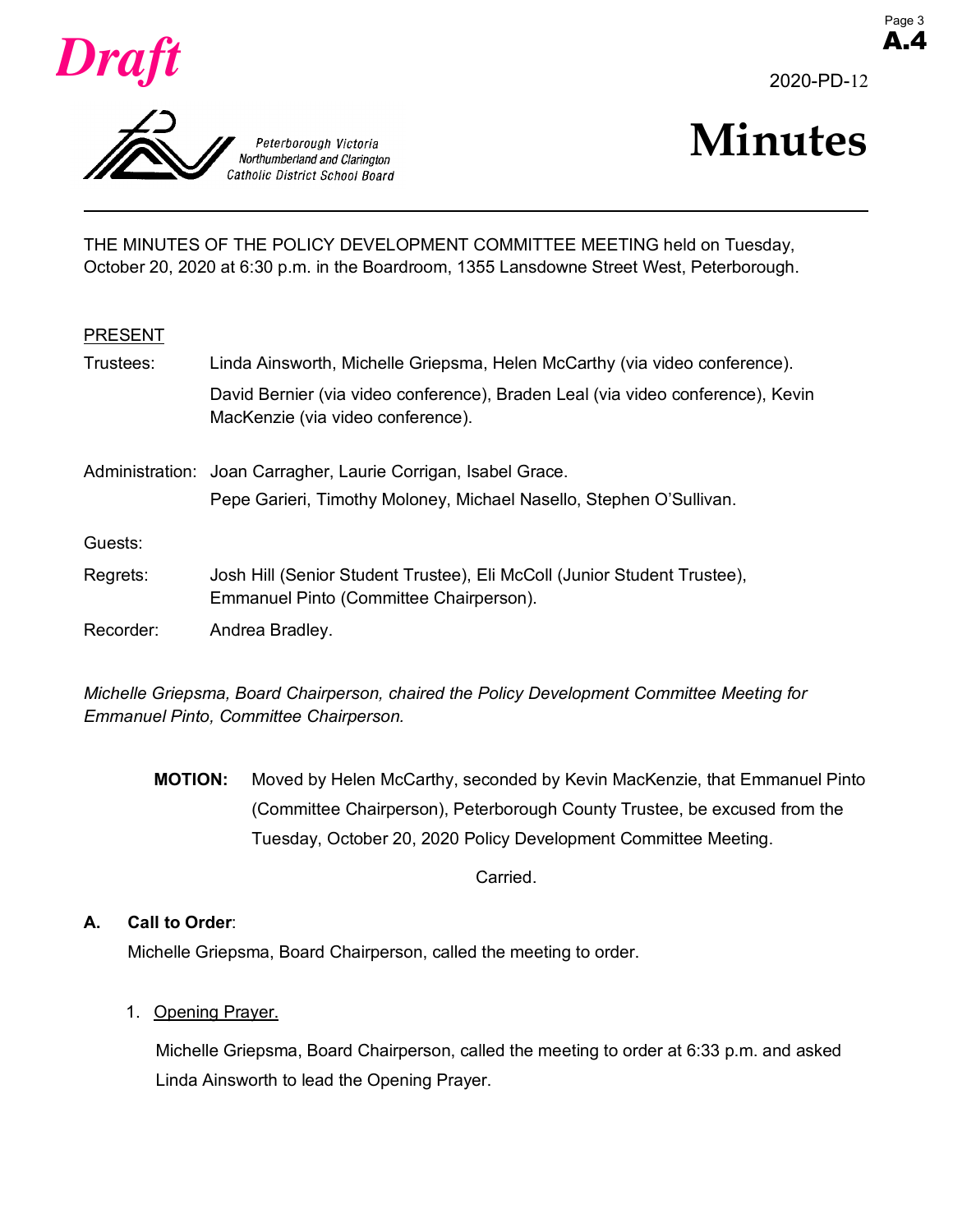





THE MINUTES OF THE POLICY DEVELOPMENT COMMITTEE MEETING held on Tuesday, October 20, 2020 at 6:30 p.m. in the Boardroom, 1355 Lansdowne Street West, Peterborough.

#### PRESENT

| Trustees: | Linda Ainsworth, Michelle Griepsma, Helen McCarthy (via video conference).                                           |  |
|-----------|----------------------------------------------------------------------------------------------------------------------|--|
|           | David Bernier (via video conference), Braden Leal (via video conference), Kevin<br>MacKenzie (via video conference). |  |
|           | Administration: Joan Carragher, Laurie Corrigan, Isabel Grace.                                                       |  |
|           | Pepe Garieri, Timothy Moloney, Michael Nasello, Stephen O'Sullivan.                                                  |  |
| Guests:   |                                                                                                                      |  |
| Regrets:  | Josh Hill (Senior Student Trustee), Eli McColl (Junior Student Trustee),<br>Emmanuel Pinto (Committee Chairperson).  |  |
| Recorder: | Andrea Bradley.                                                                                                      |  |

*Michelle Griepsma, Board Chairperson, chaired the Policy Development Committee Meeting for Emmanuel Pinto, Committee Chairperson.* 

**MOTION:** Moved by Helen McCarthy, seconded by Kevin MacKenzie, that Emmanuel Pinto (Committee Chairperson), Peterborough County Trustee, be excused from the Tuesday, October 20, 2020 Policy Development Committee Meeting.

Carried.

#### **A. Call to Order**:

Michelle Griepsma, Board Chairperson, called the meeting to order.

1. Opening Prayer.

Michelle Griepsma, Board Chairperson, called the meeting to order at 6:33 p.m. and asked Linda Ainsworth to lead the Opening Prayer.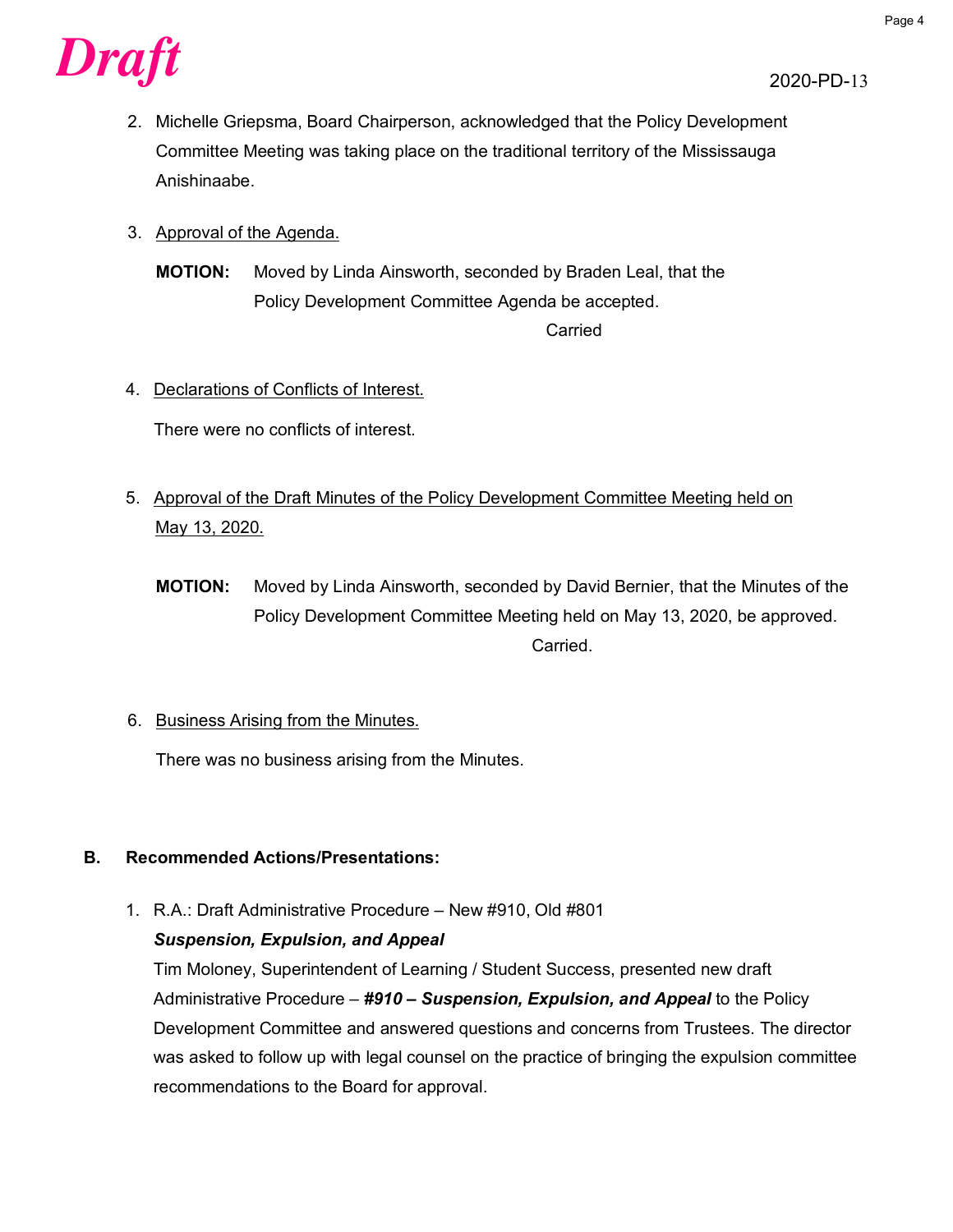

- 2. Michelle Griepsma, Board Chairperson, acknowledged that the Policy Development Committee Meeting was taking place on the traditional territory of the Mississauga Anishinaabe.
- 3. Approval of the Agenda.

**MOTION:** Moved by Linda Ainsworth, seconded by Braden Leal, that the Policy Development Committee Agenda be accepted. Carried

### 4. Declarations of Conflicts of Interest.

There were no conflicts of interest.

- 5. Approval of the Draft Minutes of the Policy Development Committee Meeting held on May 13, 2020.
	- **MOTION:** Moved by Linda Ainsworth, seconded by David Bernier, that the Minutes of the Policy Development Committee Meeting held on May 13, 2020, be approved. **Carried**
- 6. Business Arising from the Minutes.

There was no business arising from the Minutes.

#### **B. Recommended Actions/Presentations:**

1. R.A.: Draft Administrative Procedure – New #910, Old #801

#### *Suspension, Expulsion, and Appeal*

Tim Moloney, Superintendent of Learning / Student Success, presented new draft Administrative Procedure – *#910 – Suspension, Expulsion, and Appeal* to the Policy Development Committee and answered questions and concerns from Trustees. The director was asked to follow up with legal counsel on the practice of bringing the expulsion committee recommendations to the Board for approval.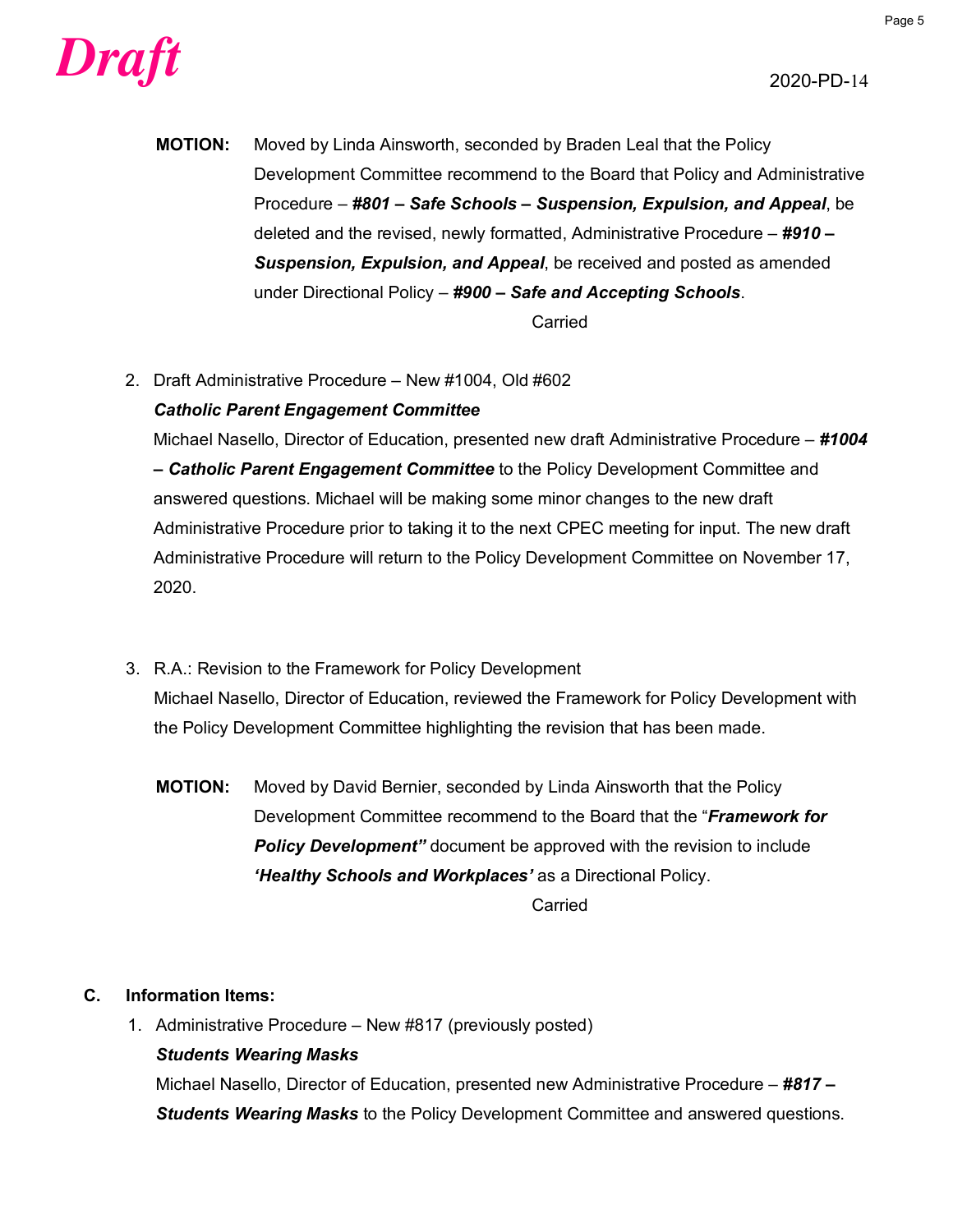

**MOTION:** Moved by Linda Ainsworth, seconded by Braden Leal that the Policy Development Committee recommend to the Board that Policy and Administrative Procedure – *#801 – Safe Schools – Suspension, Expulsion, and Appeal*, be deleted and the revised, newly formatted, Administrative Procedure – *#910 – Suspension, Expulsion, and Appeal*, be received and posted as amended under Directional Policy – *#900 – Safe and Accepting Schools*. Carried

2. Draft Administrative Procedure – New #1004, Old #602

## *Catholic Parent Engagement Committee*

Michael Nasello, Director of Education, presented new draft Administrative Procedure – *#1004 – Catholic Parent Engagement Committee* to the Policy Development Committee and answered questions. Michael will be making some minor changes to the new draft Administrative Procedure prior to taking it to the next CPEC meeting for input. The new draft Administrative Procedure will return to the Policy Development Committee on November 17, 2020.

- 3. R.A.: Revision to the Framework for Policy Development Michael Nasello, Director of Education, reviewed the Framework for Policy Development with the Policy Development Committee highlighting the revision that has been made.
	- **MOTION:** Moved by David Bernier, seconded by Linda Ainsworth that the Policy Development Committee recommend to the Board that the "*Framework for*  **Policy Development**" document be approved with the revision to include *'Healthy Schools and Workplaces'* as a Directional Policy.

Carried

## **C. Information Items:**

1. Administrative Procedure – New #817 (previously posted)

## *Students Wearing Masks*

Michael Nasello, Director of Education, presented new Administrative Procedure – *#817 – Students Wearing Masks* to the Policy Development Committee and answered questions.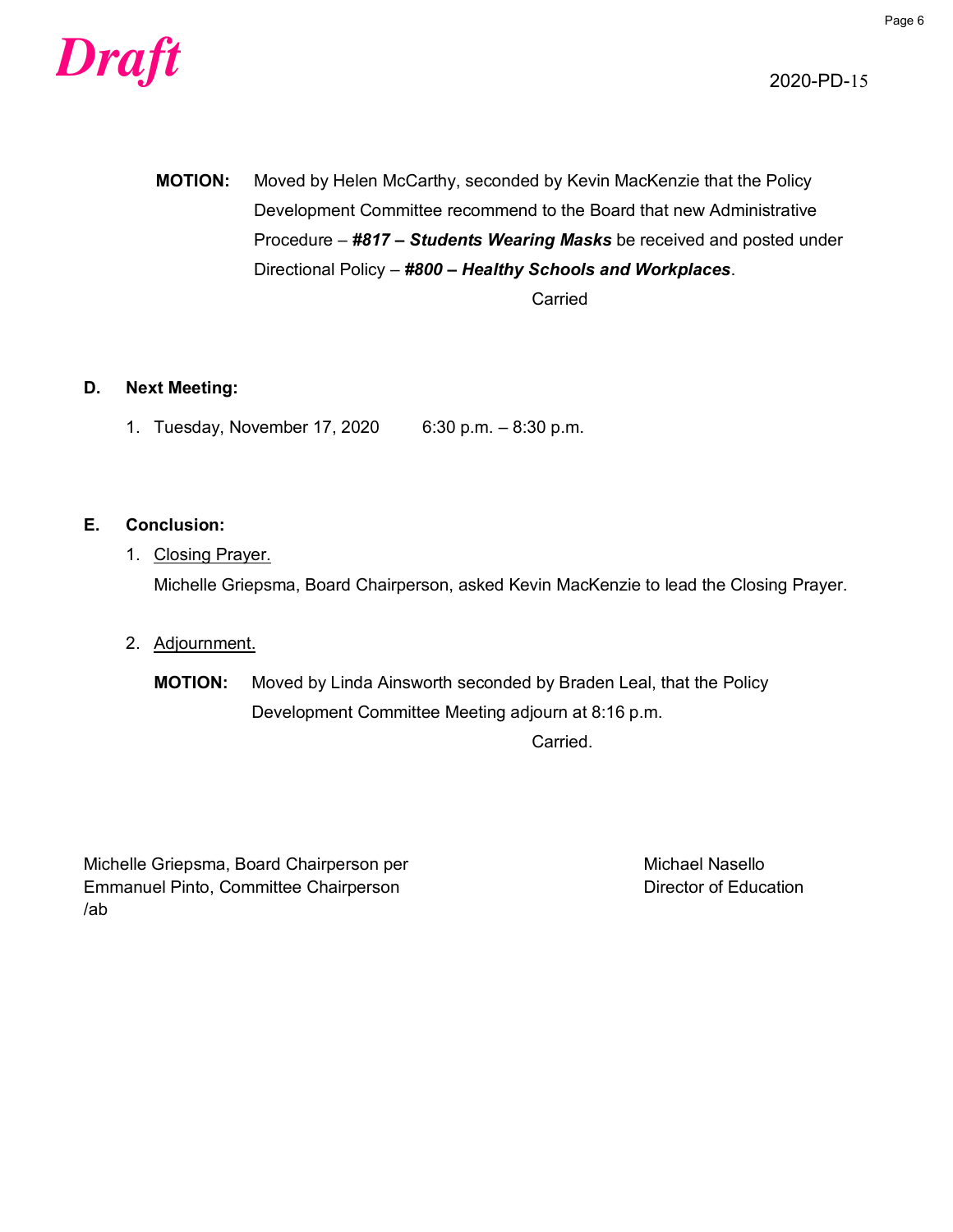

**MOTION:** Moved by Helen McCarthy, seconded by Kevin MacKenzie that the Policy Development Committee recommend to the Board that new Administrative Procedure – *#817 – Students Wearing Masks* be received and posted under Directional Policy – *#800 – Healthy Schools and Workplaces*.

Carried

#### **D. Next Meeting:**

1. Tuesday, November 17, 2020 6:30 p.m. – 8:30 p.m.

#### **E. Conclusion:**

- 1. Closing Prayer. Michelle Griepsma, Board Chairperson, asked Kevin MacKenzie to lead the Closing Prayer.
- 2. Adjournment.

**MOTION:** Moved by Linda Ainsworth seconded by Braden Leal, that the Policy Development Committee Meeting adjourn at 8:16 p.m.

Carried.

Michelle Griepsma, Board Chairperson per Michael Nasello Emmanuel Pinto, Committee Chairperson **Exercise 2018** Director of Education /ab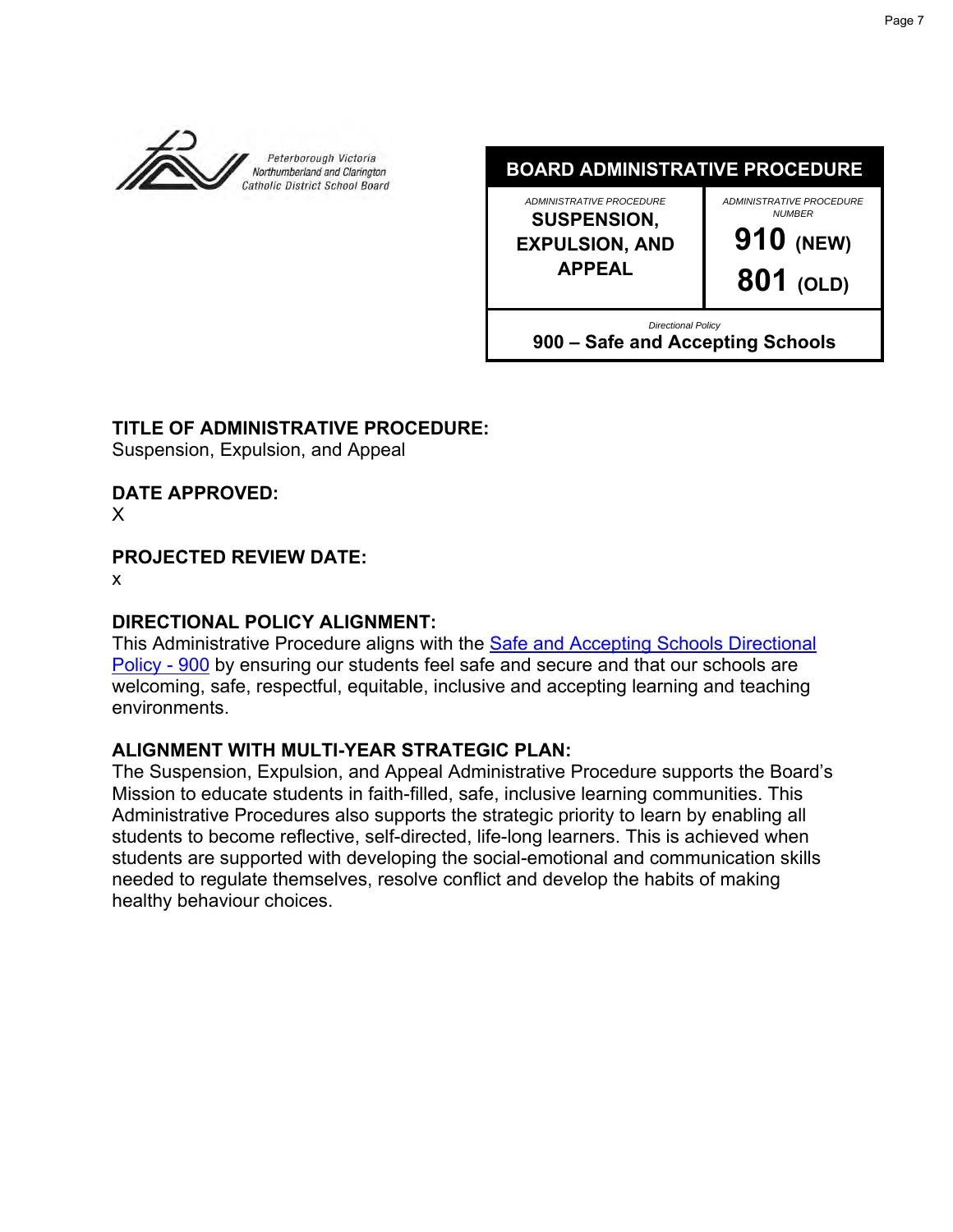

**BOARD ADMINISTRATIVE PROCEDURE**

*ADMINISTRATIVE PROCEDURE* **SUSPENSION, EXPULSION, AND APPEAL**

*ADMINISTRATIVE PROCEDURE NUMBER* **910 (NEW) 801 (OLD)**

*Directional Policy*

**900 – Safe and Accepting Schools**

## **TITLE OF ADMINISTRATIVE PROCEDURE:**

Suspension, Expulsion, and Appeal

**DATE APPROVED:**

X

## **PROJECTED REVIEW DATE:**

x

## **DIRECTIONAL POLICY ALIGNMENT:**

This Administrative Procedure aligns with the [Safe and Accepting Schools Directional](https://www.pvnccdsb.on.ca/wp-content/uploads/2018/07/900-Safe-and-Accepting-Schools.pdf)  [Policy -](https://www.pvnccdsb.on.ca/wp-content/uploads/2018/07/900-Safe-and-Accepting-Schools.pdf) 900 by ensuring our students feel safe and secure and that our schools are welcoming, safe, respectful, equitable, inclusive and accepting learning and teaching environments.

## **ALIGNMENT WITH MULTI-YEAR STRATEGIC PLAN:**

The Suspension, Expulsion, and Appeal Administrative Procedure supports the Board's Mission to educate students in faith-filled, safe, inclusive learning communities. This Administrative Procedures also supports the strategic priority to learn by enabling all students to become reflective, self-directed, life-long learners. This is achieved when students are supported with developing the social-emotional and communication skills needed to regulate themselves, resolve conflict and develop the habits of making healthy behaviour choices.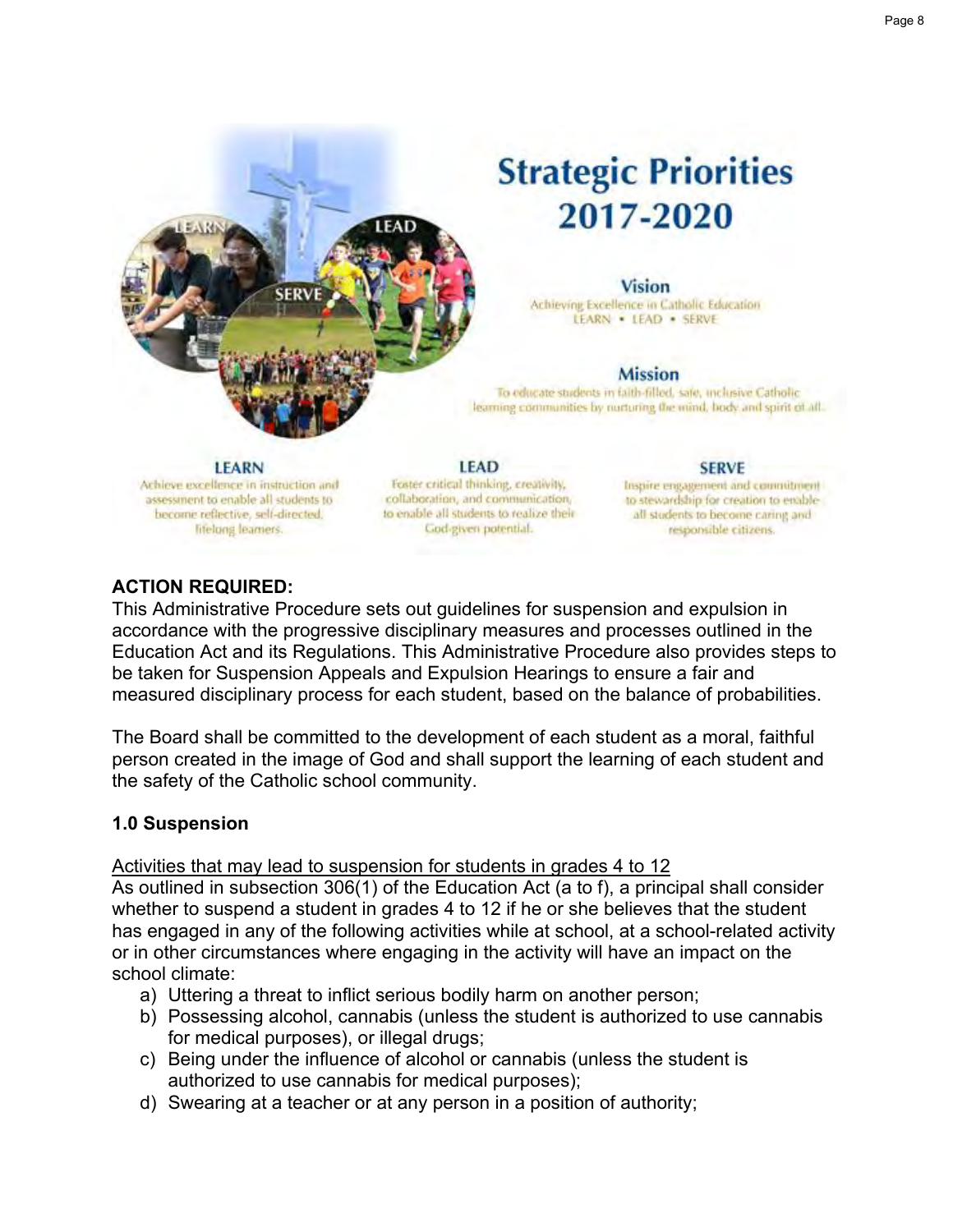

#### **Vision**

Achieving Excellence in Catholic Education LEARN . LEAD . SERVE

#### **Mission**

To educate students in faith-filled, sale, inclusive Catholic learning communities by nurturing the mind, body and spirit of all.

#### **LEARN**

Achieve excellence in instruction and assessment to enable all students to become reflective, self-directed, lifelong learners.

**LEAD** Foster critical thinking, creativity, collaboration, and communication, to enable all students to realize their God-given potential.

#### **SERVE**

Inspire engagement and commitment to stewardship for creation to enableall students to become caring and responsible citizens.

## **ACTION REQUIRED:**

This Administrative Procedure sets out guidelines for suspension and expulsion in accordance with the progressive disciplinary measures and processes outlined in the Education Act and its Regulations. This Administrative Procedure also provides steps to be taken for Suspension Appeals and Expulsion Hearings to ensure a fair and measured disciplinary process for each student, based on the balance of probabilities.

The Board shall be committed to the development of each student as a moral, faithful person created in the image of God and shall support the learning of each student and the safety of the Catholic school community.

#### **1.0 Suspension**

#### Activities that may lead to suspension for students in grades 4 to 12

As outlined in subsection 306(1) of the Education Act (a to f), a principal shall consider whether to suspend a student in grades 4 to 12 if he or she believes that the student has engaged in any of the following activities while at school, at a school-related activity or in other circumstances where engaging in the activity will have an impact on the school climate:

- a) Uttering a threat to inflict serious bodily harm on another person;
- b) Possessing alcohol, cannabis (unless the student is authorized to use cannabis for medical purposes), or illegal drugs;
- c) Being under the influence of alcohol or cannabis (unless the student is authorized to use cannabis for medical purposes);
- d) Swearing at a teacher or at any person in a position of authority;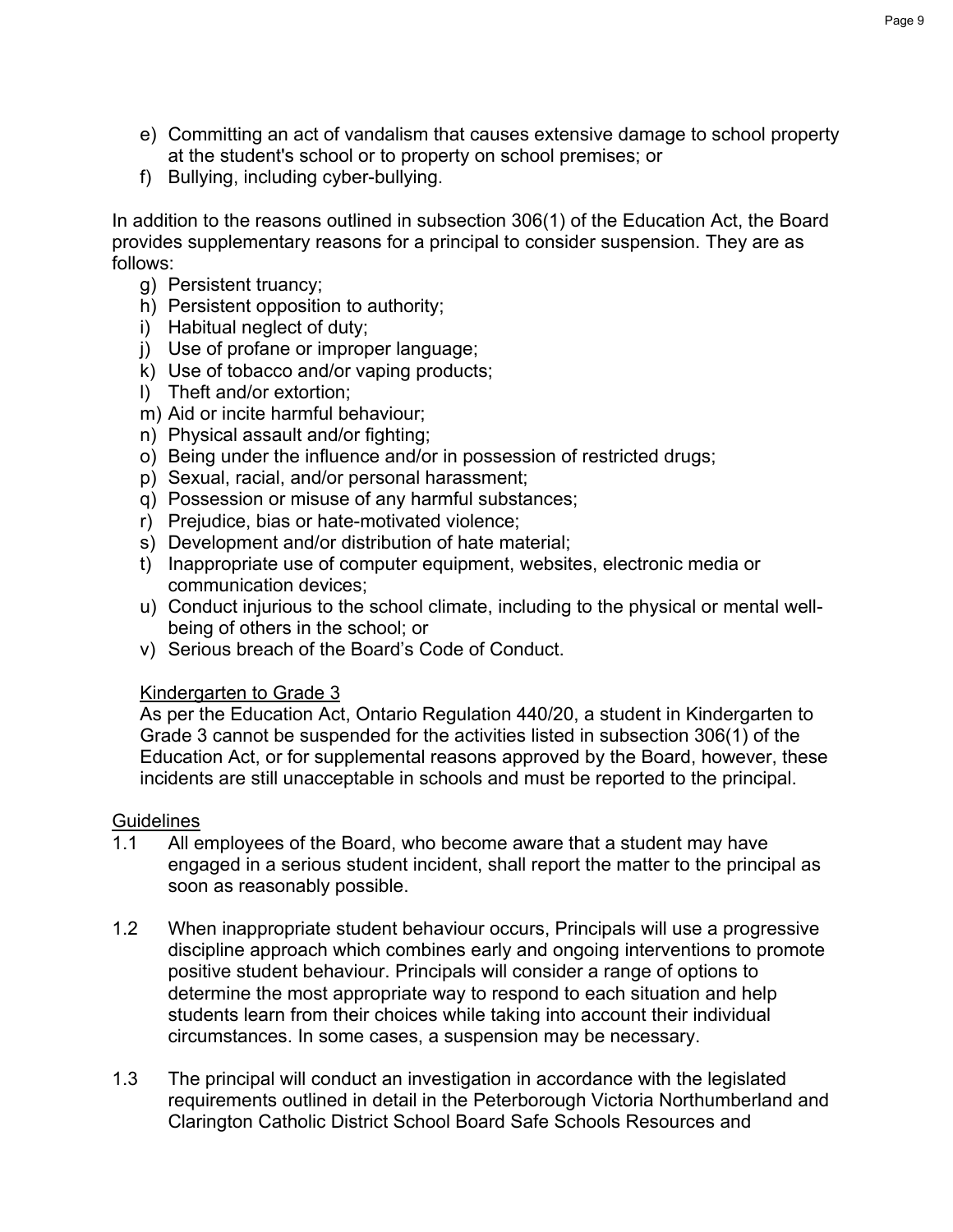- e) Committing an act of vandalism that causes extensive damage to school property at the student's school or to property on school premises; or
- f) Bullying, including cyber-bullying.

In addition to the reasons outlined in subsection 306(1) of the Education Act, the Board provides supplementary reasons for a principal to consider suspension. They are as follows:

- g) Persistent truancy;
- h) Persistent opposition to authority;
- i) Habitual neglect of duty;
- j) Use of profane or improper language;
- k) Use of tobacco and/or vaping products;
- l) Theft and/or extortion;
- m) Aid or incite harmful behaviour;
- n) Physical assault and/or fighting;
- o) Being under the influence and/or in possession of restricted drugs;
- p) Sexual, racial, and/or personal harassment;
- q) Possession or misuse of any harmful substances;
- r) Prejudice, bias or hate-motivated violence;
- s) Development and/or distribution of hate material;
- t) Inappropriate use of computer equipment, websites, electronic media or communication devices;
- u) Conduct injurious to the school climate, including to the physical or mental wellbeing of others in the school; or
- v) Serious breach of the Board's Code of Conduct.

## Kindergarten to Grade 3

As per the Education Act, Ontario Regulation 440/20, a student in Kindergarten to Grade 3 cannot be suspended for the activities listed in subsection 306(1) of the Education Act, or for supplemental reasons approved by the Board, however, these incidents are still unacceptable in schools and must be reported to the principal.

## **Guidelines**

- 1.1 All employees of the Board, who become aware that a student may have engaged in a serious student incident, shall report the matter to the principal as soon as reasonably possible.
- 1.2 When inappropriate student behaviour occurs, Principals will use a progressive discipline approach which combines early and ongoing interventions to promote positive student behaviour. Principals will consider a range of options to determine the most appropriate way to respond to each situation and help students learn from their choices while taking into account their individual circumstances. In some cases, a suspension may be necessary.
- 1.3 The principal will conduct an investigation in accordance with the legislated requirements outlined in detail in the Peterborough Victoria Northumberland and Clarington Catholic District School Board Safe Schools Resources and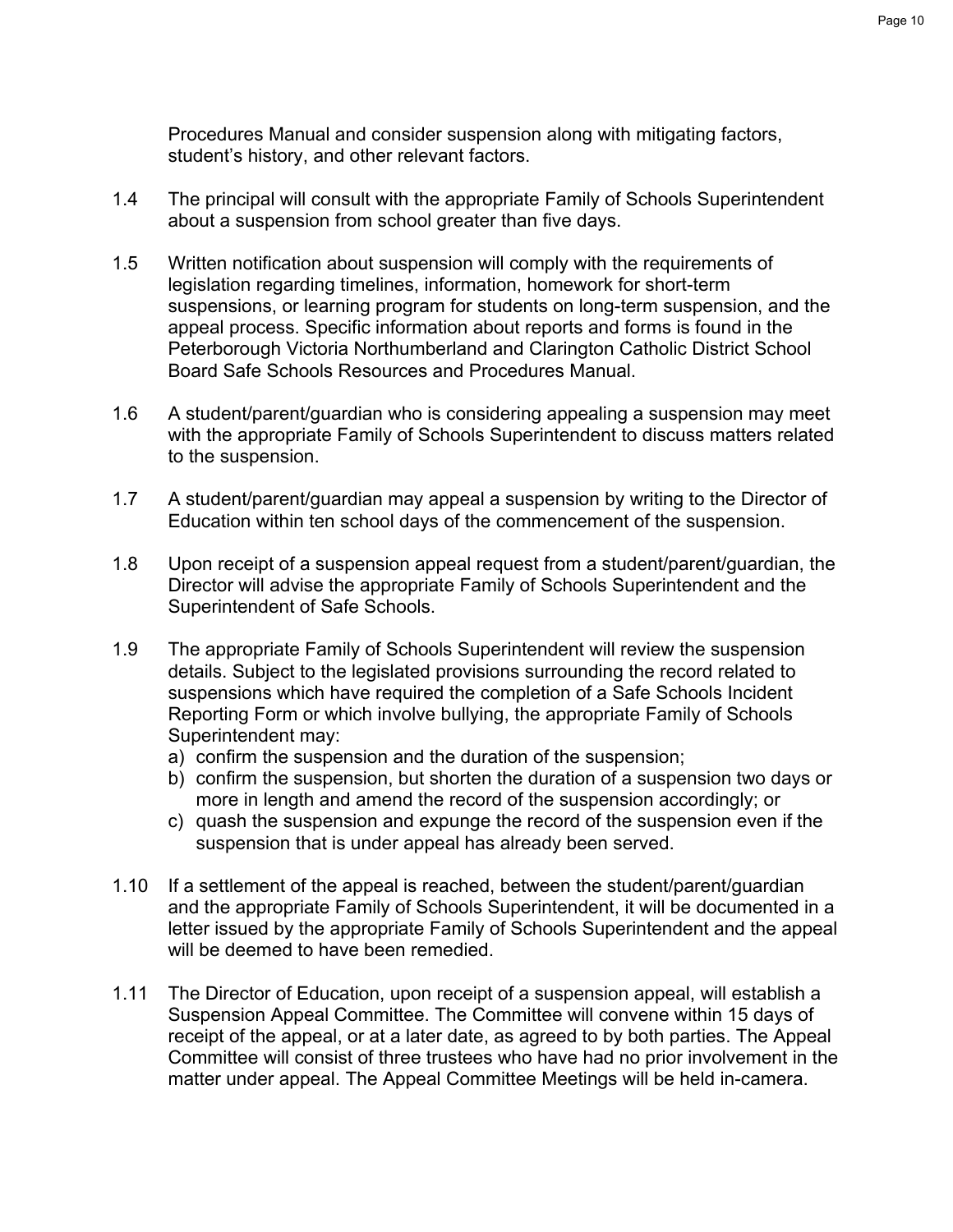Procedures Manual and consider suspension along with mitigating factors, student's history, and other relevant factors.

- 1.4 The principal will consult with the appropriate Family of Schools Superintendent about a suspension from school greater than five days.
- 1.5 Written notification about suspension will comply with the requirements of legislation regarding timelines, information, homework for short-term suspensions, or learning program for students on long-term suspension, and the appeal process. Specific information about reports and forms is found in the Peterborough Victoria Northumberland and Clarington Catholic District School Board Safe Schools Resources and Procedures Manual.
- 1.6 A student/parent/guardian who is considering appealing a suspension may meet with the appropriate Family of Schools Superintendent to discuss matters related to the suspension.
- 1.7 A student/parent/guardian may appeal a suspension by writing to the Director of Education within ten school days of the commencement of the suspension.
- 1.8 Upon receipt of a suspension appeal request from a student/parent/guardian, the Director will advise the appropriate Family of Schools Superintendent and the Superintendent of Safe Schools.
- 1.9 The appropriate Family of Schools Superintendent will review the suspension details. Subject to the legislated provisions surrounding the record related to suspensions which have required the completion of a Safe Schools Incident Reporting Form or which involve bullying, the appropriate Family of Schools Superintendent may:
	- a) confirm the suspension and the duration of the suspension;
	- b) confirm the suspension, but shorten the duration of a suspension two days or more in length and amend the record of the suspension accordingly; or
	- c) quash the suspension and expunge the record of the suspension even if the suspension that is under appeal has already been served.
- 1.10 If a settlement of the appeal is reached, between the student/parent/guardian and the appropriate Family of Schools Superintendent, it will be documented in a letter issued by the appropriate Family of Schools Superintendent and the appeal will be deemed to have been remedied.
- 1.11 The Director of Education, upon receipt of a suspension appeal, will establish a Suspension Appeal Committee. The Committee will convene within 15 days of receipt of the appeal, or at a later date, as agreed to by both parties. The Appeal Committee will consist of three trustees who have had no prior involvement in the matter under appeal. The Appeal Committee Meetings will be held in-camera.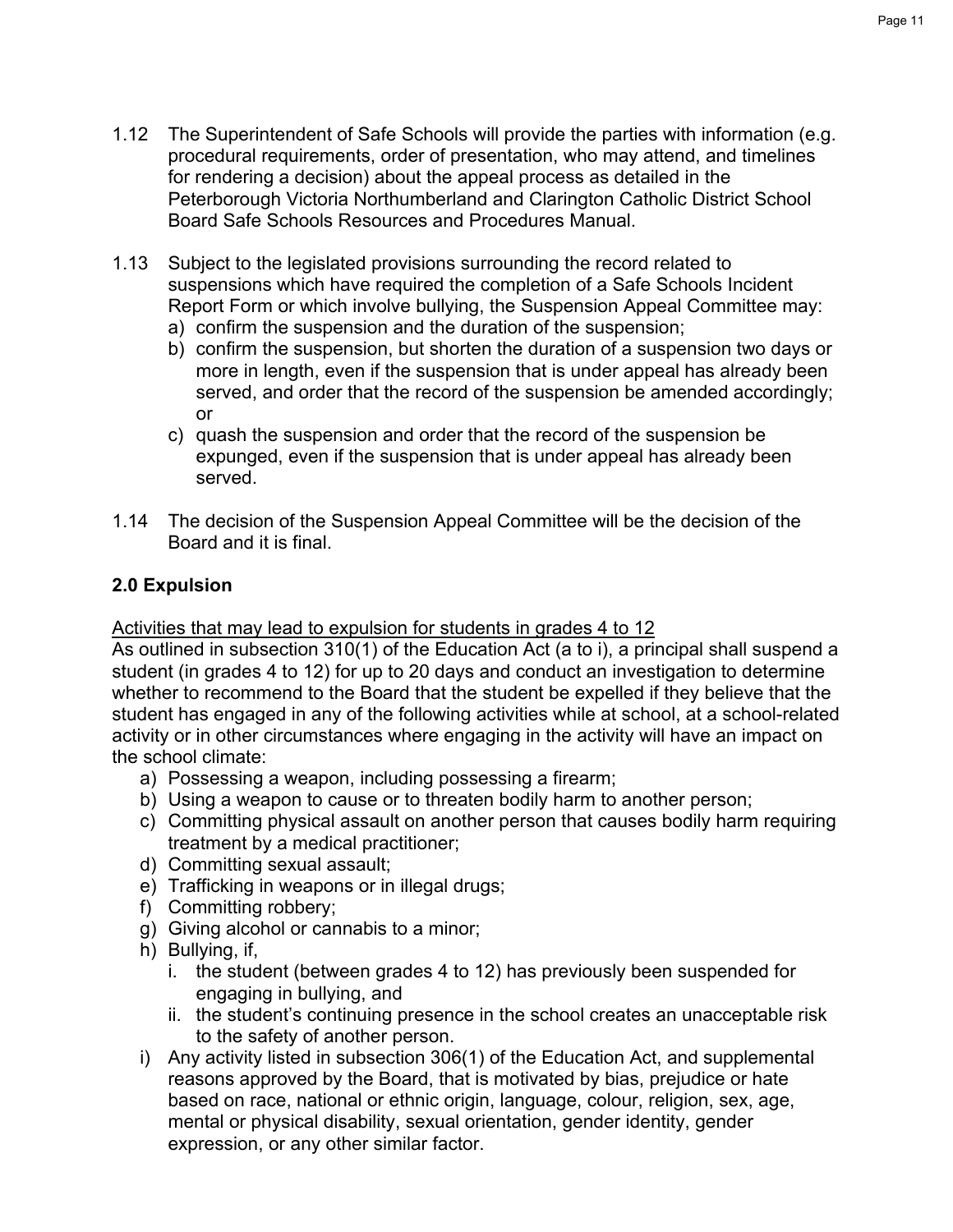- 1.12 The Superintendent of Safe Schools will provide the parties with information (e.g. procedural requirements, order of presentation, who may attend, and timelines for rendering a decision) about the appeal process as detailed in the Peterborough Victoria Northumberland and Clarington Catholic District School Board Safe Schools Resources and Procedures Manual.
- 1.13 Subject to the legislated provisions surrounding the record related to suspensions which have required the completion of a Safe Schools Incident Report Form or which involve bullying, the Suspension Appeal Committee may: a) confirm the suspension and the duration of the suspension;
	- b) confirm the suspension, but shorten the duration of a suspension two days or more in length, even if the suspension that is under appeal has already been served, and order that the record of the suspension be amended accordingly; or
	- c) quash the suspension and order that the record of the suspension be expunged, even if the suspension that is under appeal has already been served.
- 1.14 The decision of the Suspension Appeal Committee will be the decision of the Board and it is final.

## **2.0 Expulsion**

## Activities that may lead to expulsion for students in grades 4 to 12

As outlined in subsection 310(1) of the Education Act (a to i), a principal shall suspend a student (in grades 4 to 12) for up to 20 days and conduct an investigation to determine whether to recommend to the Board that the student be expelled if they believe that the student has engaged in any of the following activities while at school, at a school-related activity or in other circumstances where engaging in the activity will have an impact on the school climate:

- a) Possessing a weapon, including possessing a firearm;
- b) Using a weapon to cause or to threaten bodily harm to another person;
- c) Committing physical assault on another person that causes bodily harm requiring treatment by a medical practitioner;
- d) Committing sexual assault;
- e) Trafficking in weapons or in illegal drugs;
- f) Committing robbery;
- g) Giving alcohol or cannabis to a minor;
- h) Bullying, if,
	- i. the student (between grades 4 to 12) has previously been suspended for engaging in bullying, and
	- ii. the student's continuing presence in the school creates an unacceptable risk to the safety of another person.
- i) Any activity listed in subsection 306(1) of the Education Act, and supplemental reasons approved by the Board, that is motivated by bias, prejudice or hate based on race, national or ethnic origin, language, colour, religion, sex, age, mental or physical disability, sexual orientation, gender identity, gender expression, or any other similar factor.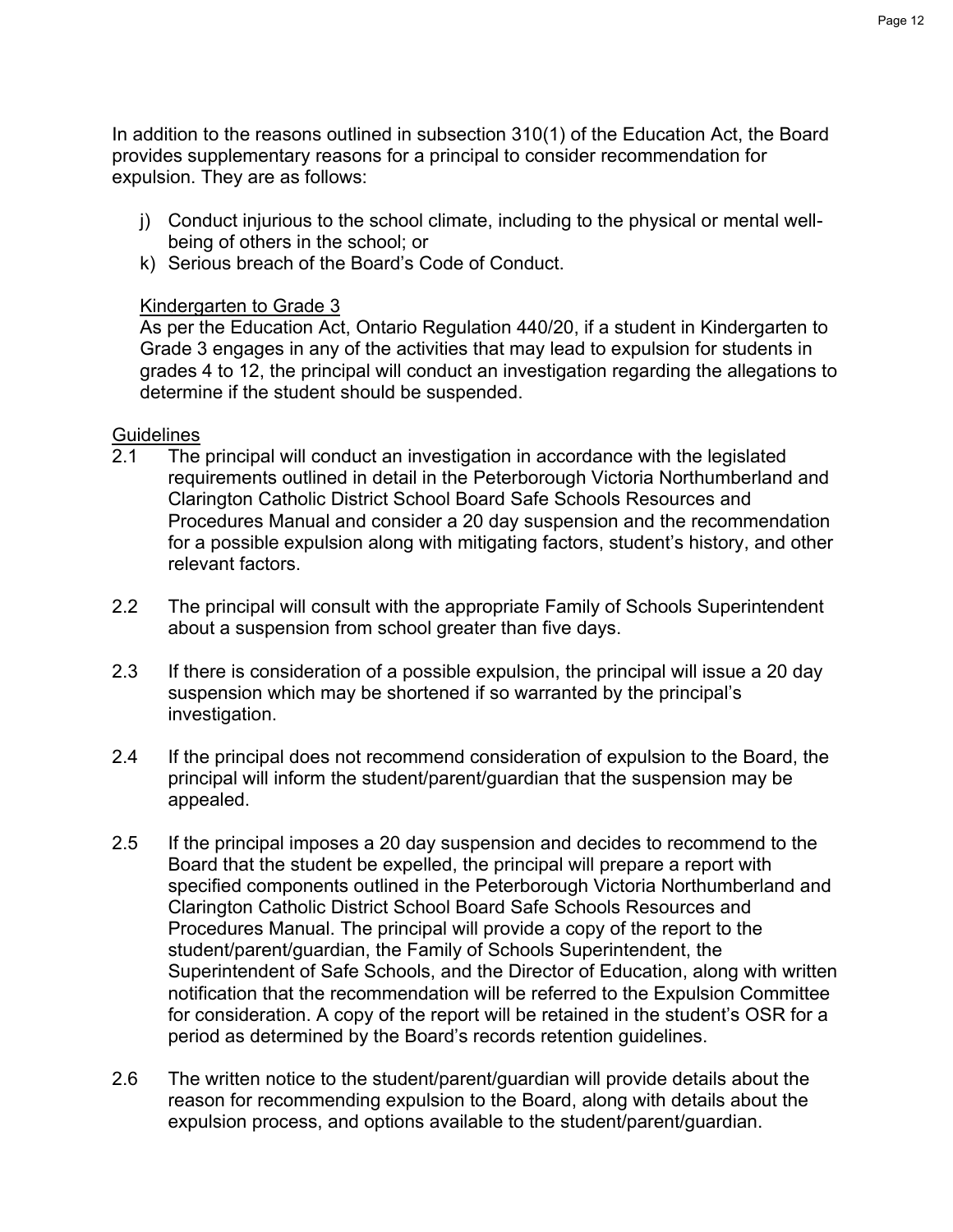In addition to the reasons outlined in subsection 310(1) of the Education Act, the Board provides supplementary reasons for a principal to consider recommendation for expulsion. They are as follows:

- j) Conduct injurious to the school climate, including to the physical or mental wellbeing of others in the school; or
- k) Serious breach of the Board's Code of Conduct.

## Kindergarten to Grade 3

As per the Education Act, Ontario Regulation 440/20, if a student in Kindergarten to Grade 3 engages in any of the activities that may lead to expulsion for students in grades 4 to 12, the principal will conduct an investigation regarding the allegations to determine if the student should be suspended.

## Guidelines<br>2.1 The

- The principal will conduct an investigation in accordance with the legislated requirements outlined in detail in the Peterborough Victoria Northumberland and Clarington Catholic District School Board Safe Schools Resources and Procedures Manual and consider a 20 day suspension and the recommendation for a possible expulsion along with mitigating factors, student's history, and other relevant factors.
- 2.2 The principal will consult with the appropriate Family of Schools Superintendent about a suspension from school greater than five days.
- 2.3 If there is consideration of a possible expulsion, the principal will issue a 20 day suspension which may be shortened if so warranted by the principal's investigation.
- 2.4 If the principal does not recommend consideration of expulsion to the Board, the principal will inform the student/parent/guardian that the suspension may be appealed.
- 2.5 If the principal imposes a 20 day suspension and decides to recommend to the Board that the student be expelled, the principal will prepare a report with specified components outlined in the Peterborough Victoria Northumberland and Clarington Catholic District School Board Safe Schools Resources and Procedures Manual. The principal will provide a copy of the report to the student/parent/guardian, the Family of Schools Superintendent, the Superintendent of Safe Schools, and the Director of Education, along with written notification that the recommendation will be referred to the Expulsion Committee for consideration. A copy of the report will be retained in the student's OSR for a period as determined by the Board's records retention guidelines.
- 2.6 The written notice to the student/parent/guardian will provide details about the reason for recommending expulsion to the Board, along with details about the expulsion process, and options available to the student/parent/guardian.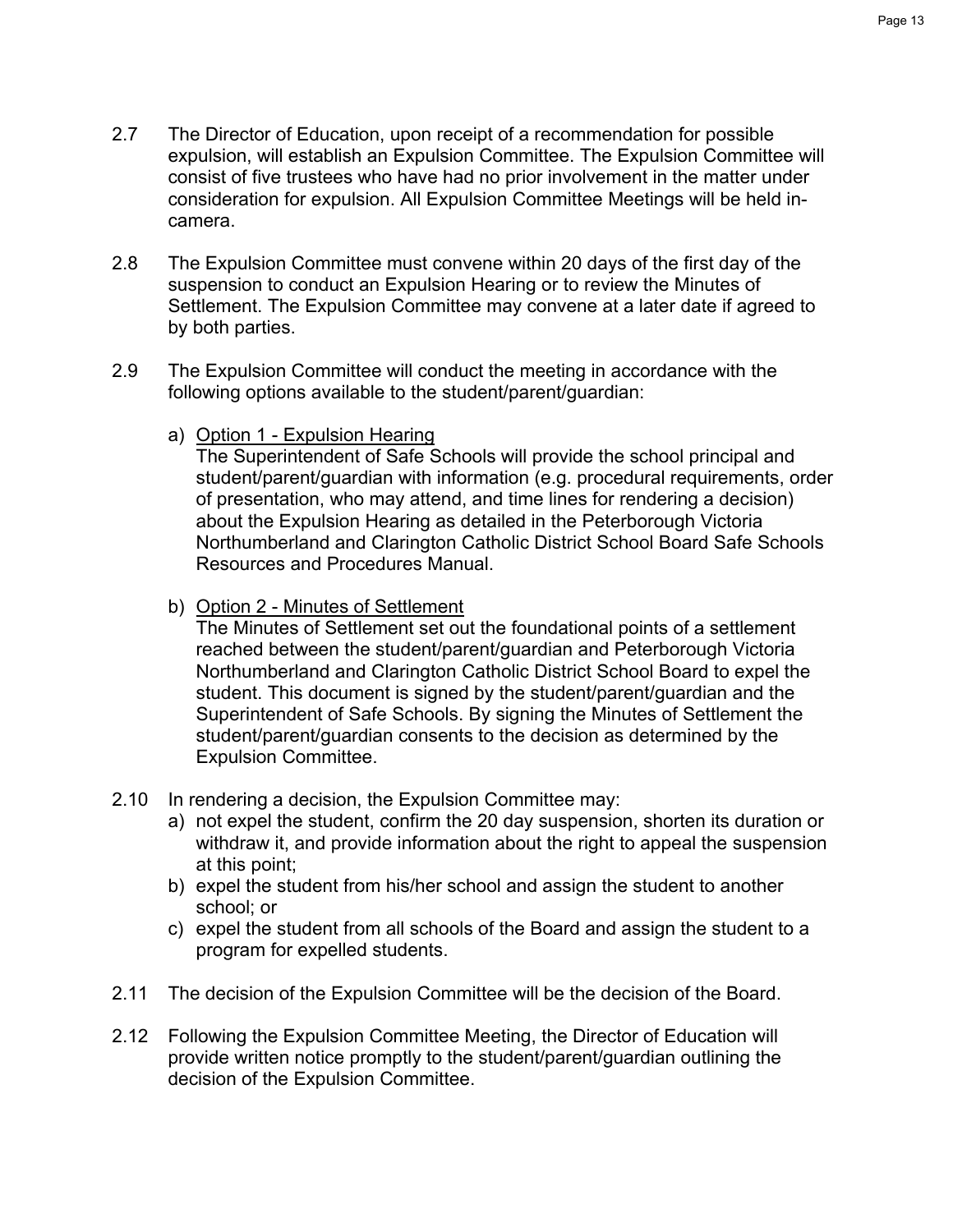- 2.7 The Director of Education, upon receipt of a recommendation for possible expulsion, will establish an Expulsion Committee. The Expulsion Committee will consist of five trustees who have had no prior involvement in the matter under consideration for expulsion. All Expulsion Committee Meetings will be held incamera.
- 2.8 The Expulsion Committee must convene within 20 days of the first day of the suspension to conduct an Expulsion Hearing or to review the Minutes of Settlement. The Expulsion Committee may convene at a later date if agreed to by both parties.
- 2.9 The Expulsion Committee will conduct the meeting in accordance with the following options available to the student/parent/guardian:
	- a) Option 1 Expulsion Hearing

The Superintendent of Safe Schools will provide the school principal and student/parent/guardian with information (e.g. procedural requirements, order of presentation, who may attend, and time lines for rendering a decision) about the Expulsion Hearing as detailed in the Peterborough Victoria Northumberland and Clarington Catholic District School Board Safe Schools Resources and Procedures Manual.

b) Option 2 - Minutes of Settlement

The Minutes of Settlement set out the foundational points of a settlement reached between the student/parent/guardian and Peterborough Victoria Northumberland and Clarington Catholic District School Board to expel the student. This document is signed by the student/parent/guardian and the Superintendent of Safe Schools. By signing the Minutes of Settlement the student/parent/guardian consents to the decision as determined by the Expulsion Committee.

- 2.10 In rendering a decision, the Expulsion Committee may:
	- a) not expel the student, confirm the 20 day suspension, shorten its duration or withdraw it, and provide information about the right to appeal the suspension at this point;
	- b) expel the student from his/her school and assign the student to another school; or
	- c) expel the student from all schools of the Board and assign the student to a program for expelled students.
- 2.11 The decision of the Expulsion Committee will be the decision of the Board.
- 2.12 Following the Expulsion Committee Meeting, the Director of Education will provide written notice promptly to the student/parent/guardian outlining the decision of the Expulsion Committee.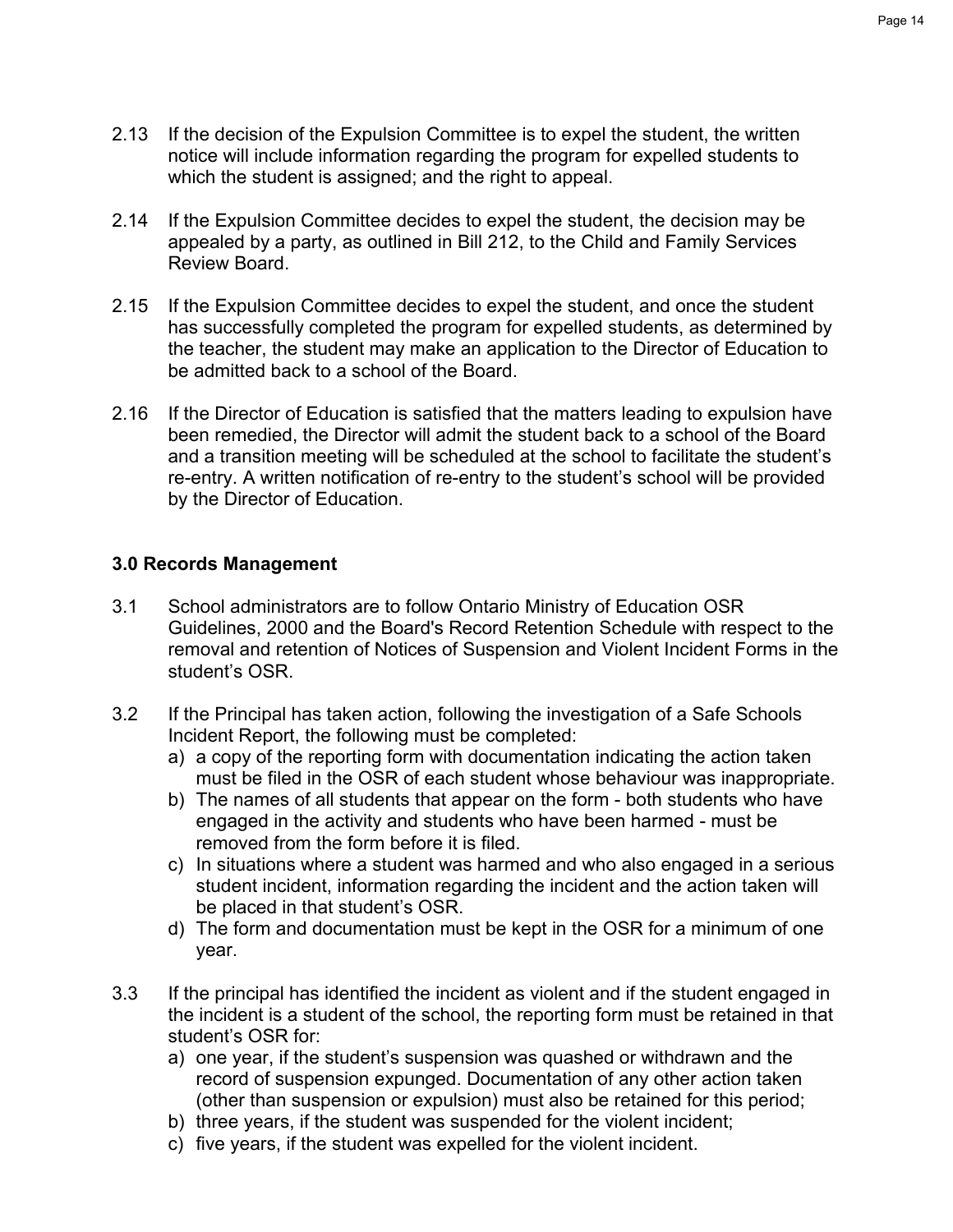- Page 14
- 2.13 If the decision of the Expulsion Committee is to expel the student, the written notice will include information regarding the program for expelled students to which the student is assigned; and the right to appeal.
- 2.14 If the Expulsion Committee decides to expel the student, the decision may be appealed by a party, as outlined in Bill 212, to the Child and Family Services Review Board.
- 2.15 If the Expulsion Committee decides to expel the student, and once the student has successfully completed the program for expelled students, as determined by the teacher, the student may make an application to the Director of Education to be admitted back to a school of the Board.
- 2.16 If the Director of Education is satisfied that the matters leading to expulsion have been remedied, the Director will admit the student back to a school of the Board and a transition meeting will be scheduled at the school to facilitate the student's re-entry. A written notification of re-entry to the student's school will be provided by the Director of Education.

## **3.0 Records Management**

- 3.1 School administrators are to follow Ontario Ministry of Education OSR Guidelines, 2000 and the Board's Record Retention Schedule with respect to the removal and retention of Notices of Suspension and Violent Incident Forms in the student's OSR.
- 3.2 If the Principal has taken action, following the investigation of a Safe Schools Incident Report, the following must be completed:
	- a) a copy of the reporting form with documentation indicating the action taken must be filed in the OSR of each student whose behaviour was inappropriate.
	- b) The names of all students that appear on the form both students who have engaged in the activity and students who have been harmed - must be removed from the form before it is filed.
	- c) In situations where a student was harmed and who also engaged in a serious student incident, information regarding the incident and the action taken will be placed in that student's OSR.
	- d) The form and documentation must be kept in the OSR for a minimum of one year.
- 3.3 If the principal has identified the incident as violent and if the student engaged in the incident is a student of the school, the reporting form must be retained in that student's OSR for:
	- a) one year, if the student's suspension was quashed or withdrawn and the record of suspension expunged. Documentation of any other action taken (other than suspension or expulsion) must also be retained for this period;
	- b) three years, if the student was suspended for the violent incident;
	- c) five years, if the student was expelled for the violent incident.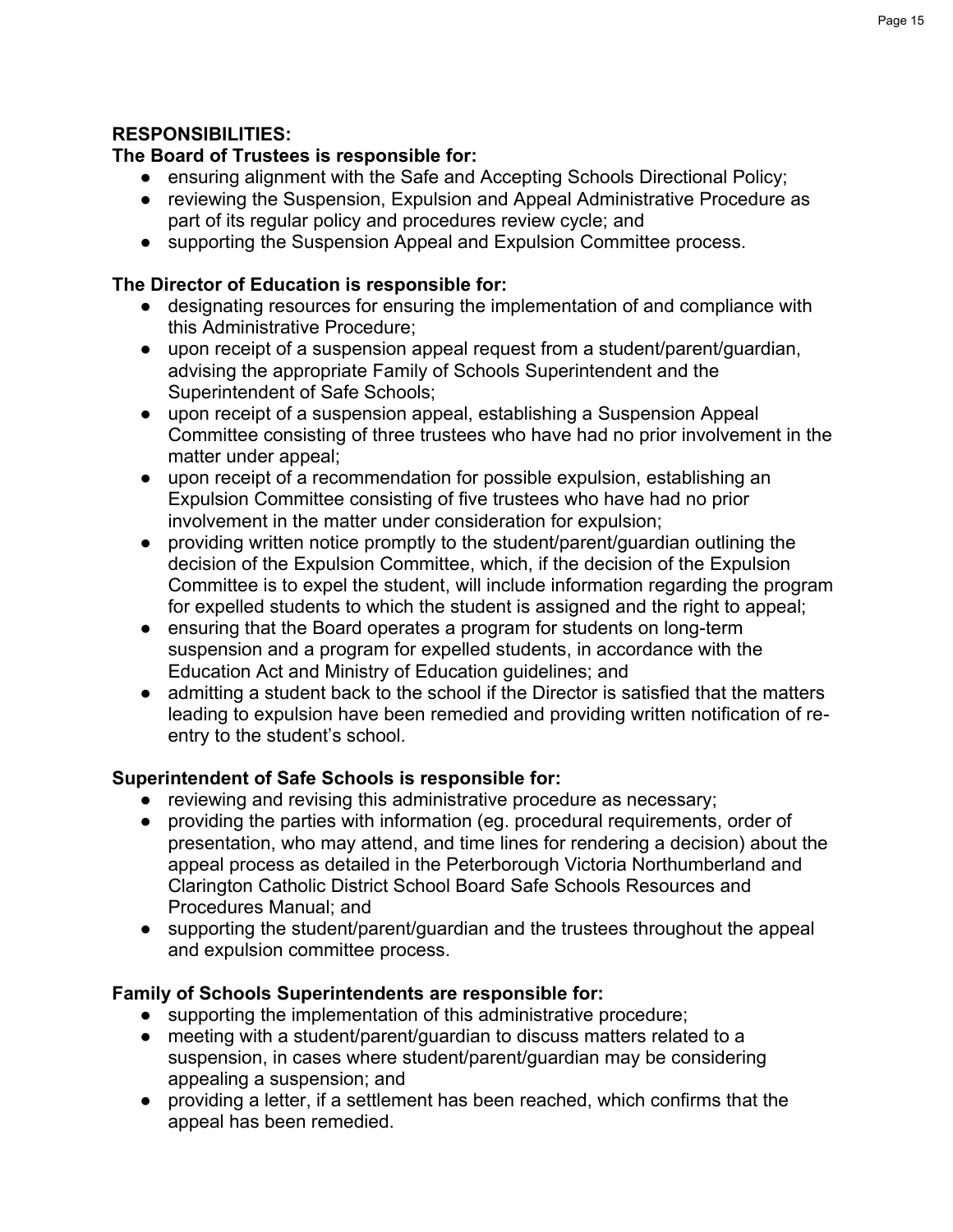## **RESPONSIBILITIES:**

## **The Board of Trustees is responsible for:**

- ensuring alignment with the Safe and Accepting Schools Directional Policy;
- reviewing the Suspension, Expulsion and Appeal Administrative Procedure as part of its regular policy and procedures review cycle; and
- supporting the Suspension Appeal and Expulsion Committee process.

## **The Director of Education is responsible for:**

- designating resources for ensuring the implementation of and compliance with this Administrative Procedure;
- upon receipt of a suspension appeal request from a student/parent/guardian, advising the appropriate Family of Schools Superintendent and the Superintendent of Safe Schools;
- upon receipt of a suspension appeal, establishing a Suspension Appeal Committee consisting of three trustees who have had no prior involvement in the matter under appeal;
- upon receipt of a recommendation for possible expulsion, establishing an Expulsion Committee consisting of five trustees who have had no prior involvement in the matter under consideration for expulsion;
- providing written notice promptly to the student/parent/guardian outlining the decision of the Expulsion Committee, which, if the decision of the Expulsion Committee is to expel the student, will include information regarding the program for expelled students to which the student is assigned and the right to appeal;
- ensuring that the Board operates a program for students on long-term suspension and a program for expelled students, in accordance with the Education Act and Ministry of Education guidelines; and
- admitting a student back to the school if the Director is satisfied that the matters leading to expulsion have been remedied and providing written notification of reentry to the student's school.

## **Superintendent of Safe Schools is responsible for:**

- reviewing and revising this administrative procedure as necessary;
- providing the parties with information (eg. procedural requirements, order of presentation, who may attend, and time lines for rendering a decision) about the appeal process as detailed in the Peterborough Victoria Northumberland and Clarington Catholic District School Board Safe Schools Resources and Procedures Manual; and
- supporting the student/parent/guardian and the trustees throughout the appeal and expulsion committee process.

## **Family of Schools Superintendents are responsible for:**

- supporting the implementation of this administrative procedure;
- meeting with a student/parent/guardian to discuss matters related to a suspension, in cases where student/parent/guardian may be considering appealing a suspension; and
- providing a letter, if a settlement has been reached, which confirms that the appeal has been remedied.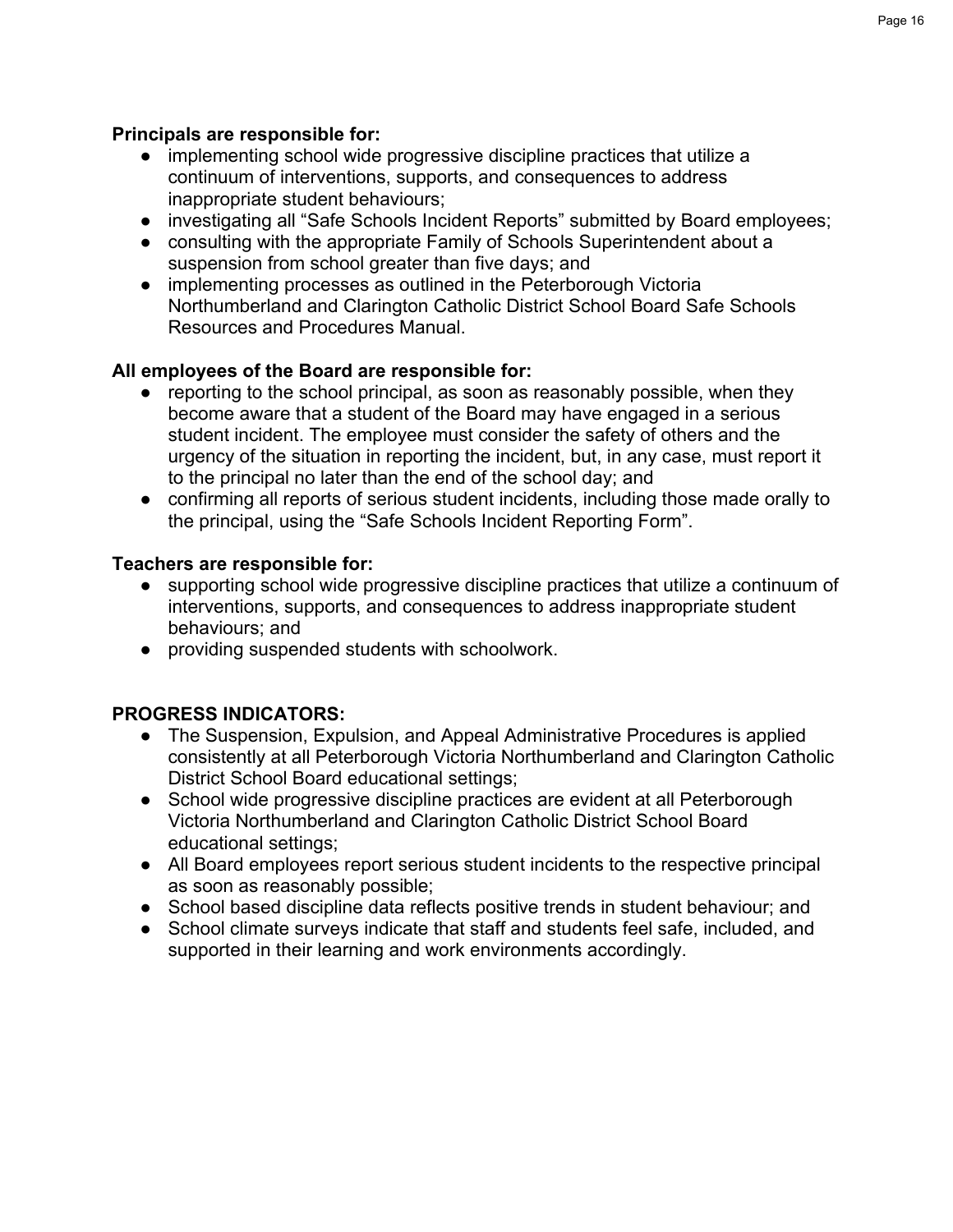## **Principals are responsible for:**

- implementing school wide progressive discipline practices that utilize a continuum of interventions, supports, and consequences to address inappropriate student behaviours;
- investigating all "Safe Schools Incident Reports" submitted by Board employees;
- consulting with the appropriate Family of Schools Superintendent about a suspension from school greater than five days; and
- implementing processes as outlined in the Peterborough Victoria Northumberland and Clarington Catholic District School Board Safe Schools Resources and Procedures Manual.

## **All employees of the Board are responsible for:**

- reporting to the school principal, as soon as reasonably possible, when they become aware that a student of the Board may have engaged in a serious student incident. The employee must consider the safety of others and the urgency of the situation in reporting the incident, but, in any case, must report it to the principal no later than the end of the school day; and
- confirming all reports of serious student incidents, including those made orally to the principal, using the "Safe Schools Incident Reporting Form".

## **Teachers are responsible for:**

- supporting school wide progressive discipline practices that utilize a continuum of interventions, supports, and consequences to address inappropriate student behaviours; and
- providing suspended students with schoolwork.

## **PROGRESS INDICATORS:**

- The Suspension, Expulsion, and Appeal Administrative Procedures is applied consistently at all Peterborough Victoria Northumberland and Clarington Catholic District School Board educational settings;
- School wide progressive discipline practices are evident at all Peterborough Victoria Northumberland and Clarington Catholic District School Board educational settings;
- All Board employees report serious student incidents to the respective principal as soon as reasonably possible;
- School based discipline data reflects positive trends in student behaviour; and
- School climate surveys indicate that staff and students feel safe, included, and supported in their learning and work environments accordingly.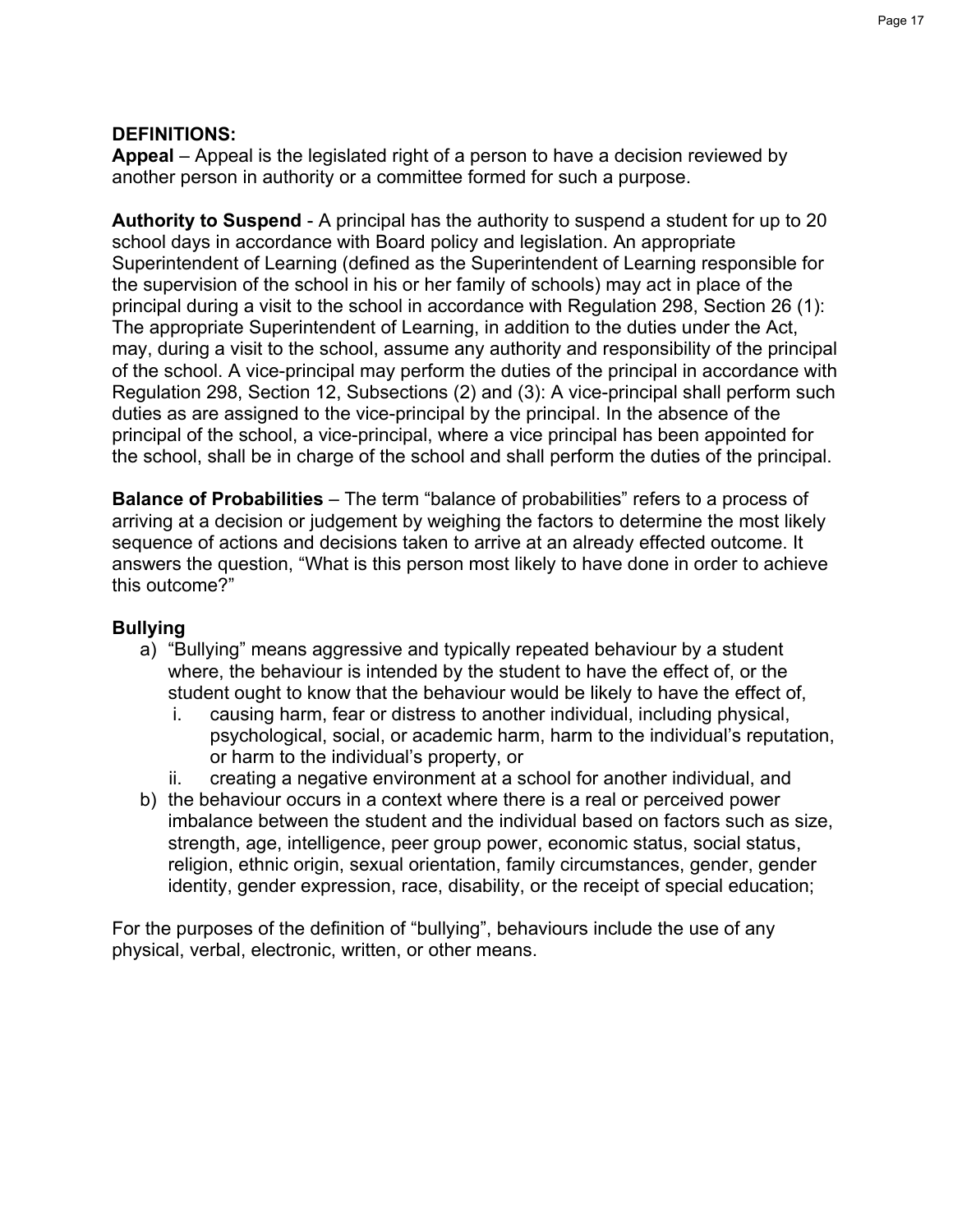## **DEFINITIONS:**

**Appeal** – Appeal is the legislated right of a person to have a decision reviewed by another person in authority or a committee formed for such a purpose.

**Authority to Suspend** - A principal has the authority to suspend a student for up to 20 school days in accordance with Board policy and legislation. An appropriate Superintendent of Learning (defined as the Superintendent of Learning responsible for the supervision of the school in his or her family of schools) may act in place of the principal during a visit to the school in accordance with Regulation 298, Section 26 (1): The appropriate Superintendent of Learning, in addition to the duties under the Act, may, during a visit to the school, assume any authority and responsibility of the principal of the school. A vice-principal may perform the duties of the principal in accordance with Regulation 298, Section 12, Subsections (2) and (3): A vice-principal shall perform such duties as are assigned to the vice-principal by the principal. In the absence of the principal of the school, a vice-principal, where a vice principal has been appointed for the school, shall be in charge of the school and shall perform the duties of the principal.

**Balance of Probabilities** – The term "balance of probabilities" refers to a process of arriving at a decision or judgement by weighing the factors to determine the most likely sequence of actions and decisions taken to arrive at an already effected outcome. It answers the question, "What is this person most likely to have done in order to achieve this outcome?"

## **Bullying**

- a) "Bullying" means aggressive and typically repeated behaviour by a student where, the behaviour is intended by the student to have the effect of, or the student ought to know that the behaviour would be likely to have the effect of,
	- i. causing harm, fear or distress to another individual, including physical, psychological, social, or academic harm, harm to the individual's reputation, or harm to the individual's property, or
	- ii. creating a negative environment at a school for another individual, and
- b) the behaviour occurs in a context where there is a real or perceived power imbalance between the student and the individual based on factors such as size, strength, age, intelligence, peer group power, economic status, social status, religion, ethnic origin, sexual orientation, family circumstances, gender, gender identity, gender expression, race, disability, or the receipt of special education;

For the purposes of the definition of "bullying", behaviours include the use of any physical, verbal, electronic, written, or other means.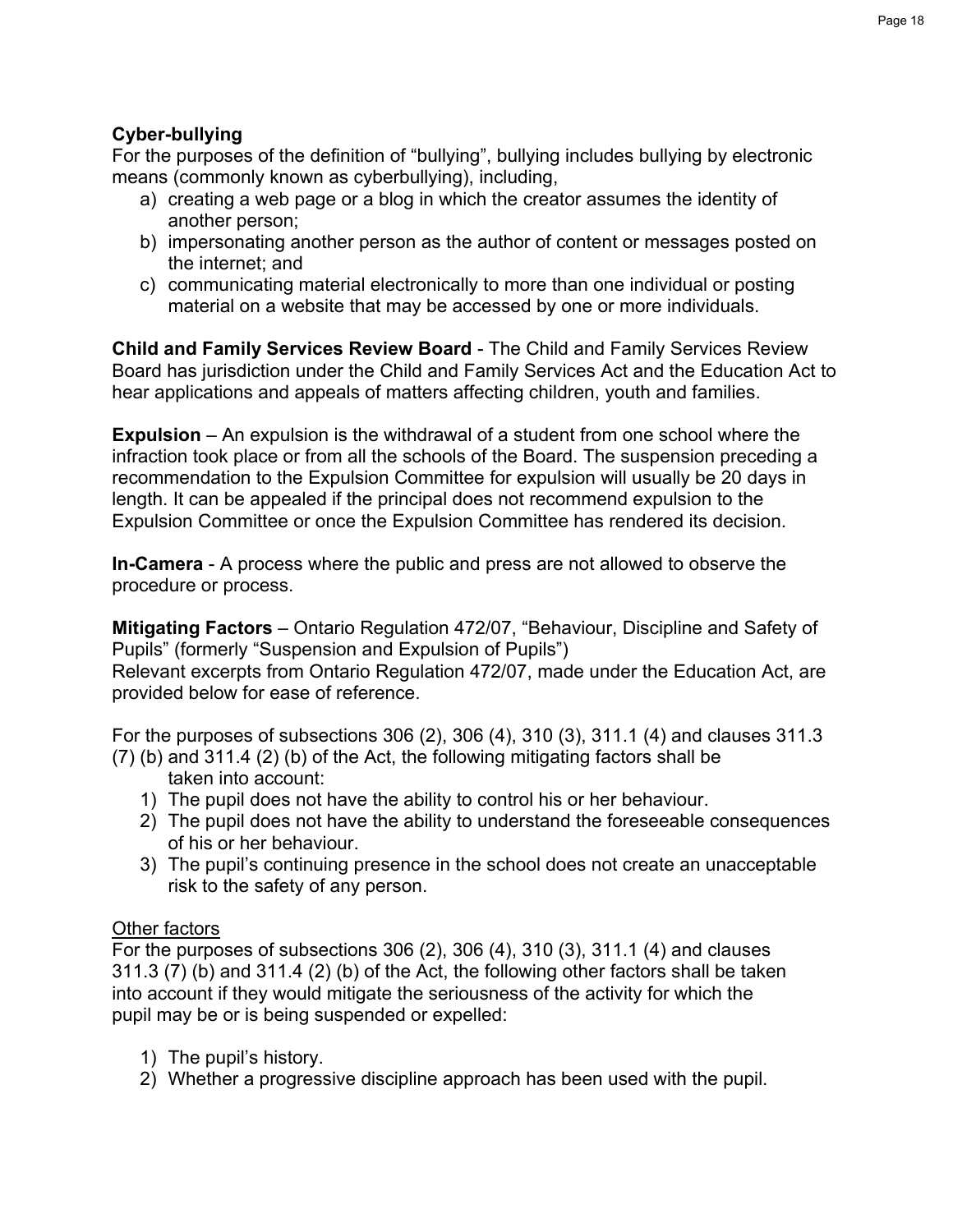## **Cyber-bullying**

For the purposes of the definition of "bullying", bullying includes bullying by electronic means (commonly known as cyberbullying), including,

- a) creating a web page or a blog in which the creator assumes the identity of another person;
- b) impersonating another person as the author of content or messages posted on the internet; and
- c) communicating material electronically to more than one individual or posting material on a website that may be accessed by one or more individuals.

**Child and Family Services Review Board** - The Child and Family Services Review Board has jurisdiction under the Child and Family Services Act and the Education Act to hear applications and appeals of matters affecting children, youth and families.

**Expulsion** – An expulsion is the withdrawal of a student from one school where the infraction took place or from all the schools of the Board. The suspension preceding a recommendation to the Expulsion Committee for expulsion will usually be 20 days in length. It can be appealed if the principal does not recommend expulsion to the Expulsion Committee or once the Expulsion Committee has rendered its decision.

**In-Camera** - A process where the public and press are not allowed to observe the procedure or process.

**Mitigating Factors** – Ontario Regulation 472/07, "Behaviour, Discipline and Safety of Pupils" (formerly "Suspension and Expulsion of Pupils") Relevant excerpts from Ontario Regulation 472/07, made under the Education Act, are provided below for ease of reference.

For the purposes of subsections 306 (2), 306 (4), 310 (3), 311.1 (4) and clauses 311.3 (7) (b) and 311.4 (2) (b) of the Act, the following mitigating factors shall be

- taken into account:
- 1) The pupil does not have the ability to control his or her behaviour.
- 2) The pupil does not have the ability to understand the foreseeable consequences of his or her behaviour.
- 3) The pupil's continuing presence in the school does not create an unacceptable risk to the safety of any person.

## Other factors

For the purposes of subsections 306 (2), 306 (4), 310 (3), 311.1 (4) and clauses 311.3 (7) (b) and 311.4 (2) (b) of the Act, the following other factors shall be taken into account if they would mitigate the seriousness of the activity for which the pupil may be or is being suspended or expelled:

- 1) The pupil's history.
- 2) Whether a progressive discipline approach has been used with the pupil.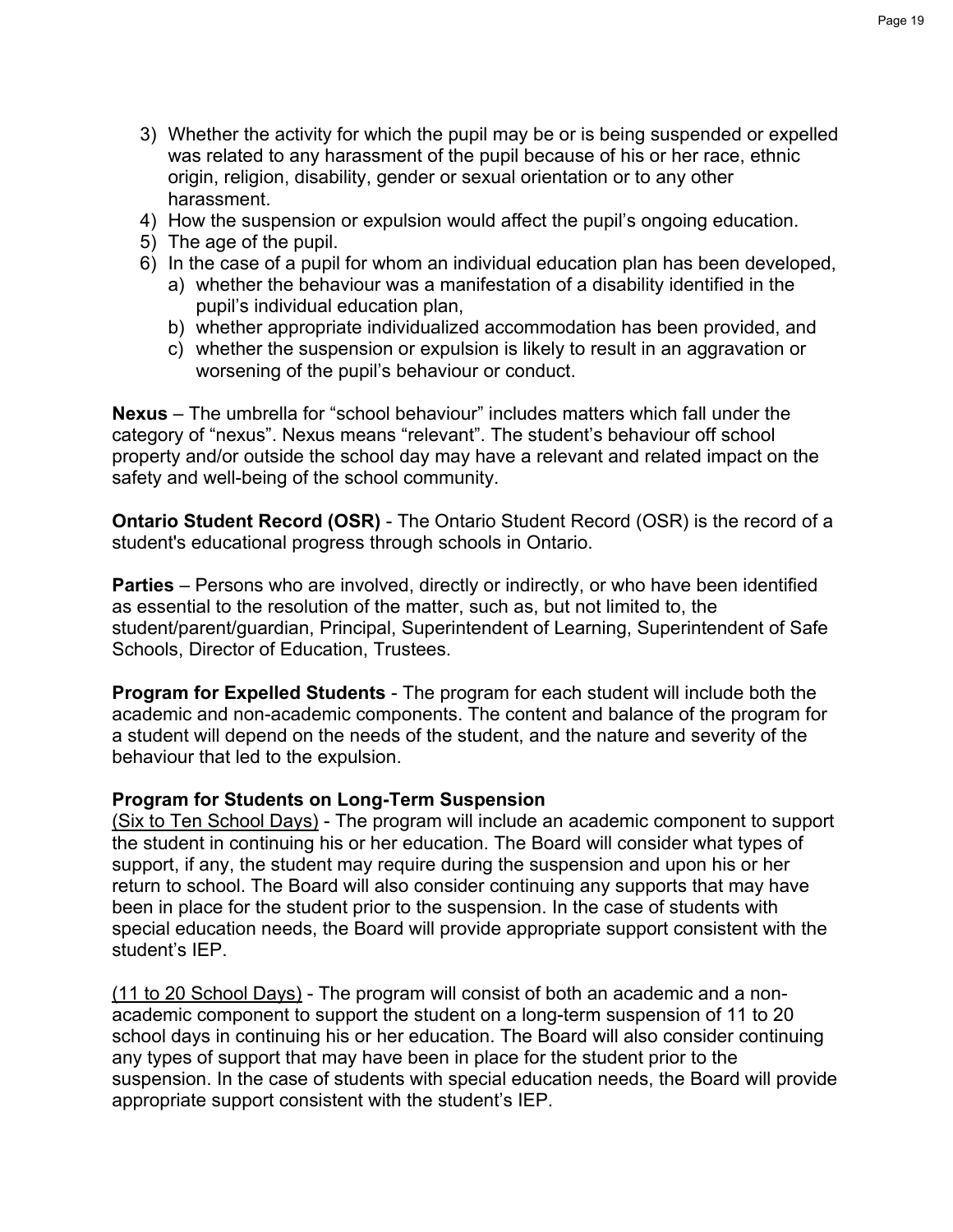- 3) Whether the activity for which the pupil may be or is being suspended or expelled was related to any harassment of the pupil because of his or her race, ethnic origin, religion, disability, gender or sexual orientation or to any other harassment.
- 4) How the suspension or expulsion would affect the pupil's ongoing education.
- 5) The age of the pupil.
- 6) In the case of a pupil for whom an individual education plan has been developed,
	- a) whether the behaviour was a manifestation of a disability identified in the pupil's individual education plan,
	- b) whether appropriate individualized accommodation has been provided, and
	- c) whether the suspension or expulsion is likely to result in an aggravation or worsening of the pupil's behaviour or conduct.

**Nexus** – The umbrella for "school behaviour" includes matters which fall under the category of "nexus". Nexus means "relevant". The student's behaviour off school property and/or outside the school day may have a relevant and related impact on the safety and well-being of the school community.

**Ontario Student Record (OSR)** - The Ontario Student Record (OSR) is the record of a student's educational progress through schools in Ontario.

**Parties** – Persons who are involved, directly or indirectly, or who have been identified as essential to the resolution of the matter, such as, but not limited to, the student/parent/guardian, Principal, Superintendent of Learning, Superintendent of Safe Schools, Director of Education, Trustees.

**Program for Expelled Students** - The program for each student will include both the academic and non-academic components. The content and balance of the program for a student will depend on the needs of the student, and the nature and severity of the behaviour that led to the expulsion.

## **Program for Students on Long-Term Suspension**

(Six to Ten School Days) - The program will include an academic component to support the student in continuing his or her education. The Board will consider what types of support, if any, the student may require during the suspension and upon his or her return to school. The Board will also consider continuing any supports that may have been in place for the student prior to the suspension. In the case of students with special education needs, the Board will provide appropriate support consistent with the student's IEP.

(11 to 20 School Days) - The program will consist of both an academic and a nonacademic component to support the student on a long-term suspension of 11 to 20 school days in continuing his or her education. The Board will also consider continuing any types of support that may have been in place for the student prior to the suspension. In the case of students with special education needs, the Board will provide appropriate support consistent with the student's IEP.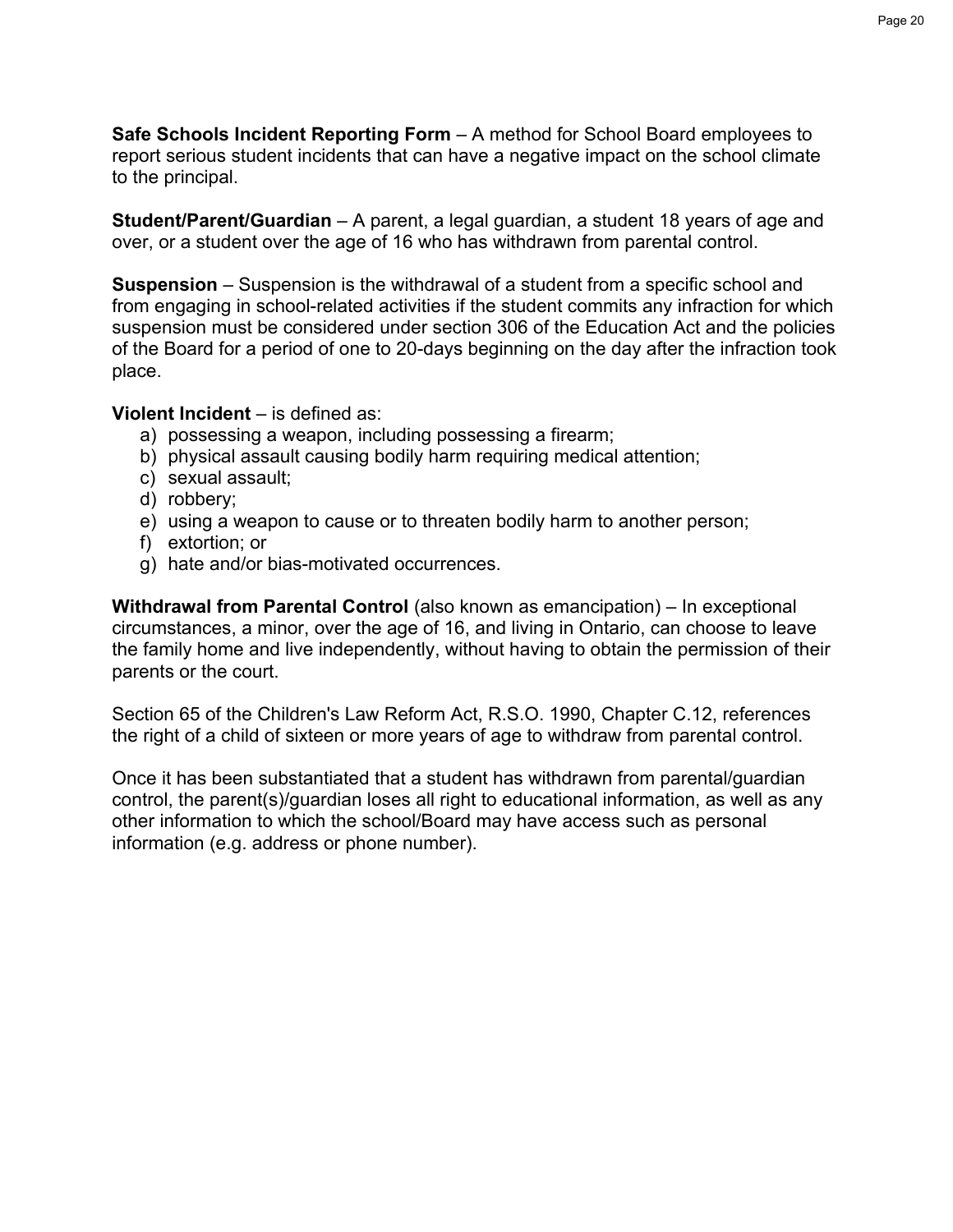**Safe Schools Incident Reporting Form** – A method for School Board employees to report serious student incidents that can have a negative impact on the school climate to the principal.

**Student/Parent/Guardian** – A parent, a legal guardian, a student 18 years of age and over, or a student over the age of 16 who has withdrawn from parental control.

**Suspension** – Suspension is the withdrawal of a student from a specific school and from engaging in school-related activities if the student commits any infraction for which suspension must be considered under section 306 of the Education Act and the policies of the Board for a period of one to 20-days beginning on the day after the infraction took place.

## **Violent Incident** – is defined as:

- a) possessing a weapon, including possessing a firearm;
- b) physical assault causing bodily harm requiring medical attention;
- c) sexual assault;
- d) robbery;
- e) using a weapon to cause or to threaten bodily harm to another person;
- f) extortion; or
- g) hate and/or bias-motivated occurrences.

**Withdrawal from Parental Control** (also known as emancipation) – In exceptional circumstances, a minor, over the age of 16, and living in Ontario, can choose to leave the family home and live independently, without having to obtain the permission of their parents or the court.

Section 65 of the Children's Law Reform Act, R.S.O. 1990, Chapter C.12, references the right of a child of sixteen or more years of age to withdraw from parental control.

Once it has been substantiated that a student has withdrawn from parental/guardian control, the parent(s)/guardian loses all right to educational information, as well as any other information to which the school/Board may have access such as personal information (e.g. address or phone number).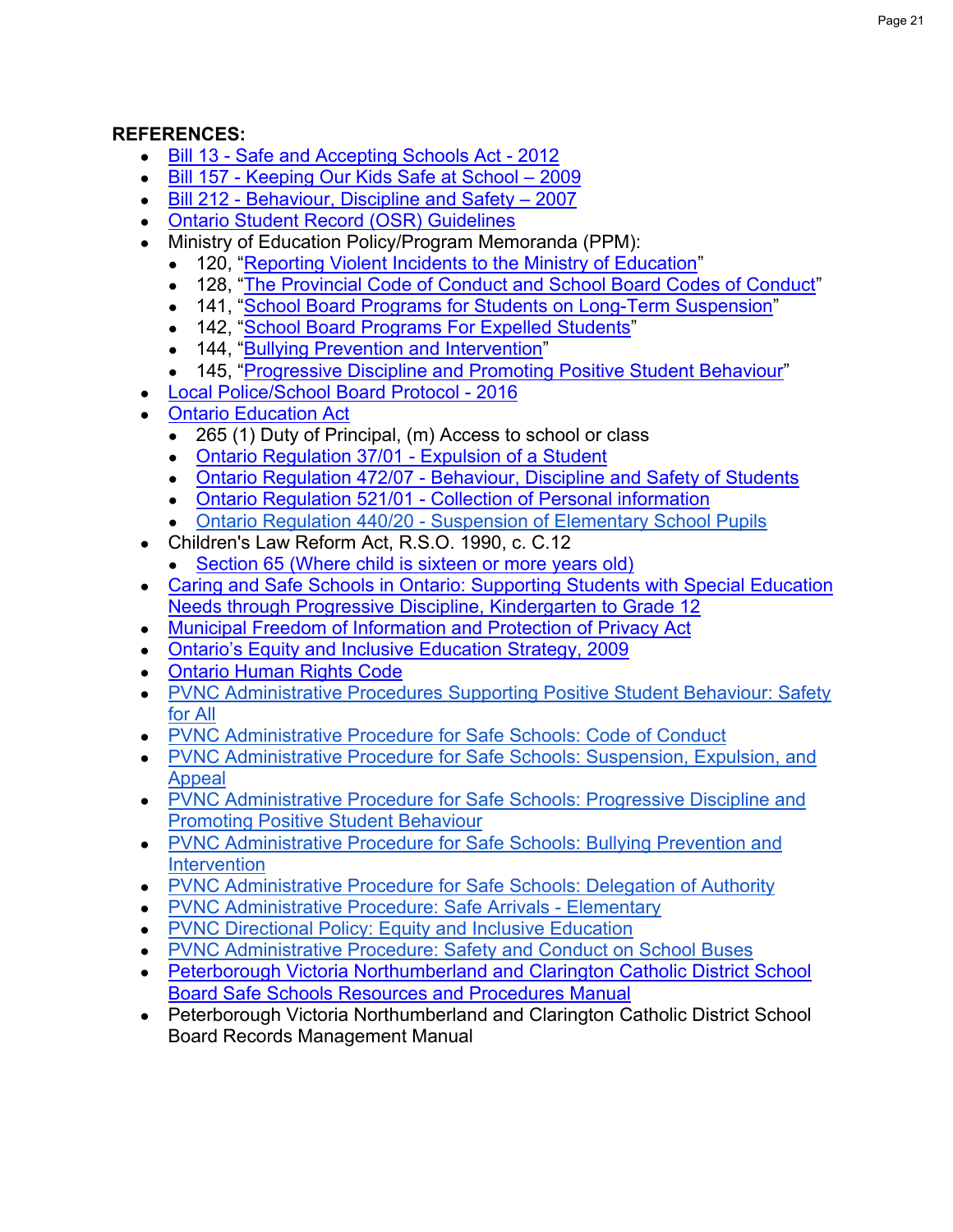## **REFERENCES:**

- Bill 13 [Safe and Accepting Schools Act -](https://www.ola.org/en/legislative-business/bills/parliament-40/session-1/bill-13) 2012
- Bill 157 [Keeping Our Kids Safe at School –](https://www.ola.org/sites/default/files/node-files/bill/document/pdf/2009/2009-06/bill---text-39-1-en-b157ra.pdf) 2009
- Bill 212 [Behaviour, Discipline and Safety –](https://www.ola.org/sites/default/files/node-files/bill/document/pdf/2007/2007-06/bill---text-38-2-en-b212ra.pdf) 2007
- [Ontario Student Record \(OSR\) Guidelines](http://www.edu.gov.on.ca/eng/document/curricul/osr/osr.html)
- Ministry of Education Policy/Program Memoranda (PPM):
	- 120, ["Reporting Violent Incidents to the Ministry of Education"](http://edu.gov.on.ca/extra/eng/ppm/120.html)
	- 128, ["The Provincial Code of Conduct and School Board Codes of Conduct"](http://www.edu.gov.on.ca/extra/eng/ppm/128.pdf)
	- 141, ["School Board Programs for Students on Long-Term Suspension"](http://www.edu.gov.on.ca/extra/eng/ppm/141.pdf)
	- 142, ["School Board Programs For Expelled Students"](http://www.edu.gov.on.ca/extra/eng/ppm/142.pdf)
	- 144, ["Bullying Prevention and Intervention"](http://www.edu.gov.on.ca/extra/eng/ppm/144.pdf)
	- 145, ["Progressive Discipline and Promoting Positive Student Behaviour"](http://www.edu.gov.on.ca/extra/eng/ppm/145.pdf)
- [Local Police/School Board Protocol -](https://www.pvnccdsb.on.ca/wp-content/uploads/2018/07/PoliceSchoolBoardProtocolDocumentFINAL-September2016.pdf) 2016
- [Ontario Education Act](https://www.ontario.ca/laws/statute/90e02)
	- 265 (1) Duty of Principal, (m) Access to school or class
	- [Ontario Regulation 37/01 -](https://www.ontario.ca/laws/regulation/010037) Expulsion of a Student
	- Ontario Regulation 472/07 [Behaviour, Discipline and Safety of Students](https://www.ontario.ca/laws/regulation/070472)
	- Ontario Regulation 521/01 [Collection of Personal information](https://www.ontario.ca/laws/regulation/010521)
	- Ontario Regulation 440/20 [Suspension of Elementary School Pupils](https://www.ontario.ca/laws/regulation/r20440#:~:text=440%2F20%3A%20SUSPENSION%20OF%20ELEMENTARY%20SCHOOL%20PUPILS,-filed%20July%2031&text=1.,(1)%20of%20the%20Act.)
- Children's Law Reform Act, R.S.O. 1990, c. C.12
	- [Section 65 \(Where child is sixteen or more years old\)](https://www.ontario.ca/laws/statute/90c12#BK89)
- Caring and Safe Schools in Ontario: Supporting Students with Special Education [Needs through Progressive Discipline, Kindergarten to Grade 12](http://www.edu.gov.on.ca/eng/general/elemsec/speced/Caring_Safe_School.pdf)
- [Municipal Freedom of Information and Protection of Privacy Act](https://www.ontario.ca/laws/statute/90m56)
- [Ontario's Equity and Inclusive Education Strategy, 2009](http://www.edu.gov.on.ca/eng/policyfunding/equity.pdf)
- [Ontario Human Rights Code](http://www.ohrc.on.ca/en/ontario-human-rights-code)
- PVNC Administrative Procedures Supporting Positive Student Behaviour: Safety [for All](https://www.pvnccdsb.on.ca/wp-content/uploads/2018/09/912-AP-Supporting-Positive-Student-Behaviour-Safety-for-All-1.pdf)
- [PVNC Administrative Procedure for Safe Schools: Code of Conduct](http://www.pvnccdsb.on.ca/uploads/129/Doc_635191528003904256.pdf)
- [PVNC Administrative Procedure for Safe Schools: Suspension, Expulsion, and](http://www.pvnccdsb.on.ca/uploads/133/Doc_635191529979414256.pdf)  [Appeal](http://www.pvnccdsb.on.ca/uploads/133/Doc_635191529979414256.pdf)
- [PVNC Administrative Procedure for Safe Schools: Progressive Discipline and](http://www.pvnccdsb.on.ca/uploads/134/Doc_635191528690714256.pdf)  [Promoting Positive Student Behaviour](http://www.pvnccdsb.on.ca/uploads/134/Doc_635191528690714256.pdf)
- [PVNC Administrative Procedure for Safe Schools: Bullying Prevention and](http://www.pvnccdsb.on.ca/uploads/135/Doc_635191529219204256.pdf)  **[Intervention](http://www.pvnccdsb.on.ca/uploads/135/Doc_635191529219204256.pdf)**
- PVNC Administrative Procedure [for Safe Schools: Delegation of Authority](http://www.pvnccdsb.on.ca/uploads/184/Doc_635073420694593825.pdf)
- [PVNC Administrative Procedure: Safe Arrivals -](http://www.pvnccdsb.on.ca/uploads/147/Doc_634576457113183829.pdf) Elementary
- [PVNC Directional Policy: Equity and Inclusive Education](http://www.pvnccdsb.on.ca/uploads/194/Doc_635569290647384210.pdf)
- [PVNC Administrative Procedure: Safety and Conduct on School Buses](http://www.pvnccdsb.on.ca/uploads/129/Doc_635191528003904256.pdf)
- Peterborough Victoria Northumberland and Clarington Catholic District School [Board Safe Schools Resources and Procedures Manual](https://sites.google.com/pvnccdsb.on.ca/theloop/departments/safe-schools?authuser=0)
- Peterborough Victoria Northumberland and Clarington Catholic District School Board Records Management Manual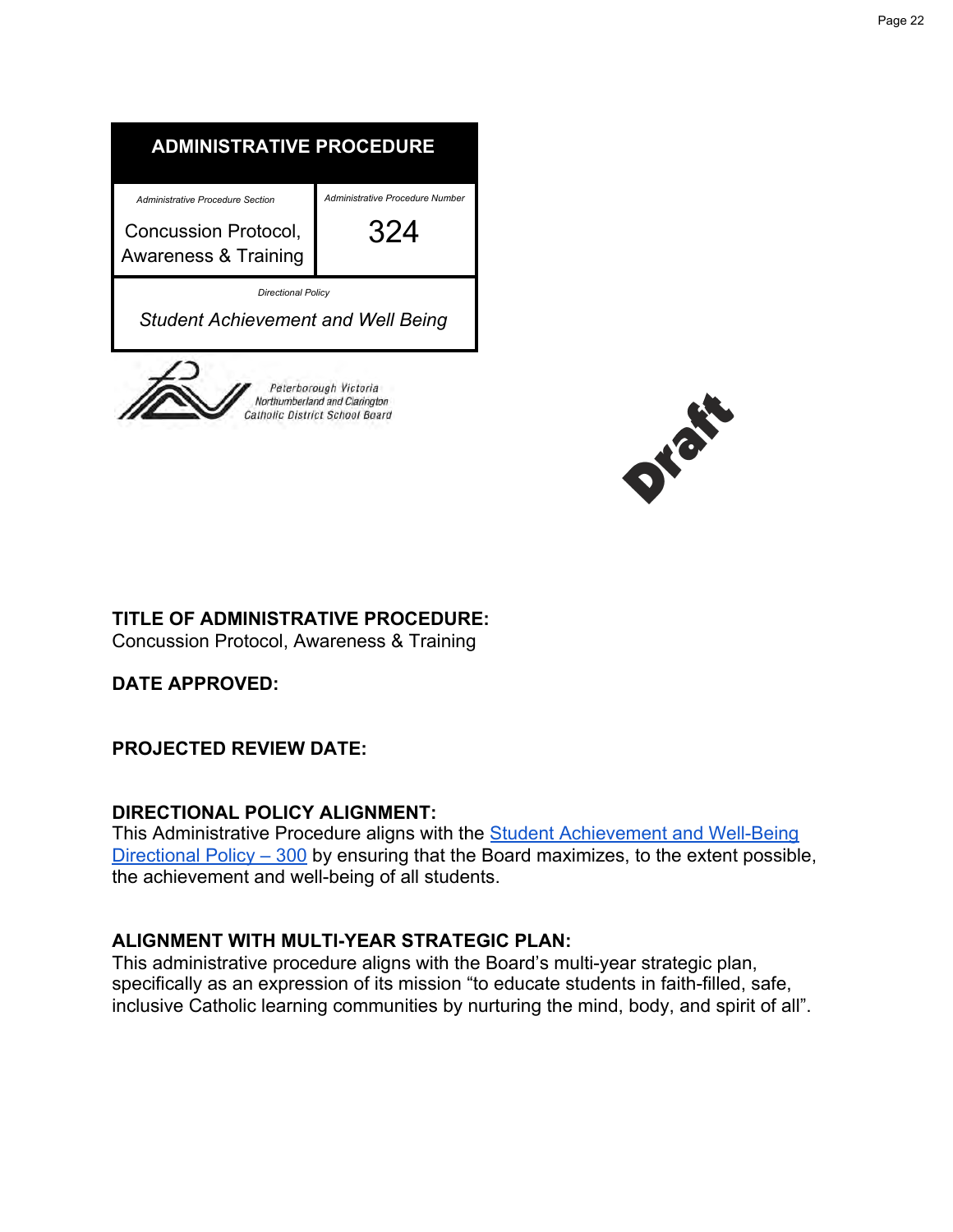



## **TITLE OF ADMINISTRATIVE PROCEDURE:**

Concussion Protocol, Awareness & Training

**DATE APPROVED:**

**PROJECTED REVIEW DATE:**

## **DIRECTIONAL POLICY ALIGNMENT:**

This Administrative Procedure aligns with the [Student Achievement and Well-Being](https://www.pvnccdsb.on.ca/wp-content/uploads/2018/07/300-Student-Achievement-and-Well-Being.pdf) [Directional Policy – 300](https://www.pvnccdsb.on.ca/wp-content/uploads/2018/07/300-Student-Achievement-and-Well-Being.pdf) by ensuring that the Board maximizes, to the extent possible, the achievement and well-being of all students.

## **ALIGNMENT WITH MULTI-YEAR STRATEGIC PLAN:**

This administrative procedure aligns with the Board's multi-year strategic plan, specifically as an expression of its mission "to educate students in faith-filled, safe, inclusive Catholic learning communities by nurturing the mind, body, and spirit of all".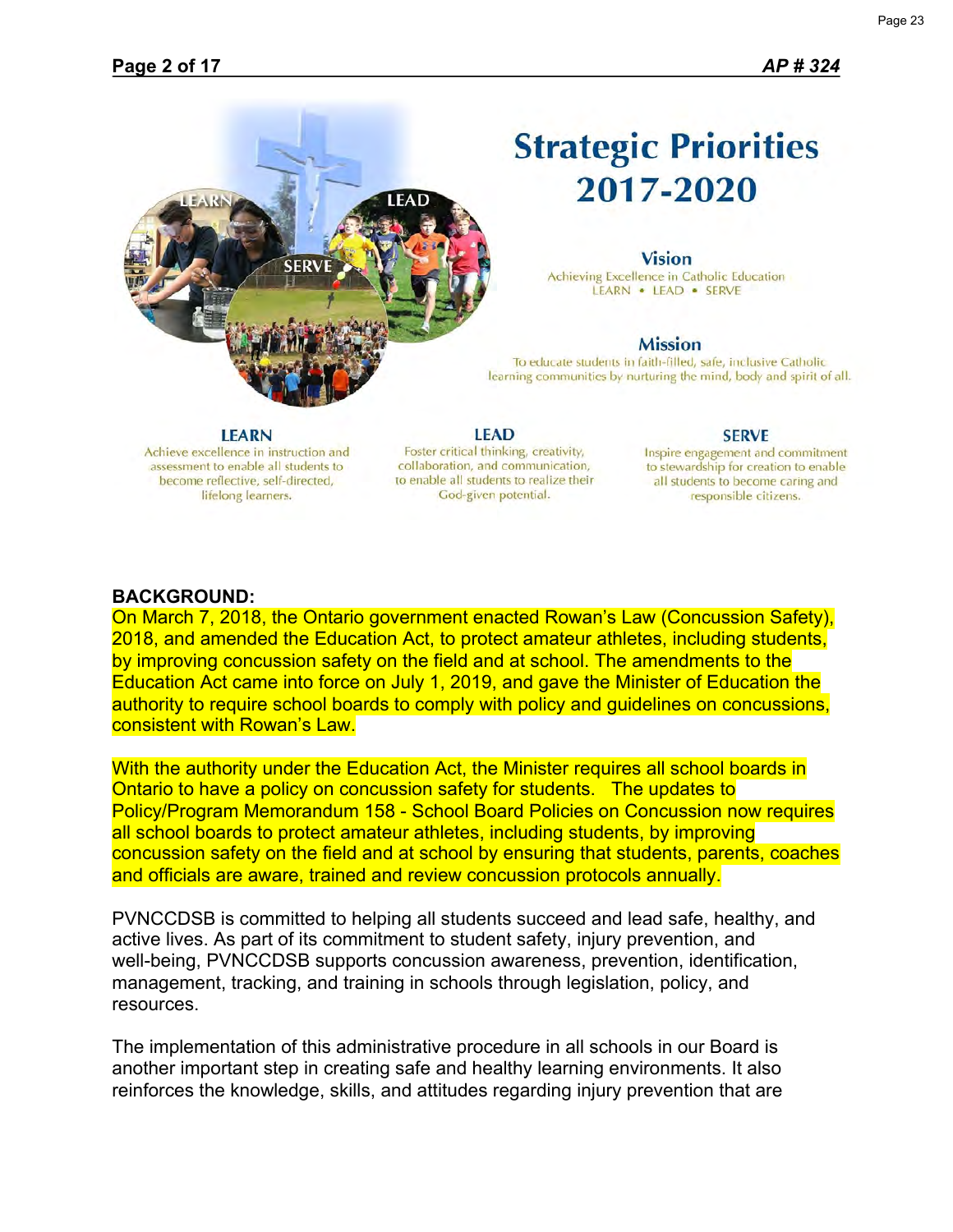

## **Strategic Priorities** 2017-2020

#### **Vision**

Achieving Excellence in Catholic Education LEARN . LEAD . SERVE

#### **Mission**

To educate students in faith-filled, safe, inclusive Catholic learning communities by nurturing the mind, body and spirit of all.

#### **LEARN**

Achieve excellence in instruction and assessment to enable all students to become reflective, self-directed, lifelong learners.

**LEAD** Foster critical thinking, creativity, collaboration, and communication, to enable all students to realize their God-given potential.

#### **SERVE**

Inspire engagement and commitment to stewardship for creation to enable all students to become caring and responsible citizens.

#### **BACKGROUND:**

On March 7, 2018, the Ontario government enacted Rowan's Law (Concussion Safety), 2018, and amended the Education Act, to protect amateur athletes, including students, by improving concussion safety on the field and at school. The amendments to the Education Act came into force on July 1, 2019, and gave the Minister of Education the authority to require school boards to comply with policy and guidelines on concussions, consistent with Rowan's Law.

With the authority under the Education Act, the Minister requires all school boards in Ontario to have a policy on concussion safety for students. The updates to Policy/Program Memorandum 158 - School Board Policies on Concussion now requires all school boards to protect amateur athletes, including students, by improving concussion safety on the field and at school by ensuring that students, parents, coaches and officials are aware, trained and review concussion protocols annually.

PVNCCDSB is committed to helping all students succeed and lead safe, healthy, and active lives. As part of its commitment to student safety, injury prevention, and well-being, PVNCCDSB supports concussion awareness, prevention, identification, management, tracking, and training in schools through legislation, policy, and resources.

The implementation of this administrative procedure in all schools in our Board is another important step in creating safe and healthy learning environments. It also reinforces the knowledge, skills, and attitudes regarding injury prevention that are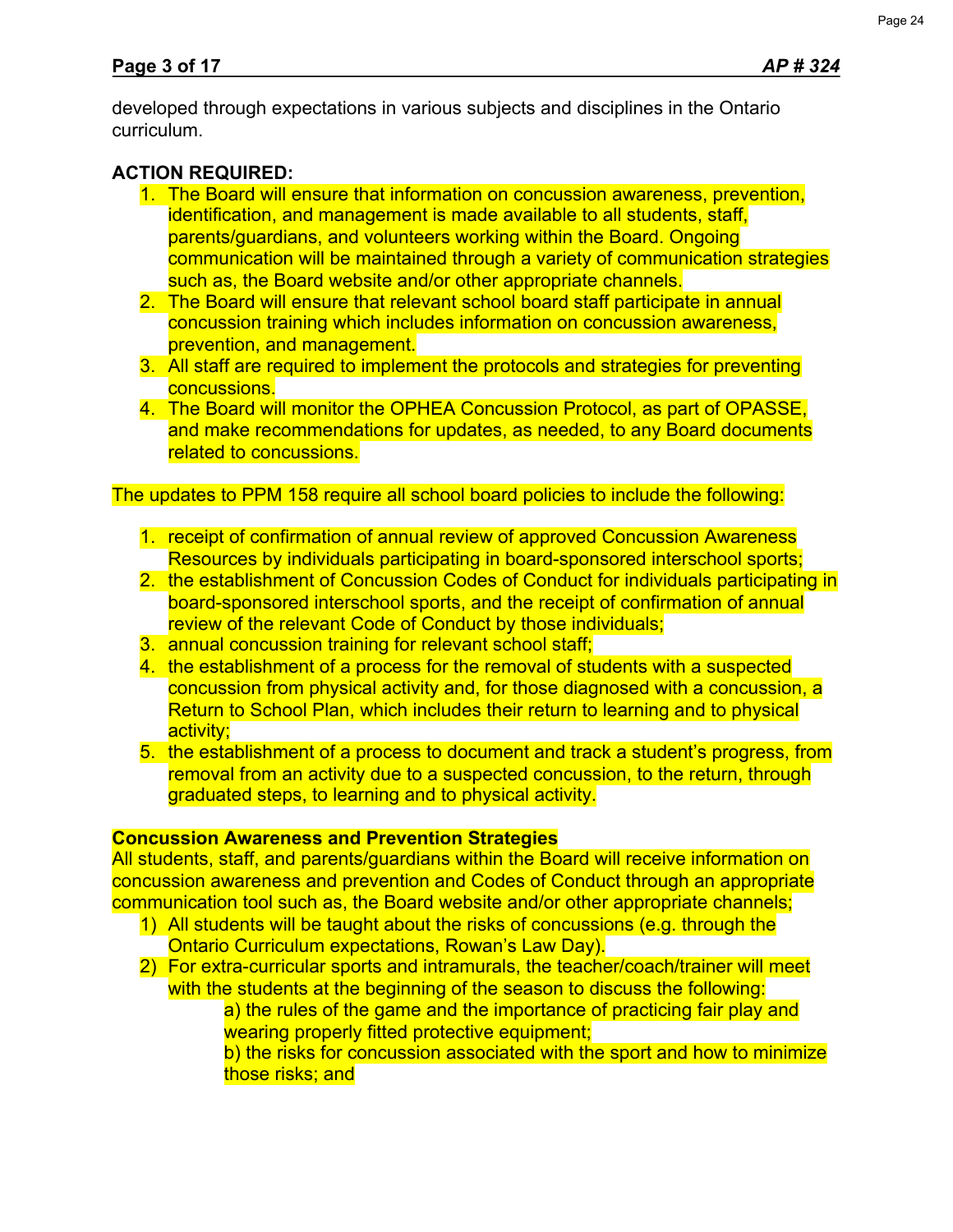developed through expectations in various subjects and disciplines in the Ontario curriculum.

## **ACTION REQUIRED:**

- 1. The Board will ensure that information on concussion awareness, prevention, identification, and management is made available to all students, staff, parents/guardians, and volunteers working within the Board. Ongoing communication will be maintained through a variety of communication strategies such as, the Board website and/or other appropriate channels.
- 2. The Board will ensure that relevant school board staff participate in annual concussion training which includes information on concussion awareness, prevention, and management.
- 3. All staff are required to implement the protocols and strategies for preventing concussions.
- 4. The Board will monitor the OPHEA Concussion Protocol, as part of OPASSE, and make recommendations for updates, as needed, to any Board documents related to concussions.

The updates to PPM 158 require all school board policies to include the following:

- 1. receipt of confirmation of annual review of approved Concussion Awareness Resources by individuals participating in board-sponsored interschool sports;
- 2. the establishment of Concussion Codes of Conduct for individuals participating in board-sponsored interschool sports, and the receipt of confirmation of annual review of the relevant Code of Conduct by those individuals;
- 3. annual concussion training for relevant school staff;
- 4. the establishment of a process for the removal of students with a suspected concussion from physical activity and, for those diagnosed with a concussion, a Return to School Plan, which includes their return to learning and to physical activity;
- 5. the establishment of a process to document and track a student's progress, from removal from an activity due to a suspected concussion, to the return, through graduated steps, to learning and to physical activity.

## **Concussion Awareness and Prevention Strategies**

All students, staff, and parents/guardians within the Board will receive information on concussion awareness and prevention and Codes of Conduct through an appropriate communication tool such as, the Board website and/or other appropriate channels;

- 1) All students will be taught about the risks of concussions (e.g. through the Ontario Curriculum expectations, Rowan's Law Day).
- 2) For extra-curricular sports and intramurals, the teacher/coach/trainer will meet with the students at the beginning of the season to discuss the following:

a) the rules of the game and the importance of practicing fair play and wearing properly fitted protective equipment;

b) the risks for concussion associated with the sport and how to minimize those risks; and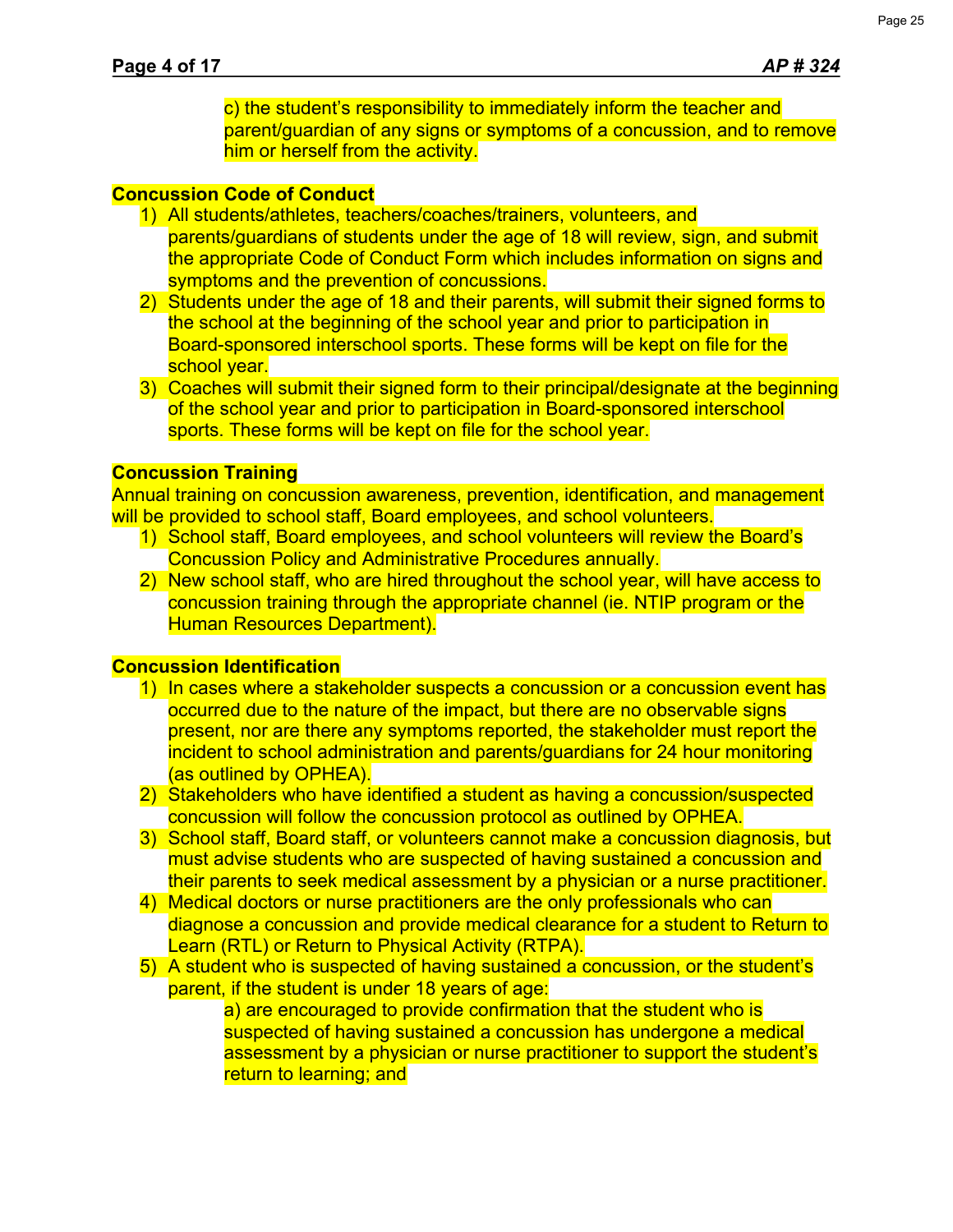c) the student's responsibility to immediately inform the teacher and parent/guardian of any signs or symptoms of a concussion, and to remove him or herself from the activity.

#### **Concussion Code of Conduct**

- 1) All students/athletes, teachers/coaches/trainers, volunteers, and parents/guardians of students under the age of 18 will review, sign, and submit the appropriate Code of Conduct Form which includes information on signs and symptoms and the prevention of concussions.
- 2) Students under the age of 18 and their parents, will submit their signed forms to the school at the beginning of the school year and prior to participation in Board-sponsored interschool sports. These forms will be kept on file for the school year.
- 3) Coaches will submit their signed form to their principal/designate at the beginning of the school year and prior to participation in Board-sponsored interschool sports. These forms will be kept on file for the school year.

#### **Concussion Training**

Annual training on concussion awareness, prevention, identification, and management will be provided to school staff, Board employees, and school volunteers.

- 1) School staff, Board employees, and school volunteers will review the Board's Concussion Policy and Administrative Procedures annually.
- 2) New school staff, who are hired throughout the school year, will have access to concussion training through the appropriate channel (ie. NTIP program or the Human Resources Department).

#### **Concussion Identification**

- 1) In cases where a stakeholder suspects a concussion or a concussion event has occurred due to the nature of the impact, but there are no observable signs present, nor are there any symptoms reported, the stakeholder must report the incident to school administration and parents/guardians for 24 hour monitoring (as outlined by OPHEA).
- 2) Stakeholders who have identified a student as having a concussion/suspected concussion will follow the concussion protocol as outlined by OPHEA.
- 3) School staff, Board staff, or volunteers cannot make a concussion diagnosis, but must advise students who are suspected of having sustained a concussion and their parents to seek medical assessment by a physician or a nurse practitioner.
- 4) Medical doctors or nurse practitioners are the only professionals who can diagnose a concussion and provide medical clearance for a student to Return to Learn (RTL) or Return to Physical Activity (RTPA).
- 5) A student who is suspected of having sustained a concussion, or the student's parent, if the student is under 18 years of age:
	- a) are encouraged to provide confirmation that the student who is suspected of having sustained a concussion has undergone a medical assessment by a physician or nurse practitioner to support the student's return to learning; and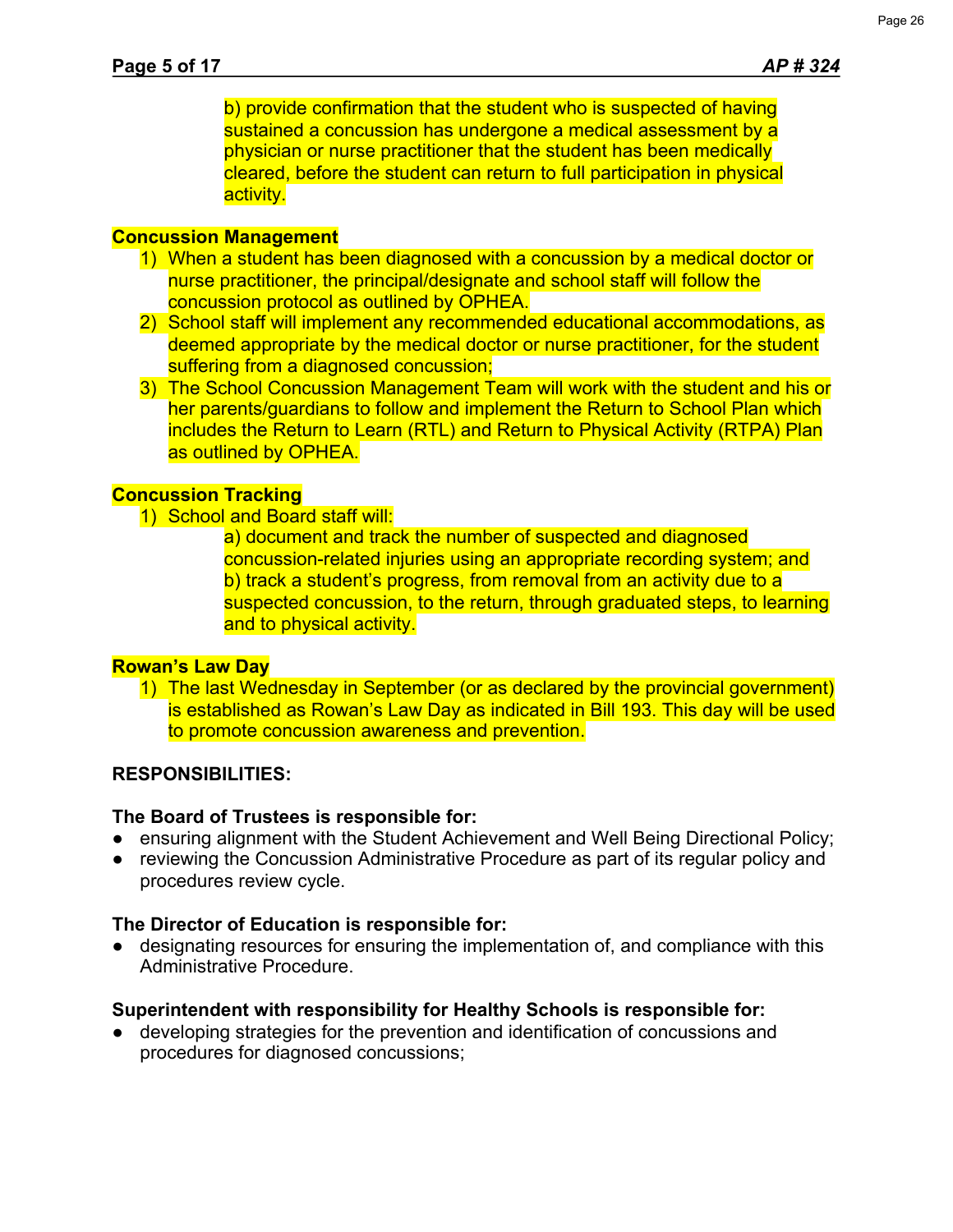b) provide confirmation that the student who is suspected of having sustained a concussion has undergone a medical assessment by a physician or nurse practitioner that the student has been medically cleared, before the student can return to full participation in physical activity.

## **Concussion Management**

- 1) When a student has been diagnosed with a concussion by a medical doctor or nurse practitioner, the principal/designate and school staff will follow the concussion protocol as outlined by OPHEA.
- 2) School staff will implement any recommended educational accommodations, as deemed appropriate by the medical doctor or nurse practitioner, for the student suffering from a diagnosed concussion;
- 3) The School Concussion Management Team will work with the student and his or her parents/guardians to follow and implement the Return to School Plan which includes the Return to Learn (RTL) and Return to Physical Activity (RTPA) Plan as outlined by OPHEA.

### **Concussion Tracking**

1) School and Board staff will:

a) document and track the number of suspected and diagnosed concussion-related injuries using an appropriate recording system; and b) track a student's progress, from removal from an activity due to a suspected concussion, to the return, through graduated steps, to learning and to physical activity.

## **Rowan's Law Day**

1) The last Wednesday in September (or as declared by the provincial government) is established as Rowan's Law Day as indicated in Bill 193. This day will be used to promote concussion awareness and prevention.

## **RESPONSIBILITIES:**

## **The Board of Trustees is responsible for:**

- ensuring alignment with the Student Achievement and Well Being Directional Policy;
- **●** reviewing the Concussion Administrative Procedure as part of its regular policy and procedures review cycle.

## **The Director of Education is responsible for:**

● designating resources for ensuring the implementation of, and compliance with this Administrative Procedure.

## **Superintendent with responsibility for Healthy Schools is responsible for:**

● developing strategies for the prevention and identification of concussions and procedures for diagnosed concussions;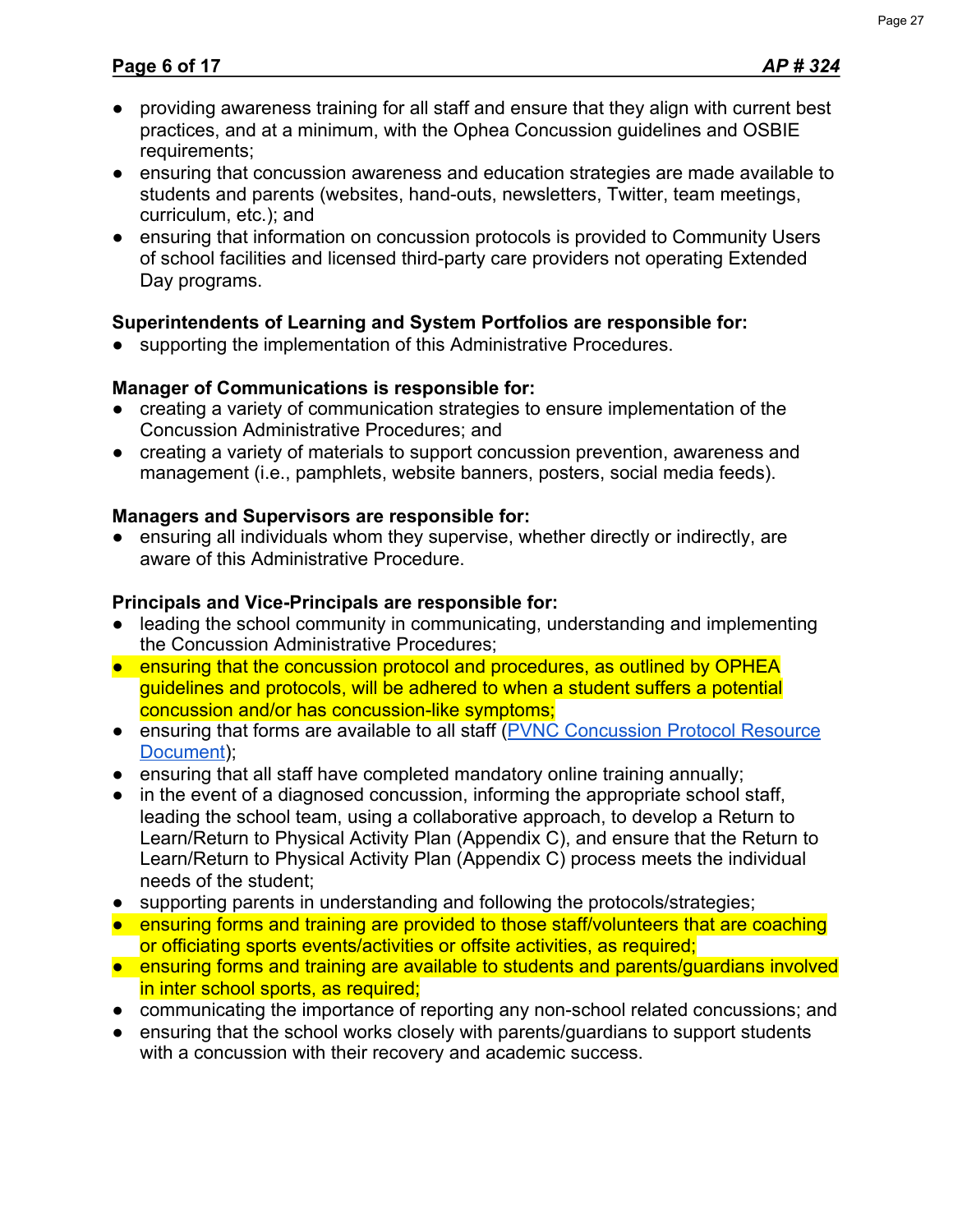- providing awareness training for all staff and ensure that they align with current best practices, and at a minimum, with the Ophea Concussion guidelines and OSBIE requirements;
- ensuring that concussion awareness and education strategies are made available to students and parents (websites, hand-outs, newsletters, Twitter, team meetings, curriculum, etc.); and
- ensuring that information on concussion protocols is provided to Community Users of school facilities and licensed third-party care providers not operating Extended Day programs.

## **Superintendents of Learning and System Portfolios are responsible for:**

● supporting the implementation of this Administrative Procedures.

## **Manager of Communications is responsible for:**

- creating a variety of communication strategies to ensure implementation of the Concussion Administrative Procedures; and
- creating a variety of materials to support concussion prevention, awareness and management (i.e., pamphlets, website banners, posters, social media feeds).

## **Managers and Supervisors are responsible for:**

ensuring all individuals whom they supervise, whether directly or indirectly, are aware of this Administrative Procedure.

## **Principals and Vice-Principals are responsible for:**

- leading the school community in communicating, understanding and implementing the Concussion Administrative Procedures;
- ensuring that the concussion protocol and procedures, as outlined by OPHEA guidelines and protocols, will be adhered to when a student suffers a potential concussion and/or has concussion-like symptoms;
- ensuring that forms are available to all staff [\(PVNC Concussion Protocol Resource](https://docs.google.com/document/d/12CxEFcPxpj7rxlrFYyOsV91QJoytWkZQ0joJnngwNf4/edit?usp=sharing) [Document\)](https://docs.google.com/document/d/12CxEFcPxpj7rxlrFYyOsV91QJoytWkZQ0joJnngwNf4/edit?usp=sharing);
- ensuring that all staff have completed mandatory online training annually;
- in the event of a diagnosed concussion, informing the appropriate school staff, leading the school team, using a collaborative approach, to develop a Return to Learn/Return to Physical Activity Plan (Appendix C), and ensure that the Return to Learn/Return to Physical Activity Plan (Appendix C) process meets the individual needs of the student;
- supporting parents in understanding and following the protocols/strategies;
- ensuring forms and training are provided to those staff/volunteers that are coaching or officiating sports events/activities or offsite activities, as required;
- ensuring forms and training are available to students and parents/guardians involved in inter school sports, as required;
- communicating the importance of reporting any non-school related concussions; and
- ensuring that the school works closely with parents/guardians to support students with a concussion with their recovery and academic success.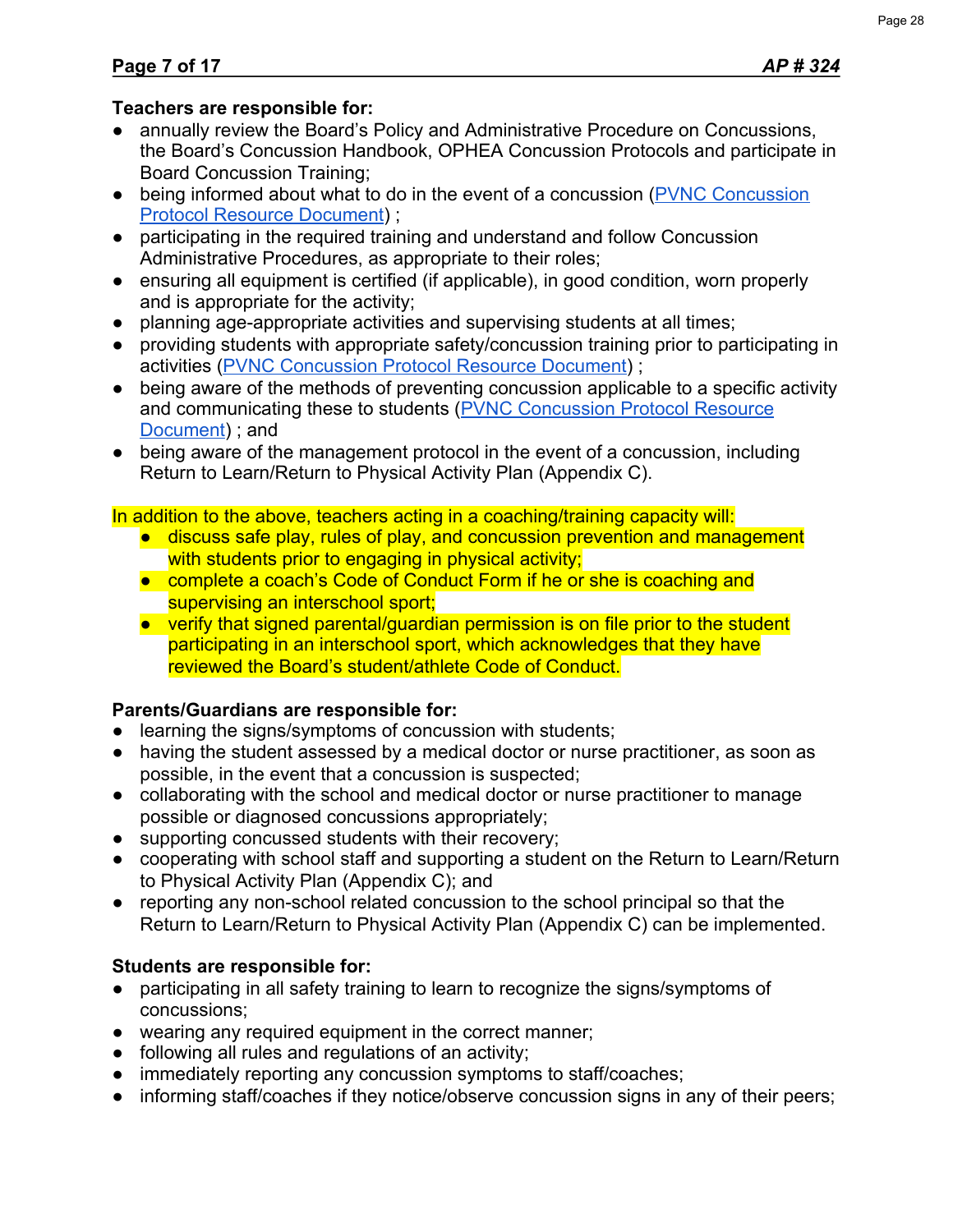## **Teachers are responsible for:**

- annually review the Board's Policy and Administrative Procedure on Concussions, the Board's Concussion Handbook, OPHEA Concussion Protocols and participate in Board Concussion Training;
- being informed about what to do in the event of a concussion ([PVNC Concussion](https://docs.google.com/document/d/12CxEFcPxpj7rxlrFYyOsV91QJoytWkZQ0joJnngwNf4/edit?usp=sharing) [Protocol Resource Document\)](https://docs.google.com/document/d/12CxEFcPxpj7rxlrFYyOsV91QJoytWkZQ0joJnngwNf4/edit?usp=sharing) ;
- participating in the required training and understand and follow Concussion Administrative Procedures, as appropriate to their roles;
- ensuring all equipment is certified (if applicable), in good condition, worn properly and is appropriate for the activity;
- planning age-appropriate activities and supervising students at all times;
- providing students with appropriate safety/concussion training prior to participating in activities [\(PVNC Concussion Protocol Resource Document\)](https://docs.google.com/document/d/12CxEFcPxpj7rxlrFYyOsV91QJoytWkZQ0joJnngwNf4/edit?usp=sharing) ;
- being aware of the methods of preventing concussion applicable to a specific activity and communicating these to students [\(PVNC Concussion Protocol Resource](https://docs.google.com/document/d/12CxEFcPxpj7rxlrFYyOsV91QJoytWkZQ0joJnngwNf4/edit?usp=sharing) [Document\)](https://docs.google.com/document/d/12CxEFcPxpj7rxlrFYyOsV91QJoytWkZQ0joJnngwNf4/edit?usp=sharing) ; and
- being aware of the management protocol in the event of a concussion, including Return to Learn/Return to Physical Activity Plan (Appendix C).

In addition to the above, teachers acting in a coaching/training capacity will:

- discuss safe play, rules of play, and concussion prevention and management with students prior to engaging in physical activity;
- complete a coach's Code of Conduct Form if he or she is coaching and supervising an interschool sport;
- verify that signed parental/guardian permission is on file prior to the student participating in an interschool sport, which acknowledges that they have reviewed the Board's student/athlete Code of Conduct.

## **Parents/Guardians are responsible for:**

- learning the signs/symptoms of concussion with students;
- having the student assessed by a medical doctor or nurse practitioner, as soon as possible, in the event that a concussion is suspected;
- collaborating with the school and medical doctor or nurse practitioner to manage possible or diagnosed concussions appropriately;
- supporting concussed students with their recovery;
- cooperating with school staff and supporting a student on the Return to Learn/Return to Physical Activity Plan (Appendix C); and
- reporting any non-school related concussion to the school principal so that the Return to Learn/Return to Physical Activity Plan (Appendix C) can be implemented.

## **Students are responsible for:**

- participating in all safety training to learn to recognize the signs/symptoms of concussions;
- wearing any required equipment in the correct manner;
- following all rules and regulations of an activity;
- immediately reporting any concussion symptoms to staff/coaches;
- informing staff/coaches if they notice/observe concussion signs in any of their peers;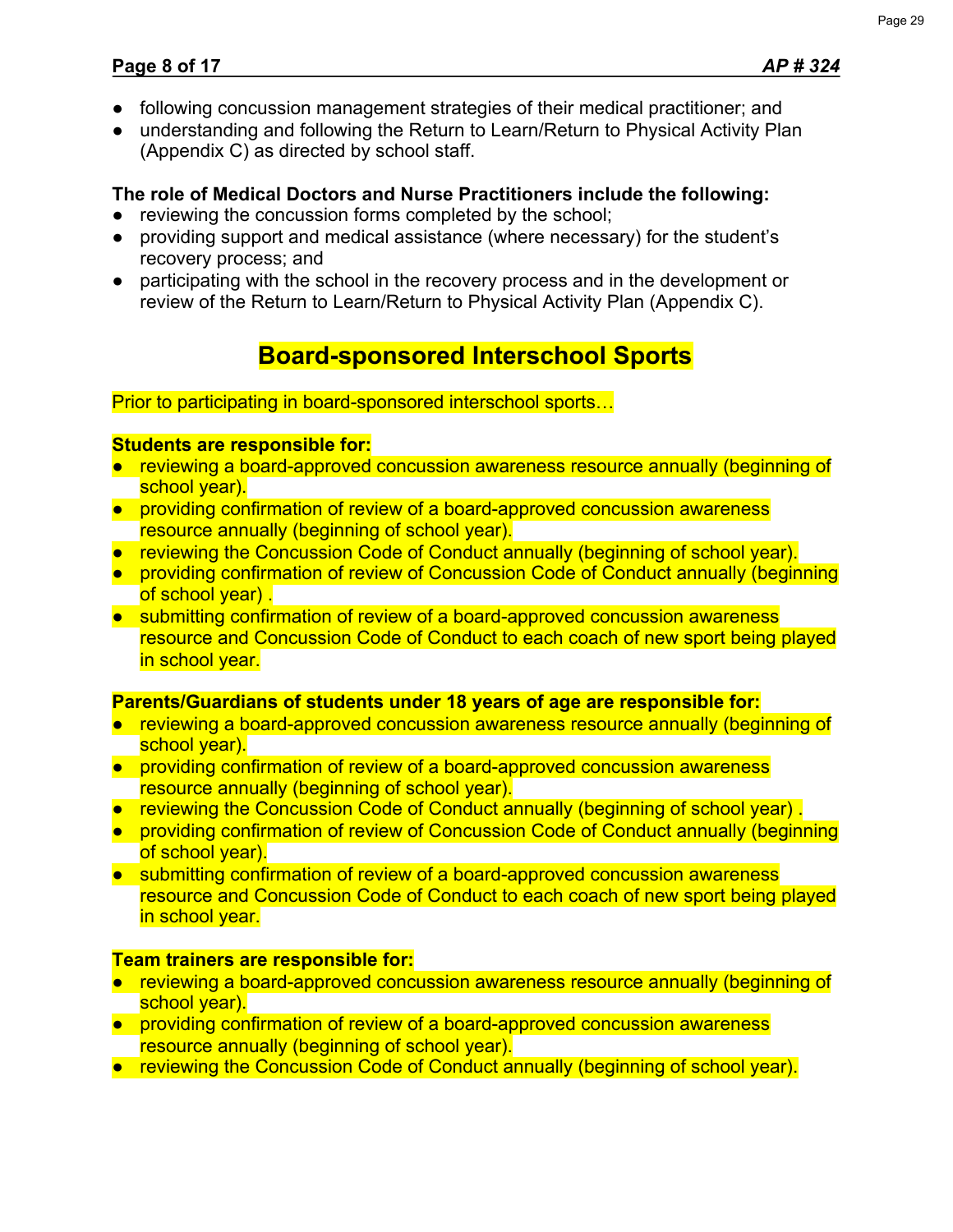- following concussion management strategies of their medical practitioner; and
- understanding and following the Return to Learn/Return to Physical Activity Plan (Appendix C) as directed by school staff.

## **The role of Medical Doctors and Nurse Practitioners include the following:**

- reviewing the concussion forms completed by the school;
- providing support and medical assistance (where necessary) for the student's recovery process; and
- participating with the school in the recovery process and in the development or review of the Return to Learn/Return to Physical Activity Plan (Appendix C).

## **Board-sponsored Interschool Sports**

Prior to participating in board-sponsored interschool sports…

## **Students are responsible for:**

- reviewing a board-approved concussion awareness resource annually (beginning of school year).
- providing confirmation of review of a board-approved concussion awareness resource annually (beginning of school year).
- reviewing the Concussion Code of Conduct annually (beginning of school year).
- providing confirmation of review of Concussion Code of Conduct annually (beginning of school year) .
- submitting confirmation of review of a board-approved concussion awareness resource and Concussion Code of Conduct to each coach of new sport being played in school year.

## **Parents/Guardians of students under 18 years of age are responsible for:**

- reviewing a board-approved concussion awareness resource annually (beginning of school year).
- providing confirmation of review of a board-approved concussion awareness resource annually (beginning of school year).
- reviewing the Concussion Code of Conduct annually (beginning of school year).
- providing confirmation of review of Concussion Code of Conduct annually (beginning of school year).
- submitting confirmation of review of a board-approved concussion awareness resource and Concussion Code of Conduct to each coach of new sport being played in school year.

## **Team trainers are responsible for:**

- reviewing a board-approved concussion awareness resource annually (beginning of school vear).
- providing confirmation of review of a board-approved concussion awareness resource annually (beginning of school year).
- reviewing the Concussion Code of Conduct annually (beginning of school year).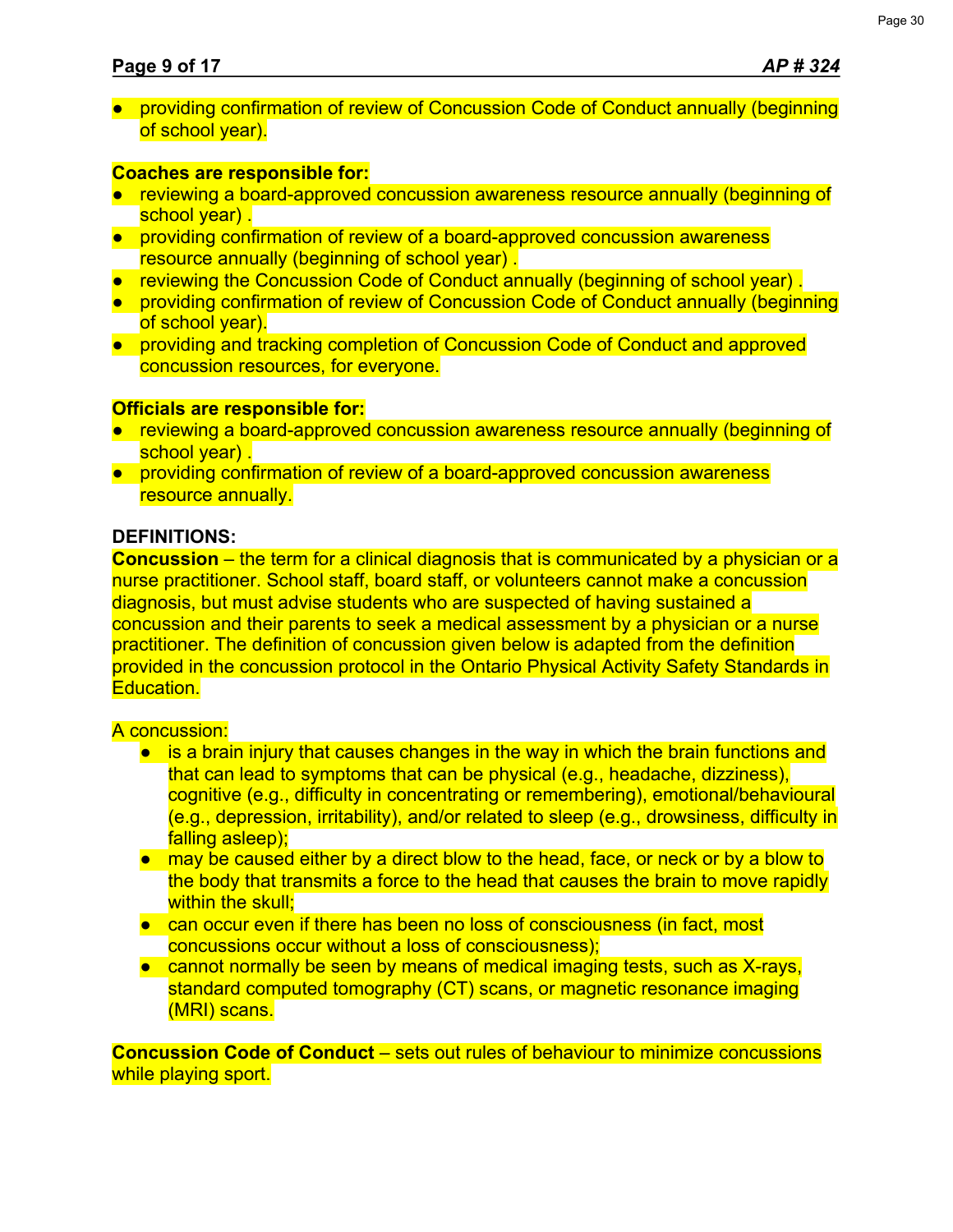● providing confirmation of review of Concussion Code of Conduct annually (beginning of school year).

## **Coaches are responsible for:**

- reviewing a board-approved concussion awareness resource annually (beginning of school vear).
- providing confirmation of review of a board-approved concussion awareness resource annually (beginning of school year) .
- reviewing the Concussion Code of Conduct annually (beginning of school year).
- providing confirmation of review of Concussion Code of Conduct annually (beginning of school year).
- providing and tracking completion of Concussion Code of Conduct and approved concussion resources, for everyone.

## **Officials are responsible for:**

- reviewing a board-approved concussion awareness resource annually (beginning of school year).
- providing confirmation of review of a board-approved concussion awareness resource annually.

## **DEFINITIONS:**

**Concussion** – the term for a clinical diagnosis that is communicated by a physician or a nurse practitioner. School staff, board staff, or volunteers cannot make a concussion diagnosis, but must advise students who are suspected of having sustained a concussion and their parents to seek a medical assessment by a physician or a nurse practitioner. The definition of concussion given below is adapted from the definition provided in the concussion protocol in the Ontario Physical Activity Safety Standards in Education.

## A concussion:

- is a brain injury that causes changes in the way in which the brain functions and that can lead to symptoms that can be physical (e.g., headache, dizziness), cognitive (e.g., difficulty in concentrating or remembering), emotional/behavioural (e.g., depression, irritability), and/or related to sleep (e.g., drowsiness, difficulty in falling asleep);
- may be caused either by a direct blow to the head, face, or neck or by a blow to the body that transmits a force to the head that causes the brain to move rapidly within the skull:
- can occur even if there has been no loss of consciousness (in fact, most concussions occur without a loss of consciousness);
- cannot normally be seen by means of medical imaging tests, such as X-rays, standard computed tomography (CT) scans, or magnetic resonance imaging (MRI) scans.

**Concussion Code of Conduct** – sets out rules of behaviour to minimize concussions while playing sport.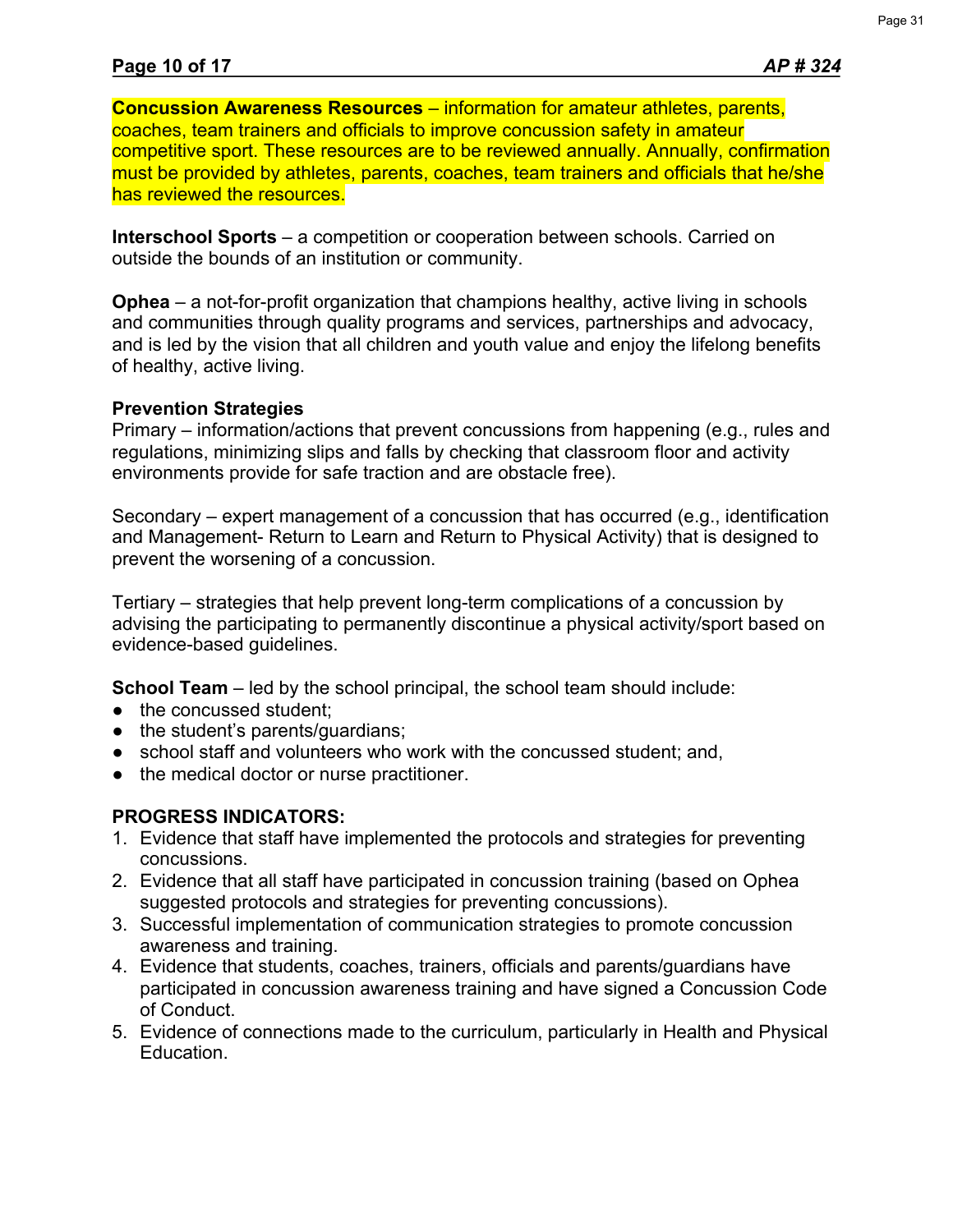**Concussion Awareness Resources** – information for amateur athletes, parents, coaches, team trainers and officials to improve concussion safety in amateur competitive sport. These resources are to be reviewed annually. Annually, confirmation must be provided by athletes, parents, coaches, team trainers and officials that he/she has reviewed the resources.

**Interschool Sports** – a competition or cooperation between schools. Carried on outside the bounds of an institution or community.

**Ophea** – a not-for-profit organization that champions healthy, active living in schools and communities through quality programs and services, partnerships and advocacy, and is led by the vision that all children and youth value and enjoy the lifelong benefits of healthy, active living.

## **Prevention Strategies**

Primary – information/actions that prevent concussions from happening (e.g., rules and regulations, minimizing slips and falls by checking that classroom floor and activity environments provide for safe traction and are obstacle free).

Secondary – expert management of a concussion that has occurred (e.g., identification and Management- Return to Learn and Return to Physical Activity) that is designed to prevent the worsening of a concussion.

Tertiary – strategies that help prevent long-term complications of a concussion by advising the participating to permanently discontinue a physical activity/sport based on evidence-based guidelines.

**School Team** – led by the school principal, the school team should include:

- the concussed student;
- the student's parents/guardians;
- school staff and volunteers who work with the concussed student; and,
- the medical doctor or nurse practitioner.

## **PROGRESS INDICATORS:**

- 1. Evidence that staff have implemented the protocols and strategies for preventing concussions.
- 2. Evidence that all staff have participated in concussion training (based on Ophea suggested protocols and strategies for preventing concussions).
- 3. Successful implementation of communication strategies to promote concussion awareness and training.
- 4. Evidence that students, coaches, trainers, officials and parents/guardians have participated in concussion awareness training and have signed a Concussion Code of Conduct.
- 5. Evidence of connections made to the curriculum, particularly in Health and Physical Education.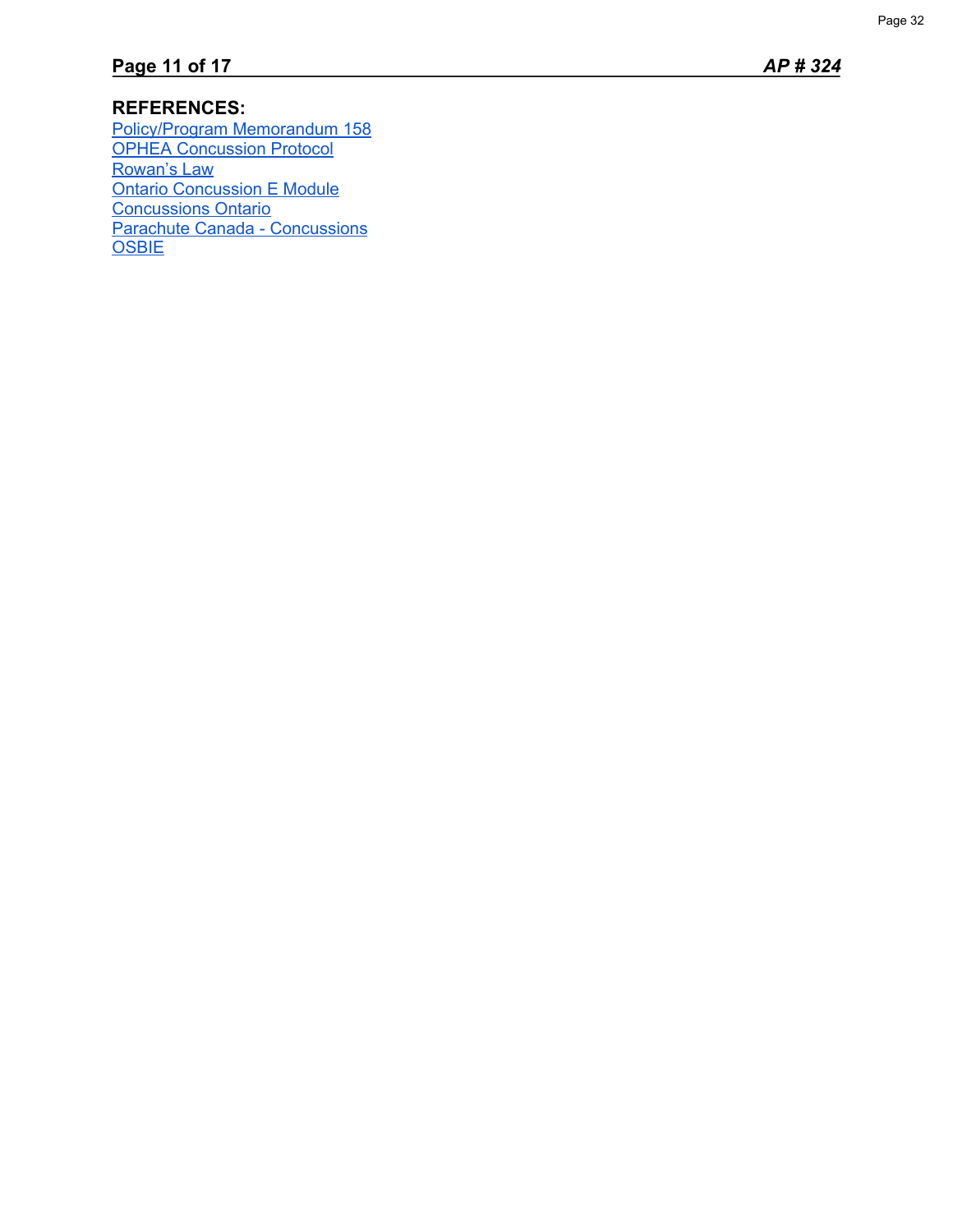## **REFERENCES:**

[Policy/Program Memorandum 158](http://www.edu.gov.on.ca/extra/eng/ppm/ppm-158-jan-2020.pdf) [OPHEA Concussion Protocol](https://safety.ophea.net/concussions) [Rowan's Law](https://www.ontario.ca/page/rowans-law-concussion-awareness-resources) [Ontario Concussion E Module](http://www.mtc.gov.on.ca/en/sport/e-mod/story.html) [Concussions Ontario](http://concussionsontario.org/) [Parachute Canada - Concussions](https://parachute.ca/en/injury-topic/concussion/) **[OSBIE](https://www.osbie.on.ca/osbie_videos/concussions-where-are-your-risks/)**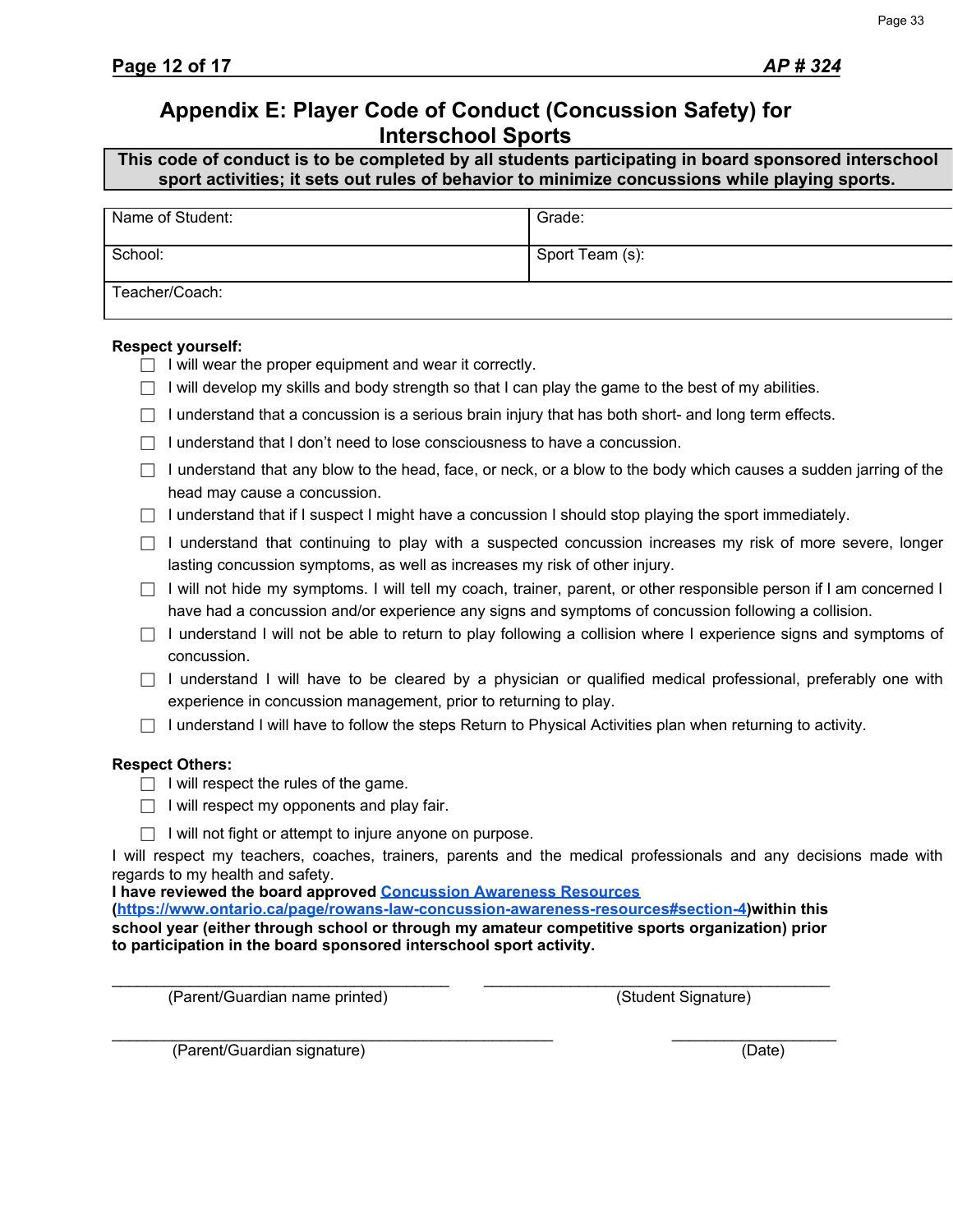## **Appendix E: Player Code of Conduct (Concussion Safety) for Interschool Sports**

**This code of conduct is to be completed by all students participating in board sponsored interschool sport activities; it sets out rules of behavior to minimize concussions while playing sports.**

| Name of Student: | Grade:          |
|------------------|-----------------|
| School:          | Sport Team (s): |
| Teacher/Coach:   |                 |

#### **Respect yourself:**

- $\Box$  I will wear the proper equipment and wear it correctly.
- $\Box$  I will develop my skills and body strength so that I can play the game to the best of my abilities.
- $\Box$  I understand that a concussion is a serious brain injury that has both short- and long term effects.
- $\Box$  I understand that I don't need to lose consciousness to have a concussion.
- $\Box$  I understand that any blow to the head, face, or neck, or a blow to the body which causes a sudden jarring of the head may cause a concussion.
- $\Box$  I understand that if I suspect I might have a concussion I should stop playing the sport immediately.
- $\Box$  I understand that continuing to play with a suspected concussion increases my risk of more severe, longer lasting concussion symptoms, as well as increases my risk of other injury.
- $\Box$  I will not hide my symptoms. I will tell my coach, trainer, parent, or other responsible person if I am concerned I have had a concussion and/or experience any signs and symptoms of concussion following a collision.
- $\Box$  I understand I will not be able to return to play following a collision where I experience signs and symptoms of concussion.
- $\Box$  I understand I will have to be cleared by a physician or qualified medical professional, preferably one with experience in concussion management, prior to returning to play.
- $\Box$  I understand I will have to follow the steps Return to Physical Activities plan when returning to activity.

#### **Respect Others:**

- $\Box$  I will respect the rules of the game.
- $\Box$  I will respect my opponents and play fair.
- $\Box$  I will not fight or attempt to injure anyone on purpose.

I will respect my teachers, coaches, trainers, parents and the medical professionals and any decisions made with regards to my health and safety.

**I have reviewed the board approved [Concussion Awareness Resources](https://www.ontario.ca/page/rowans-law-concussion-awareness-resources#section-4)**

**[\(https://www.ontario.ca/page/rowans-law-concussion-awareness-resources#section-4\)](https://www.ontario.ca/page/rowans-law-concussion-awareness-resources#section-4)within this school year (either through school or through my amateur competitive sports organization) prior to participation in the board sponsored interschool sport activity.**

\_\_\_\_\_\_\_\_\_\_\_\_\_\_\_\_\_\_\_\_\_\_\_\_\_\_\_\_\_\_\_\_\_\_\_\_\_\_\_ \_\_\_\_\_\_\_\_\_\_\_\_\_\_\_\_\_\_\_\_\_\_\_\_\_\_\_\_\_\_\_\_\_\_\_\_\_\_\_\_ (Parent/Guardian name printed) (Student Signature)

(Parent/Guardian signature) (Date)

\_\_\_\_\_\_\_\_\_\_\_\_\_\_\_\_\_\_\_\_\_\_\_\_\_\_\_\_\_\_\_\_\_\_\_\_\_\_\_\_\_\_\_\_\_\_\_\_\_\_\_ \_\_\_\_\_\_\_\_\_\_\_\_\_\_\_\_\_\_\_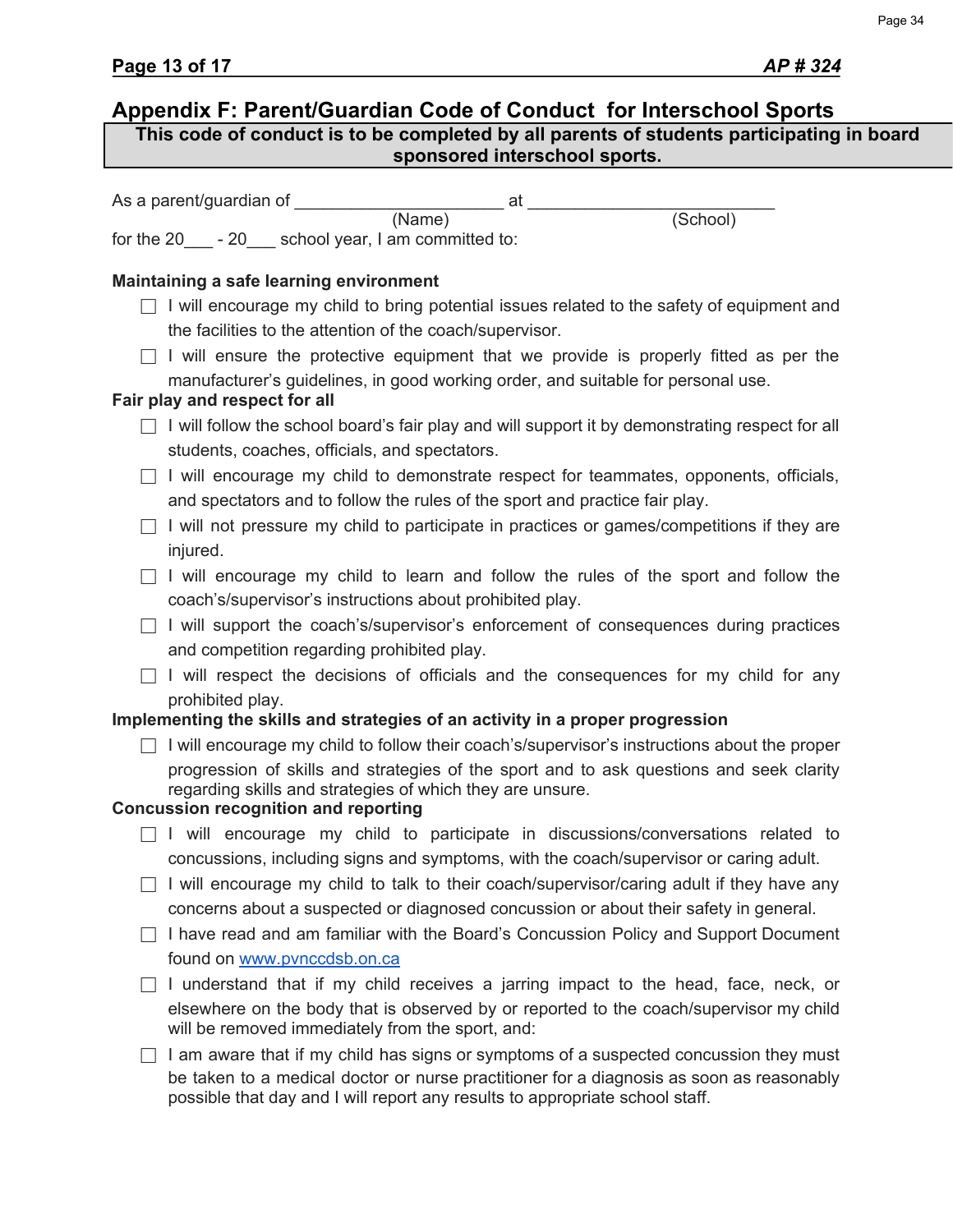## **Appendix F: Parent/Guardian Code of Conduct for Interschool Sports** As a parent/guardian of  $\overline{a}$  at  $\overline{a}$ (Name) (School) for the 20<sub>\_\_\_</sub> - 20<sub>\_\_\_</sub> school year, I am committed to: **Maintaining a safe learning environment**  $\Box$  I will encourage my child to bring potential issues related to the safety of equipment and the facilities to the attention of the coach/supervisor.  $\Box$  I will ensure the protective equipment that we provide is properly fitted as per the manufacturer's guidelines, in good working order, and suitable for personal use. **Fair play and respect for all**  $\Box$  I will follow the school board's fair play and will support it by demonstrating respect for all students, coaches, officials, and spectators.  $\Box$  I will encourage my child to demonstrate respect for teammates, opponents, officials, and spectators and to follow the rules of the sport and practice fair play.  $\Box$  I will not pressure my child to participate in practices or games/competitions if they are injured.  $\Box$  I will encourage my child to learn and follow the rules of the sport and follow the coach's/supervisor's instructions about prohibited play.  $\Box$  I will support the coach's/supervisor's enforcement of consequences during practices and competition regarding prohibited play. □ I will respect the decisions of officials and the consequences for my child for any prohibited play. **Implementing the skills and strategies of an activity in a proper progression**  $\Box$  I will encourage my child to follow their coach's/supervisor's instructions about the proper progression of skills and strategies of the sport and to ask questions and seek clarity regarding skills and strategies of which they are unsure. **Concussion recognition and reporting**  $\Box$  I will encourage my child to participate in discussions/conversations related to concussions, including signs and symptoms, with the coach/supervisor or caring adult.  $\Box$  I will encourage my child to talk to their coach/supervisor/caring adult if they have any concerns about a suspected or diagnosed concussion or about their safety in general.  $\Box$  I have read and am familiar with the Board's Concussion Policy and Support Document found on [www.pvnccdsb.on.ca](http://www.pvnccdsb.on.ca/)  $\Box$  I understand that if my child receives a jarring impact to the head, face, neck, or elsewhere on the body that is observed by or reported to the coach/supervisor my child will be removed immediately from the sport, and:  $\Box$  I am aware that if my child has signs or symptoms of a suspected concussion they must be taken to a medical doctor or nurse practitioner for a diagnosis as soon as reasonably possible that day and I will report any results to appropriate school staff. **This code of conduct is to be completed by all parents of students participating in board sponsored interschool sports.**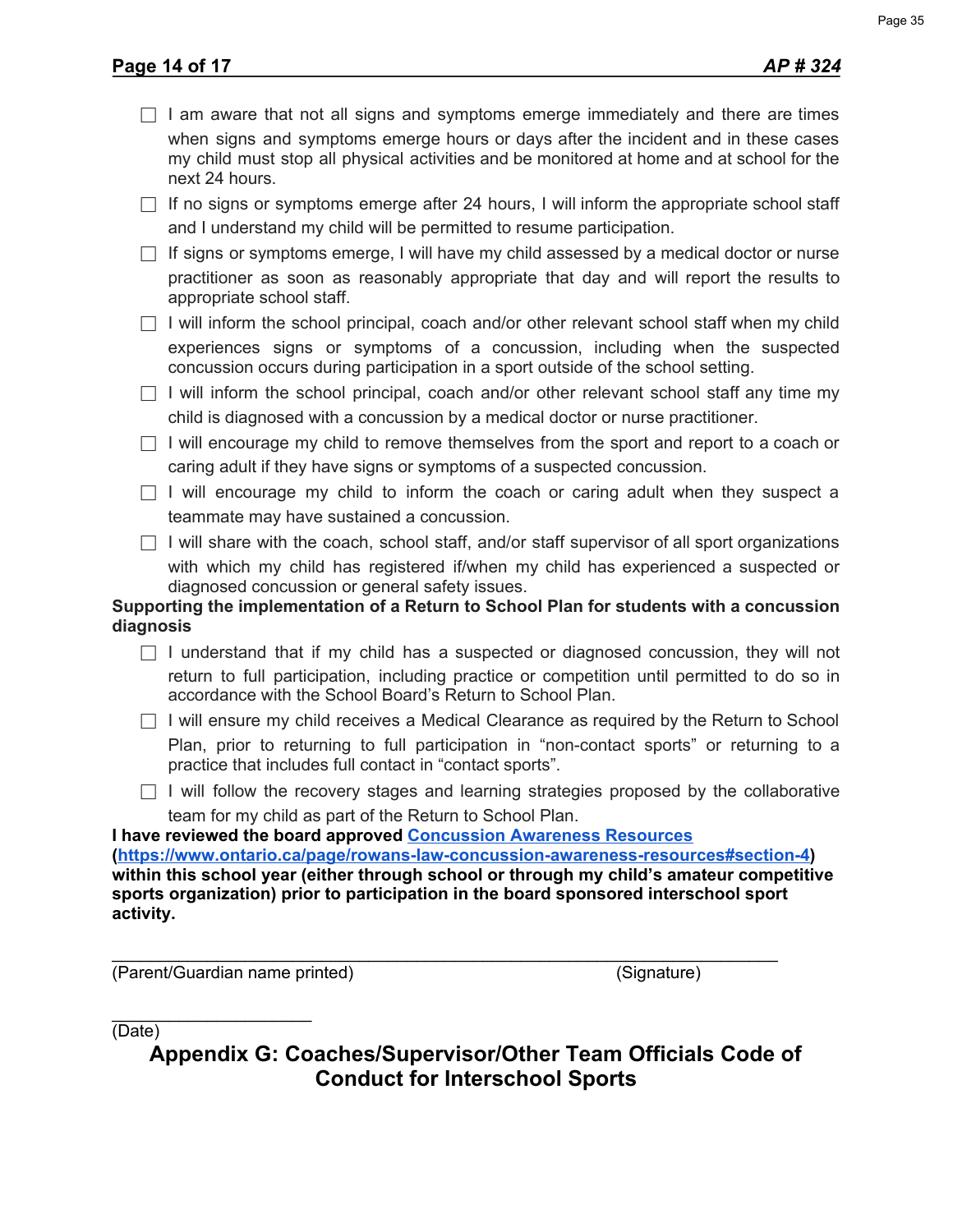| $\Box$ I am aware that not all signs and symptoms emerge immediately and there are times                                                                                                          |
|---------------------------------------------------------------------------------------------------------------------------------------------------------------------------------------------------|
| when signs and symptoms emerge hours or days after the incident and in these cases<br>my child must stop all physical activities and be monitored at home and at school for the<br>next 24 hours. |
| $\sim$                                                                                                                                                                                            |

 $\Box$  If no signs or symptoms emerge after 24 hours, I will inform the appropriate school staff and I understand my child will be permitted to resume participation.

 $\Box$  If signs or symptoms emerge, I will have my child assessed by a medical doctor or nurse practitioner as soon as reasonably appropriate that day and will report the results to appropriate school staff.

 $\Box$  I will inform the school principal, coach and/or other relevant school staff when my child experiences signs or symptoms of a concussion, including when the suspected concussion occurs during participation in a sport outside of the school setting.

 $\Box$  I will inform the school principal, coach and/or other relevant school staff any time my child is diagnosed with a concussion by a medical doctor or nurse practitioner.

 $\Box$  I will encourage my child to remove themselves from the sport and report to a coach or caring adult if they have signs or symptoms of a suspected concussion.

 $\Box$  I will encourage my child to inform the coach or caring adult when they suspect a teammate may have sustained a concussion.

 $\Box$  I will share with the coach, school staff, and/or staff supervisor of all sport organizations with which my child has registered if/when my child has experienced a suspected or diagnosed concussion or general safety issues.

## **Supporting the implementation of a Return to School Plan for students with a concussion diagnosis**

 $\Box$  I understand that if my child has a suspected or diagnosed concussion, they will not return to full participation, including practice or competition until permitted to do so in accordance with the School Board's Return to School Plan.

 $\Box$  I will ensure my child receives a Medical Clearance as required by the Return to School Plan, prior to returning to full participation in "non-contact sports" or returning to a practice that includes full contact in "contact sports".

 $\Box$  I will follow the recovery stages and learning strategies proposed by the collaborative team for my child as part of the Return to School Plan.

**I have reviewed the board approved [Concussion Awareness Resources](https://www.ontario.ca/page/rowans-law-concussion-awareness-resources#section-4) (<https://www.ontario.ca/page/rowans-law-concussion-awareness-resources#section-4>) within this school year (either through school or through my child's amateur competitive sports organization) prior to participation in the board sponsored interschool sport activity.**

\_\_\_\_\_\_\_\_\_\_\_\_\_\_\_\_\_\_\_\_\_\_\_\_\_\_\_\_\_\_\_\_\_\_\_\_\_\_\_\_\_\_\_\_\_\_\_\_\_\_\_\_\_\_\_\_\_\_\_\_\_\_\_\_\_\_\_\_\_\_ (Parent/Guardian name printed) (Signature)

 $\overline{\phantom{a}}$  , where  $\overline{\phantom{a}}$  , where  $\overline{\phantom{a}}$  , where  $\overline{\phantom{a}}$ (Date)

**Appendix G: Coaches/Supervisor/Other Team Officials Code of Conduct for Interschool Sports**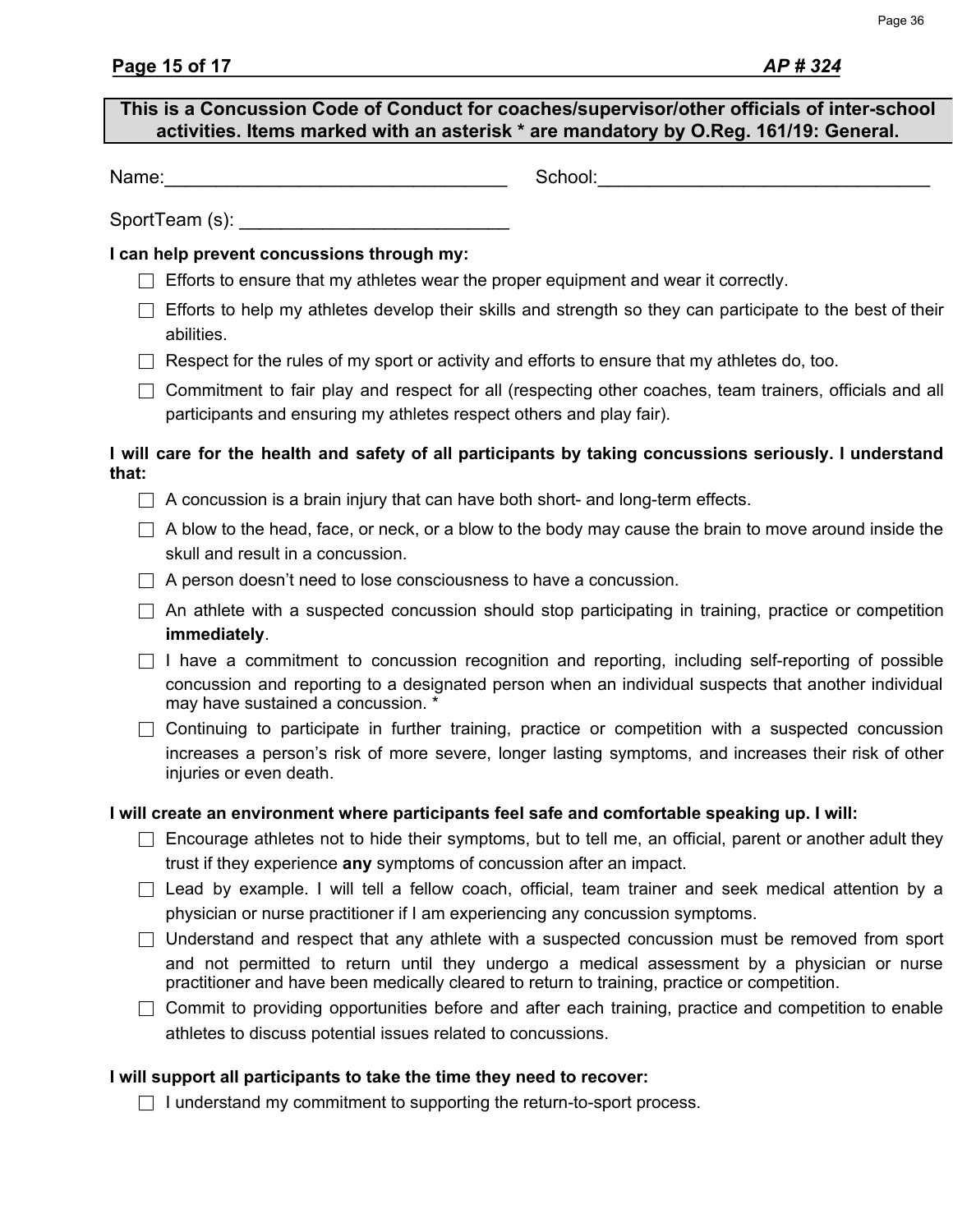## **This is a Concussion Code of Conduct for coaches/supervisor/other officials of inter-school activities. Items marked with an asterisk \* are mandatory by O.Reg. 161/19: General.**

Name:\_\_\_\_\_\_\_\_\_\_\_\_\_\_\_\_\_\_\_\_\_\_\_\_\_\_\_\_\_\_\_\_\_ School:\_\_\_\_\_\_\_\_\_\_\_\_\_\_\_\_\_\_\_\_\_\_\_\_\_\_\_\_\_\_\_\_

SportTeam (s):

### **I can help prevent concussions through my:**

- $\Box$  Efforts to ensure that my athletes wear the proper equipment and wear it correctly.
- $\Box$  Efforts to help my athletes develop their skills and strength so they can participate to the best of their abilities.
- $\Box$  Respect for the rules of my sport or activity and efforts to ensure that my athletes do, too.
- $\Box$  Commitment to fair play and respect for all (respecting other coaches, team trainers, officials and all participants and ensuring my athletes respect others and play fair).

### **I will care for the health and safety of all participants by taking concussions seriously. I understand that:**

- $\Box$  A concussion is a brain injury that can have both short- and long-term effects.
- $\Box$  A blow to the head, face, or neck, or a blow to the body may cause the brain to move around inside the skull and result in a concussion.
- $\Box$  A person doesn't need to lose consciousness to have a concussion.
- $\Box$  An athlete with a suspected concussion should stop participating in training, practice or competition **immediately**.
- $\Box$  I have a commitment to concussion recognition and reporting, including self-reporting of possible concussion and reporting to a designated person when an individual suspects that another individual may have sustained a concussion. \*
- $\Box$  Continuing to participate in further training, practice or competition with a suspected concussion increases a person's risk of more severe, longer lasting symptoms, and increases their risk of other injuries or even death.

## **I will create an environment where participants feel safe and comfortable speaking up. I will:**

- $\Box$  Encourage athletes not to hide their symptoms, but to tell me, an official, parent or another adult they trust if they experience **any** symptoms of concussion after an impact.
- $\Box$  Lead by example. I will tell a fellow coach, official, team trainer and seek medical attention by a physician or nurse practitioner if I am experiencing any concussion symptoms.
- $\Box$  Understand and respect that any athlete with a suspected concussion must be removed from sport and not permitted to return until they undergo a medical assessment by a physician or nurse practitioner and have been medically cleared to return to training, practice or competition.
- $\Box$  Commit to providing opportunities before and after each training, practice and competition to enable athletes to discuss potential issues related to concussions.

## **I will support all participants to take the time they need to recover:**

 $\Box$  I understand my commitment to supporting the return-to-sport process.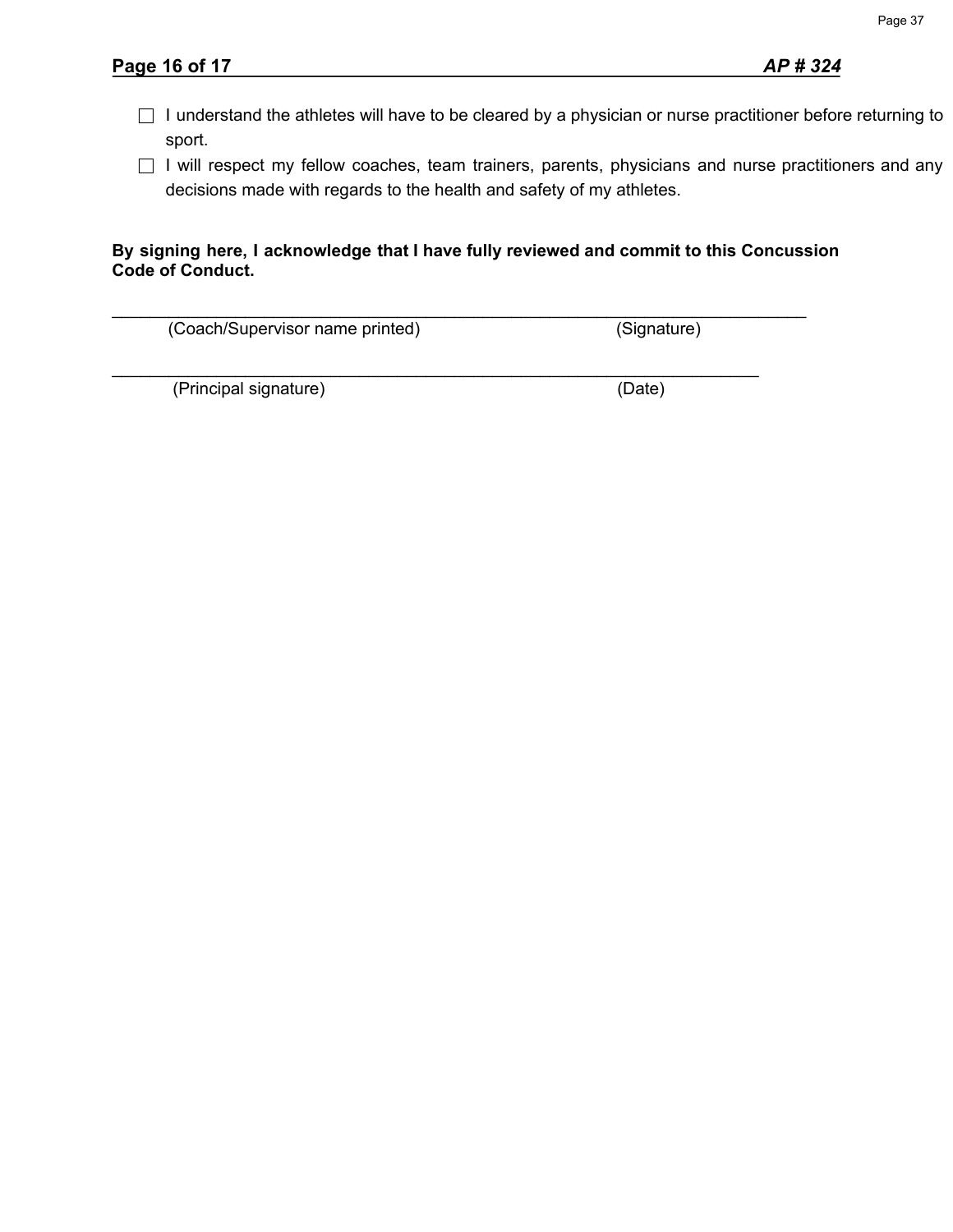- □ I understand the athletes will have to be cleared by a physician or nurse practitioner before returning to sport.
- □ I will respect my fellow coaches, team trainers, parents, physicians and nurse practitioners and any decisions made with regards to the health and safety of my athletes.

### **By signing here, I acknowledge that I have fully reviewed and commit to this Concussion Code of Conduct.**

| (Coach/Supervisor name printed) | (Signature) |
|---------------------------------|-------------|
| (Principal signature)           | (Date)      |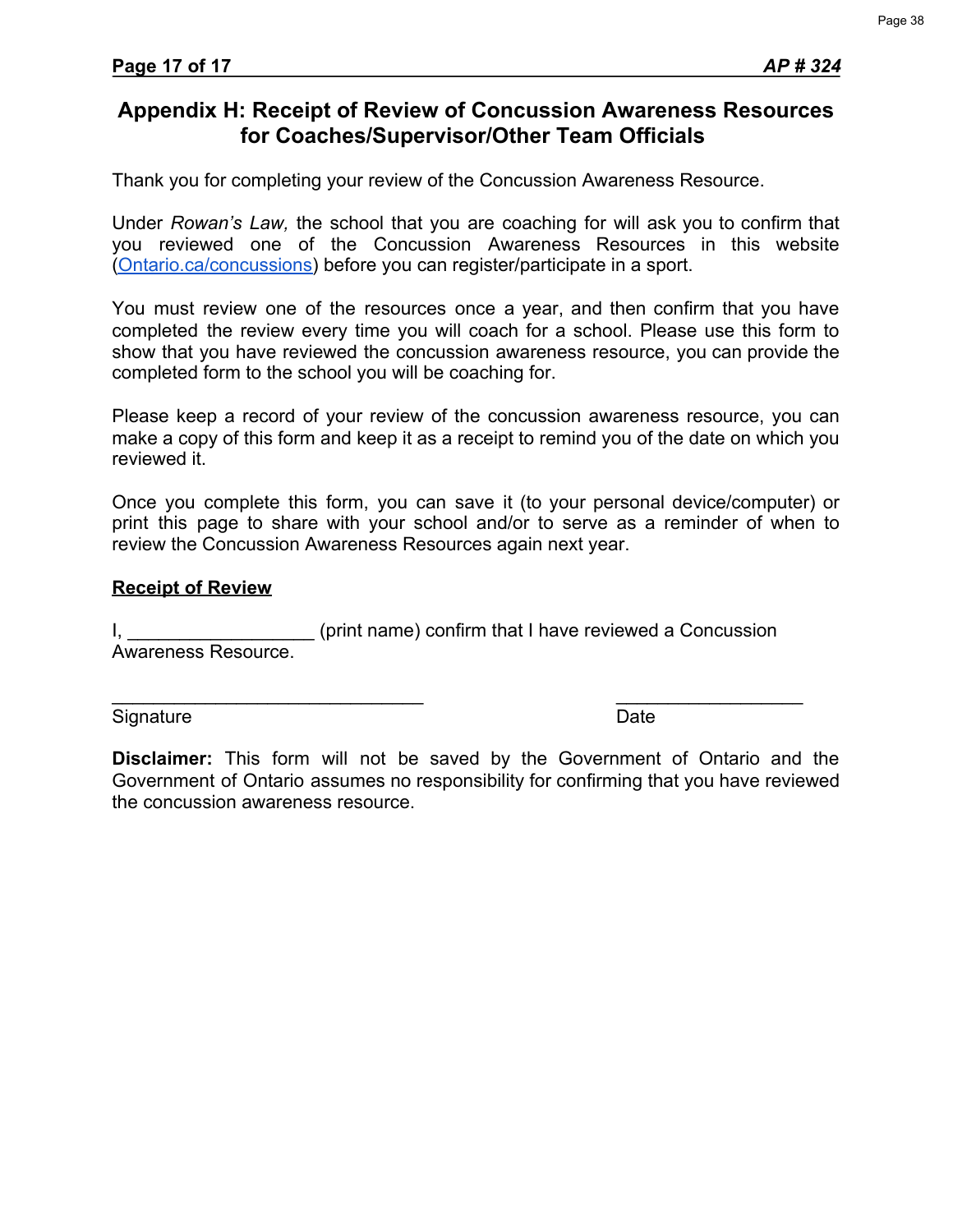Thank you for completing your review of the Concussion Awareness Resource.

Under *Rowan's Law,* the school that you are coaching for will ask you to confirm that you reviewed one of the Concussion Awareness Resources in this website ([Ontario.ca/concussions\)](https://www.ontario.ca/page/rowans-law-concussion-safety) before you can register/participate in a sport.

You must review one of the resources once a year, and then confirm that you have completed the review every time you will coach for a school. Please use this form to show that you have reviewed the concussion awareness resource, you can provide the completed form to the school you will be coaching for.

Please keep a record of your review of the concussion awareness resource, you can make a copy of this form and keep it as a receipt to remind you of the date on which you reviewed it.

Once you complete this form, you can save it (to your personal device/computer) or print this page to share with your school and/or to serve as a reminder of when to review the Concussion Awareness Resources again next year.

#### **Receipt of Review**

I, **I** and the setting of the setting of the setting of the setting of the setting of the setting of the setting of the setting  $I$ ,  $I$ Awareness Resource.

Signature Date **Date** 

 $\overline{\phantom{a}}$  , and the contract of the contract of the contract of the contract of the contract of the contract of the contract of the contract of the contract of the contract of the contract of the contract of the contrac

**Disclaimer:** This form will not be saved by the Government of Ontario and the Government of Ontario assumes no responsibility for confirming that you have reviewed the concussion awareness resource.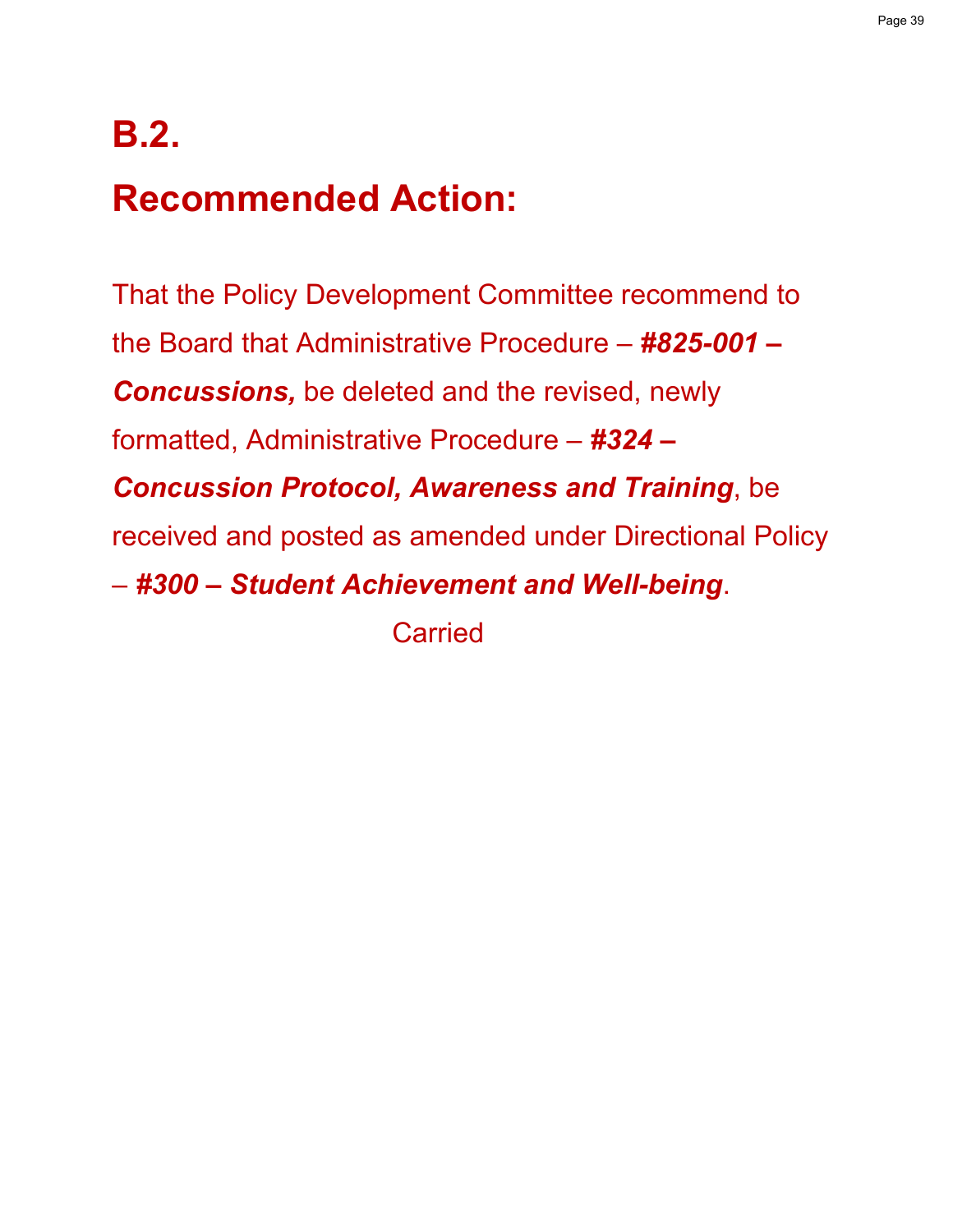## **B.2.**

## **Recommended Action:**

That the Policy Development Committee recommend to the Board that Administrative Procedure – *#825-001 – Concussions,* be deleted and the revised, newly formatted, Administrative Procedure – *#324 – Concussion Protocol, Awareness and Training*, be received and posted as amended under Directional Policy – *#300 – Student Achievement and Well-being*. Carried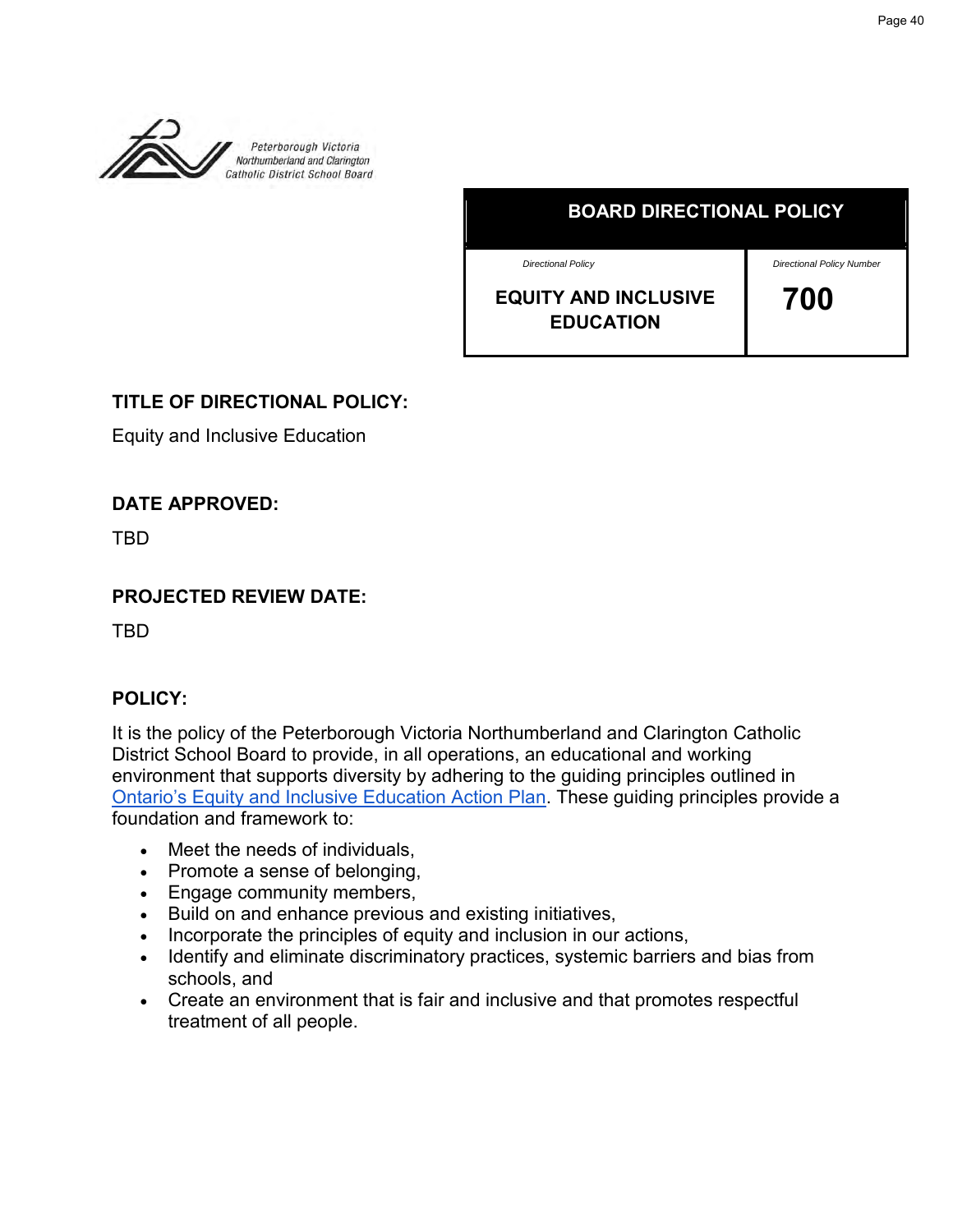

**BOARD DIRECTIONAL POLICY**

*Directional Policy*

*Directional Policy Number*

| <b>EQUITY AND INCLUSIVE</b> |  |
|-----------------------------|--|
| <b>EDUCATION</b>            |  |

 **700** 

## **TITLE OF DIRECTIONAL POLICY:**

Equity and Inclusive Education

## **DATE APPROVED:**

TBD

## **PROJECTED REVIEW DATE:**

TBD

## **POLICY:**

It is the policy of the Peterborough Victoria Northumberland and Clarington Catholic [District School Board to provide, in all operations, an](http://www.edu.gov.on.ca/eng/about/education_equity_plan_en.pdf) educational and working environment that supports diversity by adhering to the guiding principles outlined in Ontario's Equity and Inclusive Education Action Plan. These guiding principles provide a foundation and framework to:

- Meet the needs of individuals,
- Promote a sense of belonging,
- Engage community members,
- Build on and enhance previous and existing initiatives,
- Incorporate the principles of equity and inclusion in our actions,
- Identify and eliminate discriminatory practices, systemic barriers and bias from schools, and
- Create an environment that is fair and inclusive and that promotes respectful treatment of all people.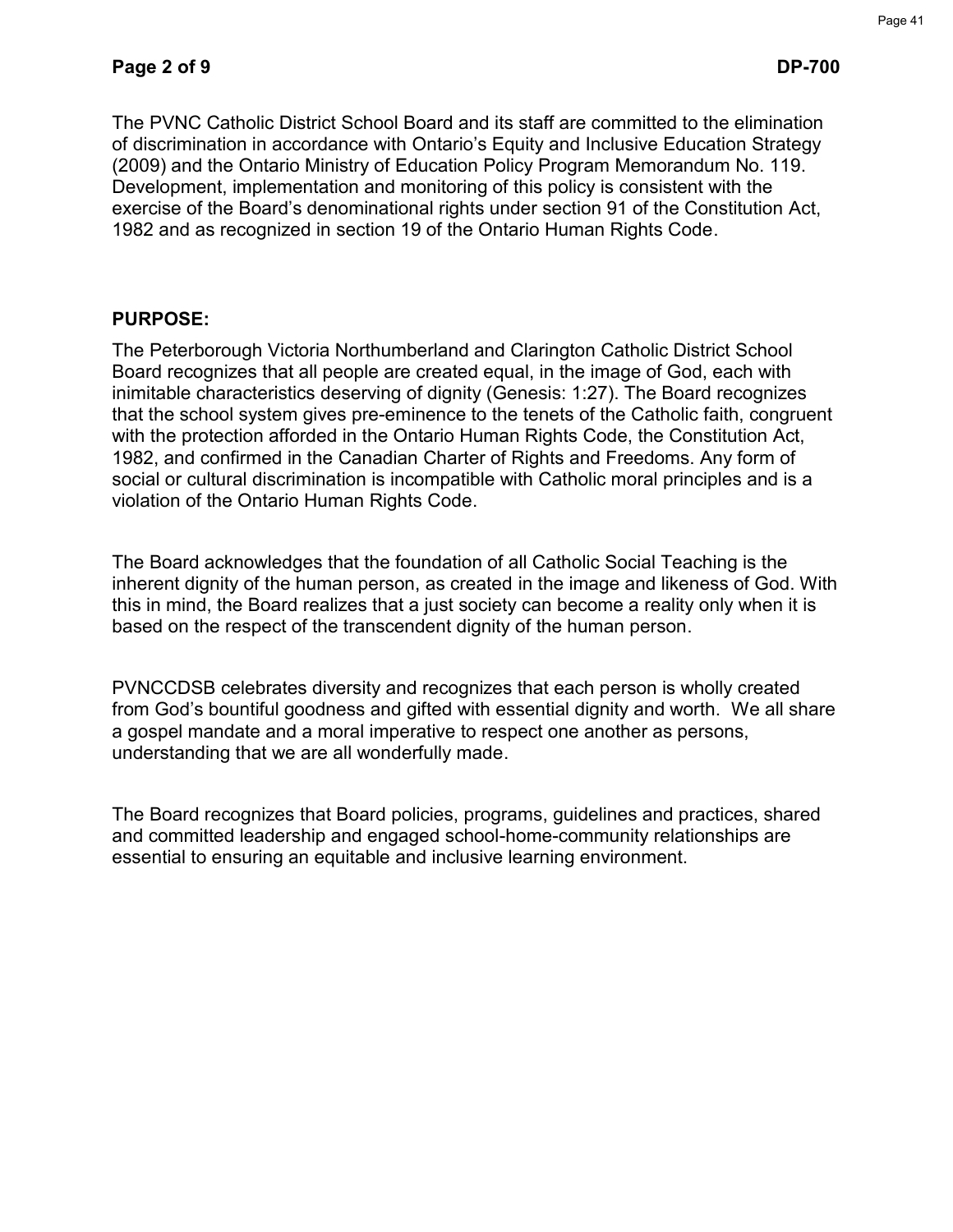The PVNC Catholic District School Board and its staff are committed to the elimination of discrimination in accordance with Ontario's Equity and Inclusive Education Strategy (2009) and the Ontario Ministry of Education Policy Program Memorandum No. 119. Development, implementation and monitoring of this policy is consistent with the exercise of the Board's denominational rights under section 91 of the Constitution Act, 1982 and as recognized in section 19 of the Ontario Human Rights Code.

## **PURPOSE:**

The Peterborough Victoria Northumberland and Clarington Catholic District School Board recognizes that all people are created equal, in the image of God, each with inimitable characteristics deserving of dignity (Genesis: 1:27). The Board recognizes that the school system gives pre-eminence to the tenets of the Catholic faith, congruent with the protection afforded in the Ontario Human Rights Code, the Constitution Act, 1982, and confirmed in the Canadian Charter of Rights and Freedoms. Any form of social or cultural discrimination is incompatible with Catholic moral principles and is a violation of the Ontario Human Rights Code.

The Board acknowledges that the foundation of all Catholic Social Teaching is the inherent dignity of the human person, as created in the image and likeness of God. With this in mind, the Board realizes that a just society can become a reality only when it is based on the respect of the transcendent dignity of the human person.

PVNCCDSB celebrates diversity and recognizes that each person is wholly created from God's bountiful goodness and gifted with essential dignity and worth. We all share a gospel mandate and a moral imperative to respect one another as persons, understanding that we are all wonderfully made.

The Board recognizes that Board policies, programs, guidelines and practices, shared and committed leadership and engaged school-home-community relationships are essential to ensuring an equitable and inclusive learning environment.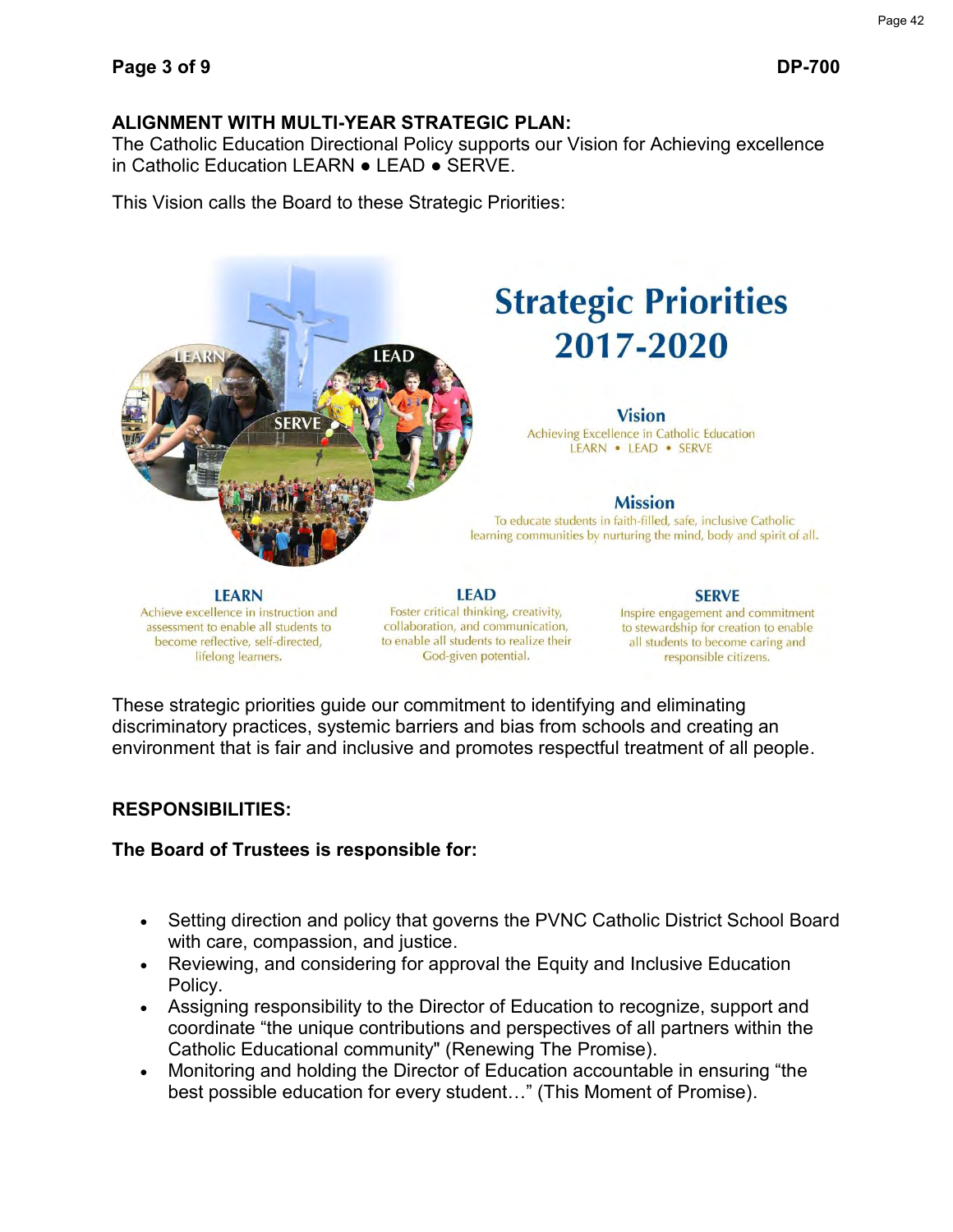## **ALIGNMENT WITH MULTI-YEAR STRATEGIC PLAN:**

The Catholic Education Directional Policy supports our Vision for Achieving excellence in Catholic Education LEARN ● LEAD ● SERVE.

This Vision calls the Board to these Strategic Priorities:



## **Strategic Priorities** 2017-2020

#### **Vision**

Achieving Excellence in Catholic Education LEARN . LEAD . SERVE

#### **Mission**

To educate students in faith-filled, safe, inclusive Catholic learning communities by nurturing the mind, body and spirit of all.

**LEARN** Achieve excellence in instruction and assessment to enable all students to become reflective, self-directed, lifelong learners.

**LEAD** Foster critical thinking, creativity, collaboration, and communication, to enable all students to realize their God-given potential.

#### **SERVE** Inspire engagement and commitment to stewardship for creation to enable all students to become caring and responsible citizens.

These strategic priorities guide our commitment to identifying and eliminating discriminatory practices, systemic barriers and bias from schools and creating an environment that is fair and inclusive and promotes respectful treatment of all people.

## **RESPONSIBILITIES:**

## **The Board of Trustees is responsible for:**

- Setting direction and policy that governs the PVNC Catholic District School Board with care, compassion, and justice.
- Reviewing, and considering for approval the Equity and Inclusive Education Policy.
- Assigning responsibility to the Director of Education to recognize, support and coordinate "the unique contributions and perspectives of all partners within the Catholic Educational community" (Renewing The Promise).
- Monitoring and holding the Director of Education accountable in ensuring "the best possible education for every student…" (This Moment of Promise).

Page 42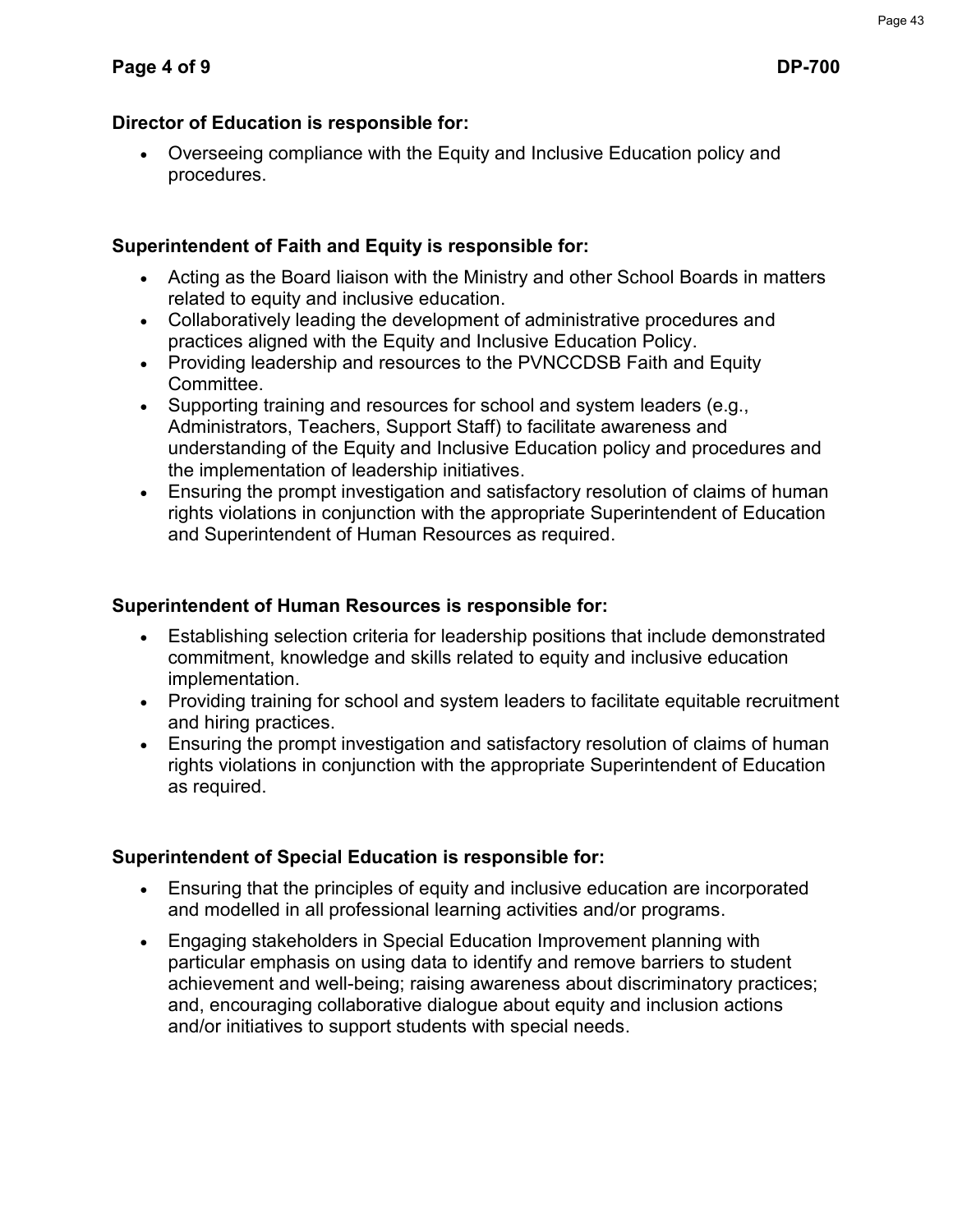## **Director of Education is responsible for:**

 Overseeing compliance with the Equity and Inclusive Education policy and procedures.

## **Superintendent of Faith and Equity is responsible for:**

- Acting as the Board liaison with the Ministry and other School Boards in matters related to equity and inclusive education.
- Collaboratively leading the development of administrative procedures and practices aligned with the Equity and Inclusive Education Policy.
- Providing leadership and resources to the PVNCCDSB Faith and Equity Committee.
- Supporting training and resources for school and system leaders (e.g., Administrators, Teachers, Support Staff) to facilitate awareness and understanding of the Equity and Inclusive Education policy and procedures and the implementation of leadership initiatives.
- Ensuring the prompt investigation and satisfactory resolution of claims of human rights violations in conjunction with the appropriate Superintendent of Education and Superintendent of Human Resources as required.

## **Superintendent of Human Resources is responsible for:**

- Establishing selection criteria for leadership positions that include demonstrated commitment, knowledge and skills related to equity and inclusive education implementation.
- Providing training for school and system leaders to facilitate equitable recruitment and hiring practices.
- Ensuring the prompt investigation and satisfactory resolution of claims of human rights violations in conjunction with the appropriate Superintendent of Education as required.

## **Superintendent of Special Education is responsible for:**

- Ensuring that the principles of equity and inclusive education are incorporated and modelled in all professional learning activities and/or programs.
- Engaging stakeholders in Special Education Improvement planning with particular emphasis on using data to identify and remove barriers to student achievement and well-being; raising awareness about discriminatory practices; and, encouraging collaborative dialogue about equity and inclusion actions and/or initiatives to support students with special needs.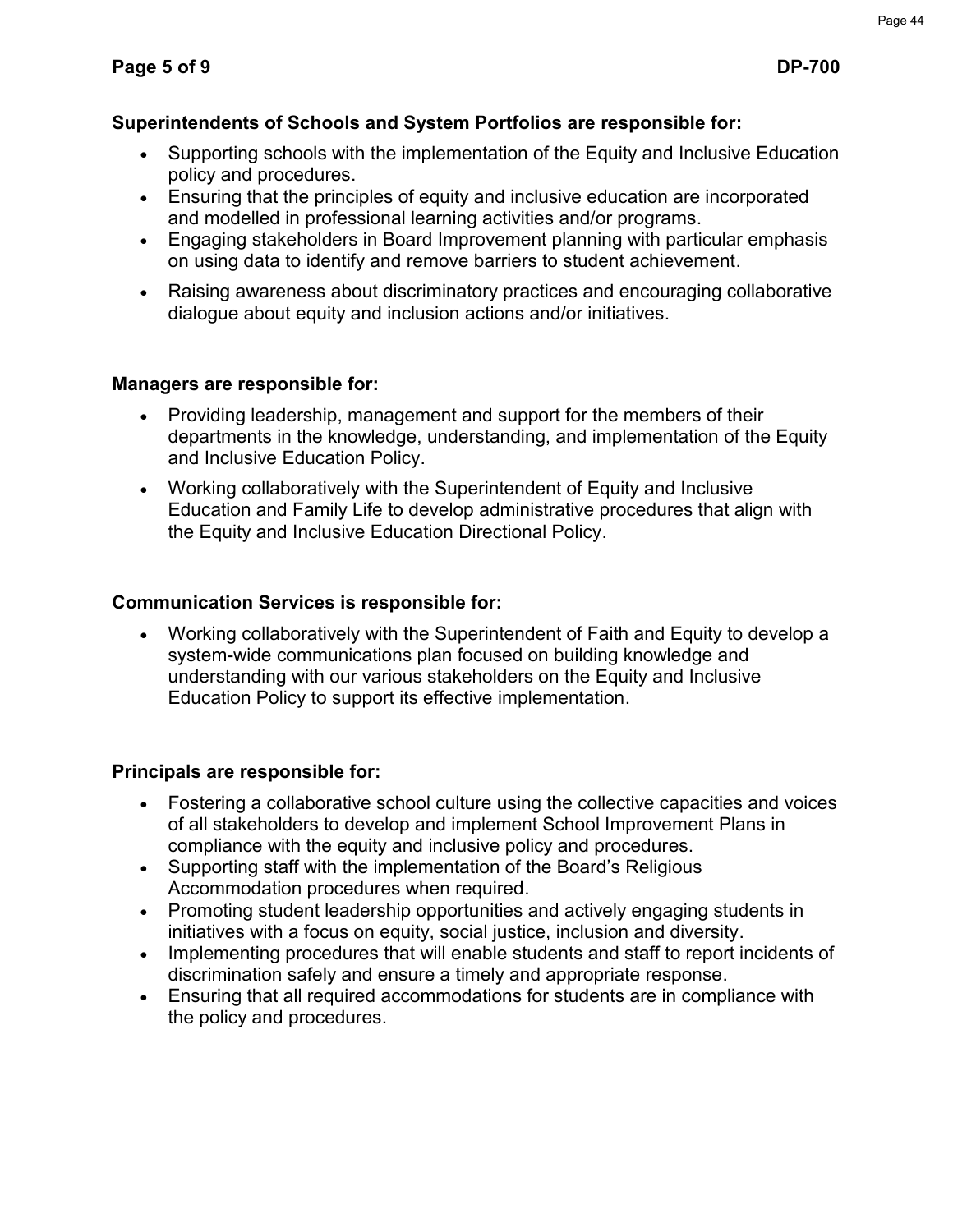## **Superintendents of Schools and System Portfolios are responsible for:**

- Supporting schools with the implementation of the Equity and Inclusive Education policy and procedures.
- Ensuring that the principles of equity and inclusive education are incorporated and modelled in professional learning activities and/or programs.
- Engaging stakeholders in Board Improvement planning with particular emphasis on using data to identify and remove barriers to student achievement.
- Raising awareness about discriminatory practices and encouraging collaborative dialogue about equity and inclusion actions and/or initiatives.

## **Managers are responsible for:**

- Providing leadership, management and support for the members of their departments in the knowledge, understanding, and implementation of the Equity and Inclusive Education Policy.
- Working collaboratively with the Superintendent of Equity and Inclusive Education and Family Life to develop administrative procedures that align with the Equity and Inclusive Education Directional Policy.

## **Communication Services is responsible for:**

 Working collaboratively with the Superintendent of Faith and Equity to develop a system-wide communications plan focused on building knowledge and understanding with our various stakeholders on the Equity and Inclusive Education Policy to support its effective implementation.

## **Principals are responsible for:**

- Fostering a collaborative school culture using the collective capacities and voices of all stakeholders to develop and implement School Improvement Plans in compliance with the equity and inclusive policy and procedures.
- Supporting staff with the implementation of the Board's Religious Accommodation procedures when required.
- Promoting student leadership opportunities and actively engaging students in initiatives with a focus on equity, social justice, inclusion and diversity.
- Implementing procedures that will enable students and staff to report incidents of discrimination safely and ensure a timely and appropriate response.
- Ensuring that all required accommodations for students are in compliance with the policy and procedures.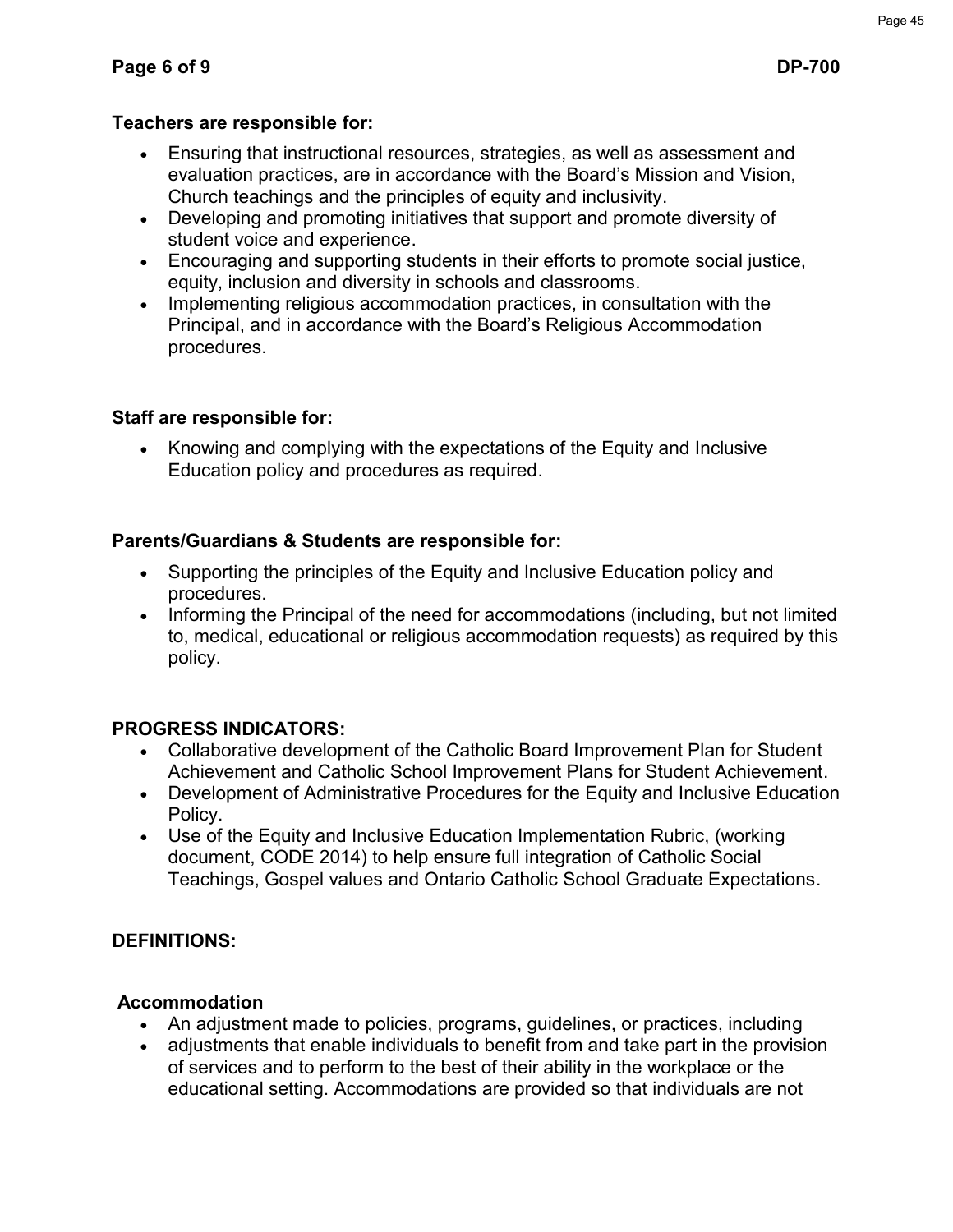## **Teachers are responsible for:**

- Ensuring that instructional resources, strategies, as well as assessment and evaluation practices, are in accordance with the Board's Mission and Vision, Church teachings and the principles of equity and inclusivity.
- Developing and promoting initiatives that support and promote diversity of student voice and experience.
- Encouraging and supporting students in their efforts to promote social justice, equity, inclusion and diversity in schools and classrooms.
- Implementing religious accommodation practices, in consultation with the Principal, and in accordance with the Board's Religious Accommodation procedures.

## **Staff are responsible for:**

• Knowing and complying with the expectations of the Equity and Inclusive Education policy and procedures as required.

## **Parents/Guardians & Students are responsible for:**

- Supporting the principles of the Equity and Inclusive Education policy and procedures.
- Informing the Principal of the need for accommodations (including, but not limited to, medical, educational or religious accommodation requests) as required by this policy.

## **PROGRESS INDICATORS:**

- Collaborative development of the Catholic Board Improvement Plan for Student Achievement and Catholic School Improvement Plans for Student Achievement.
- Development of Administrative Procedures for the Equity and Inclusive Education Policy.
- Use of the Equity and Inclusive Education Implementation Rubric, (working document, CODE 2014) to help ensure full integration of Catholic Social Teachings, Gospel values and Ontario Catholic School Graduate Expectations.

## **DEFINITIONS:**

## **Accommodation**

- An adjustment made to policies, programs, guidelines, or practices, including
- adjustments that enable individuals to benefit from and take part in the provision of services and to perform to the best of their ability in the workplace or the educational setting. Accommodations are provided so that individuals are not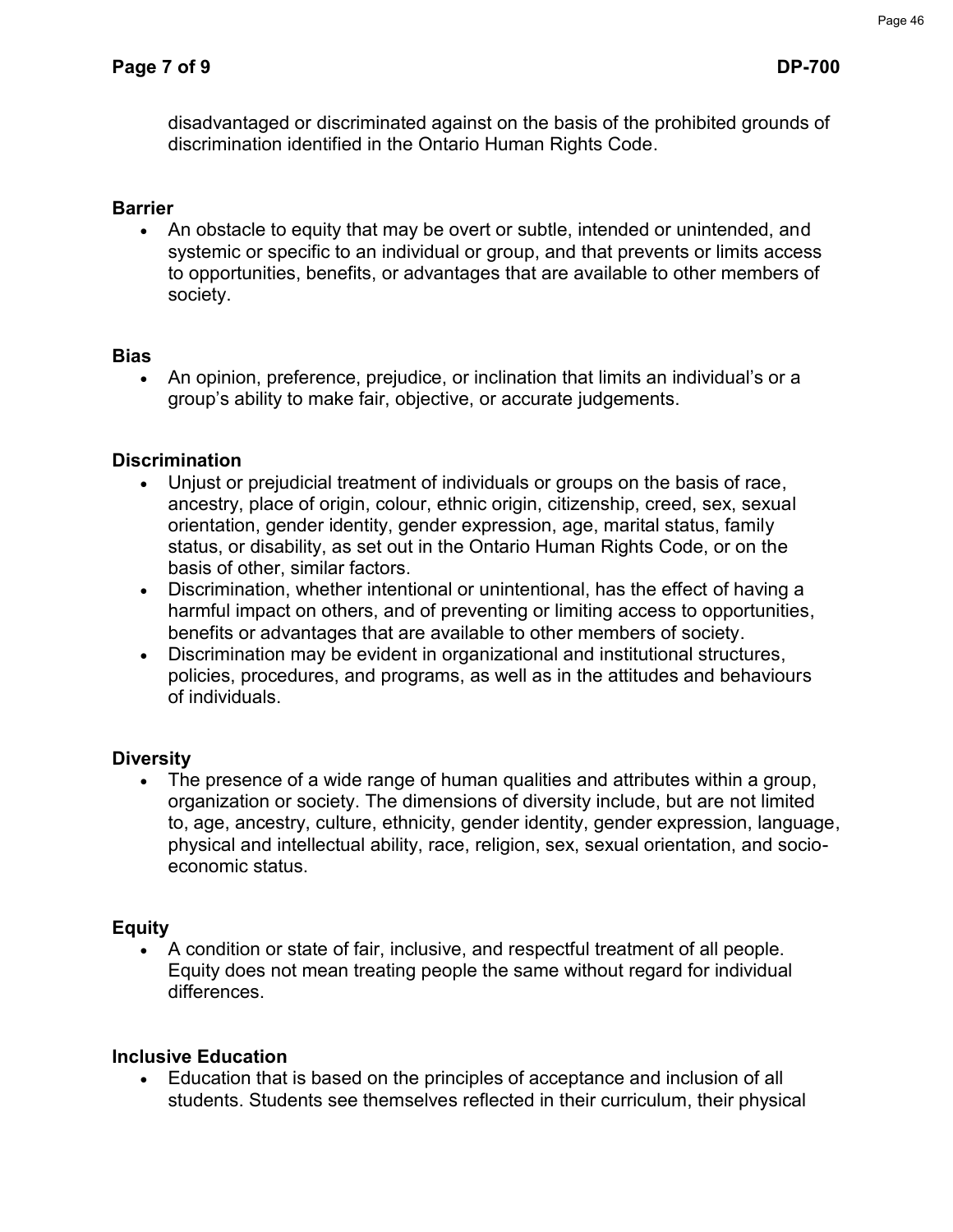disadvantaged or discriminated against on the basis of the prohibited grounds of discrimination identified in the Ontario Human Rights Code.

## **Barrier**

 An obstacle to equity that may be overt or subtle, intended or unintended, and systemic or specific to an individual or group, and that prevents or limits access to opportunities, benefits, or advantages that are available to other members of society.

## **Bias**

 An opinion, preference, prejudice, or inclination that limits an individual's or a group's ability to make fair, objective, or accurate judgements.

## **Discrimination**

- Unjust or prejudicial treatment of individuals or groups on the basis of race, ancestry, place of origin, colour, ethnic origin, citizenship, creed, sex, sexual orientation, gender identity, gender expression, age, marital status, family status, or disability, as set out in the Ontario Human Rights Code, or on the basis of other, similar factors.
- Discrimination, whether intentional or unintentional, has the effect of having a harmful impact on others, and of preventing or limiting access to opportunities, benefits or advantages that are available to other members of society.
- Discrimination may be evident in organizational and institutional structures, policies, procedures, and programs, as well as in the attitudes and behaviours of individuals.

## **Diversity**

 The presence of a wide range of human qualities and attributes within a group, organization or society. The dimensions of diversity include, but are not limited to, age, ancestry, culture, ethnicity, gender identity, gender expression, language, physical and intellectual ability, race, religion, sex, sexual orientation, and socioeconomic status.

## **Equity**

 A condition or state of fair, inclusive, and respectful treatment of all people. Equity does not mean treating people the same without regard for individual differences.

## **Inclusive Education**

 Education that is based on the principles of acceptance and inclusion of all students. Students see themselves reflected in their curriculum, their physical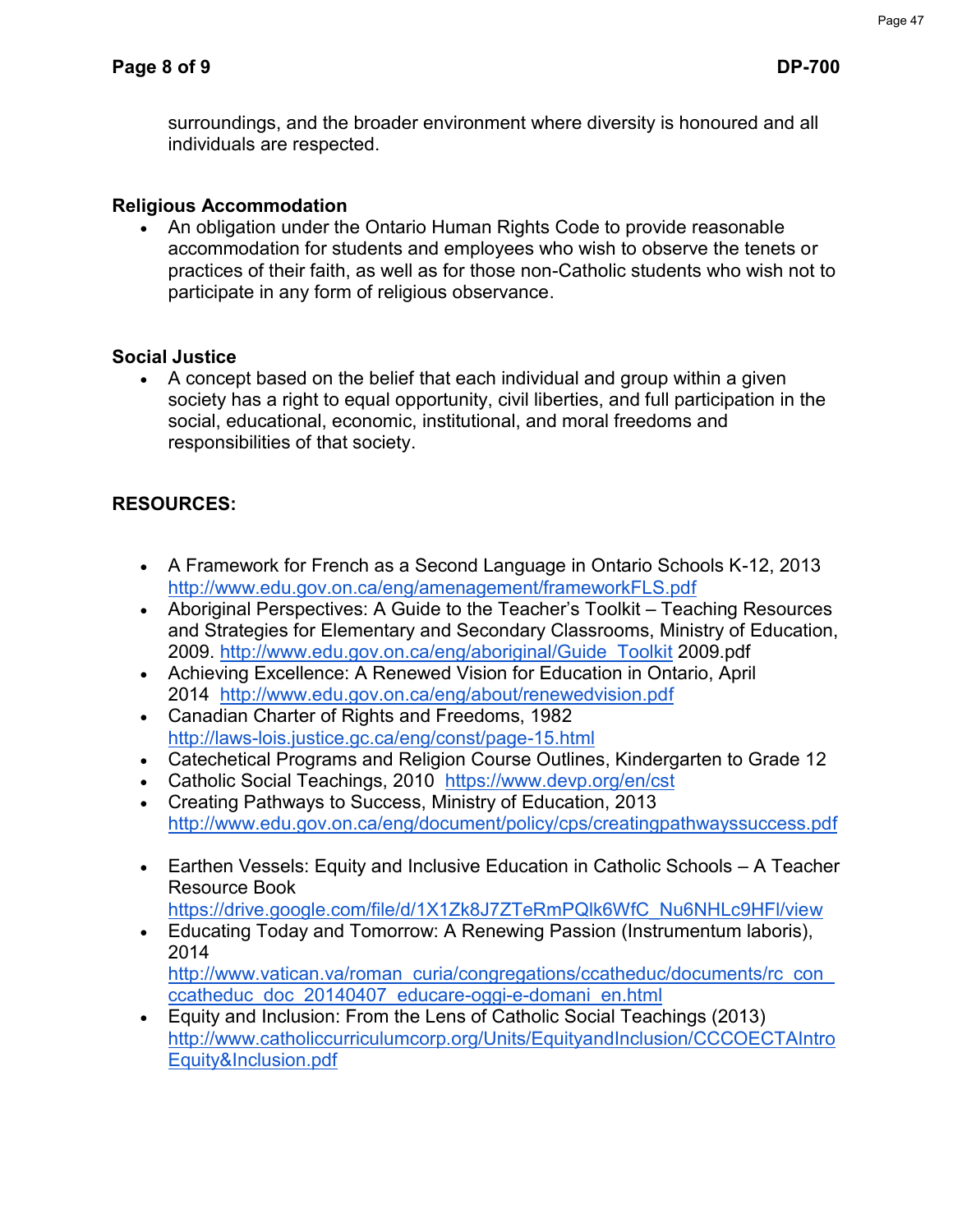surroundings, and the broader environment where diversity is honoured and all individuals are respected.

## **Religious Accommodation**

• An obligation under the Ontario Human Rights Code to provide reasonable accommodation for students and employees who wish to observe the tenets or practices of their faith, as well as for those non-Catholic students who wish not to participate in any form of religious observance.

## **Social Justice**

 A concept based on the belief that each individual and group within a given society has a right to equal opportunity, civil liberties, and full participation in the social, educational, economic, institutional, and moral freedoms and responsibilities of that society.

## **RESOURCES:**

- A Framework for French as a Second Language in Ontario Schools K-12, 2013 http://www.edu.gov.on.ca/eng/amenagement/frameworkFLS.pdf
- Aboriginal Perspectives: A Guide to the Teacher's Toolkit Teaching Resources [and Strategies for Elementary and Secondary Classrooms, Minis](http://www.edu.gov.on.ca/eng/amenagement/frameworkFLS.pdf)try of Education, 2009. http://www.edu.gov.on.ca/eng/aboriginal/Guide\_Toolkit 2009.pdf
- Achieving Excellence: A Renewed Vision for Education in Ontario, April 2014 [http://www.edu.gov.on.ca/eng/about/renewedvision.pdf](http://www.edu.gov.on.ca/eng/aboriginal/Guide_Toolkit)
- Canadian Charter of Rights and Freedoms, 1982 [http://laws-lois.justice.gc.ca/eng/const/page-15.html](http://www.edu.gov.on.ca/eng/about/renewedvision.pdf)
- Catechetical Programs and Religion Course Outlines, Kindergarten to Grade 12
- Catholic Social Teachings, 2010 https://www.devp.org/en/cst
- [Creating Pathways to Success, Ministry of Educatio](http://laws-lois.justice.gc.ca/eng/const/page-15.html)n, 2013 http://www.edu.gov.on.ca/eng/document/policy/cps/creatingpathwayssuccess.pdf
- Earthen Vessels: Equity and Inclusive Education in Catholic Schools A Teacher Resource Book

[https://drive.google.com/file/d/1X1Zk8J7ZTeRmPQlk6WfC\\_Nu6NHLc9HFl/view](http://www.edu.gov.on.ca/eng/document/policy/cps/creatingpathwayssuccess.pdf)

- Educating Today and Tomorrow: A Renewing Passion (Instrumentum laboris), 2014 [http://www.vatican.va/roman\\_curia/congregations/ccatheduc/documents/rc\\_con](https://drive.google.com/file/d/1X1Zk8J7ZTeRmPQlk6WfC_Nu6NHLc9HFl/view)\_ ccatheduc\_doc\_20140407\_educare-oggi-e-domani\_en.html
- Equity and Inclusion: From the Lens of Catholic Social Teachings (2013) [http://www.catholiccurriculumcorp.org/Units/EquityandInclusion/CCCOECTAIntro](http://www.vatican.va/roman_curia/congregations/ccatheduc/documents/rc_con_ccatheduc_doc_20140407_educare-oggi-e-domani_en.html) [Equity&Inclusion.pdf](http://www.vatican.va/roman_curia/congregations/ccatheduc/documents/rc_con_ccatheduc_doc_20140407_educare-oggi-e-domani_en.html)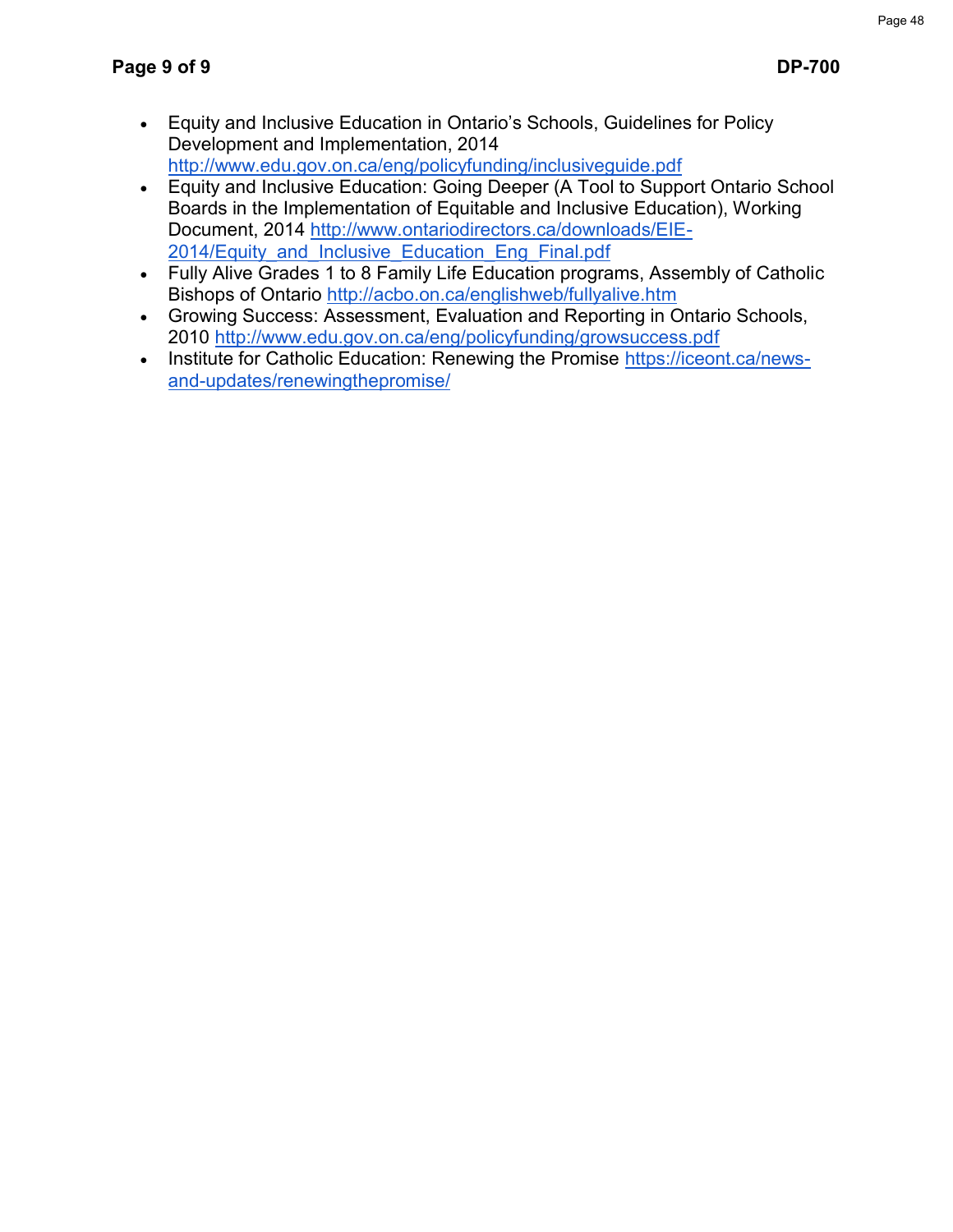- Equity and Inclusive Education in Ontario's Schools, Guidelines for Policy [Development and Implementation, 2014](http://www.catholiccurriculumcorp.org/Units/EquityandInclusion/CCCOECTAIntroEquity&Inclusion.pdf) [http://www.edu.gov.o](http://www.catholiccurriculumcorp.org/Units/EquityandInclusion/CCCOECTAIntroEquity&Inclusion.pdf)n.ca/eng/policyfunding/inclusiveguide.pdf
- Equity and Inclusive Education: Going Deeper (A Tool to Support Ontario School Boards in the Implementation of Equitable and Inclusive Education), Working Document, 2014 http://www.ontariodirectors.ca/downloads/EIE-2014/Equity and Inclusive Education Eng Final.pdf
- Fully Alive Grades 1 to 8 Family Life Education programs, Assembly of Catholic Bishops of Ontario http://acbo.on.ca/englishweb/fullyalive.htm
- Growing Success: Assessment, Evaluation and Reporting in Ontario Schools, 2010 [http://www.edu.gov.on.ca/eng/policyfunding/growsuccess.pdf](http://www.ontariodirectors.ca/downloads/EIE-2014/Equity_and_Inclusive_Education_Eng_Final.pdf)
- [Institute for Catholi](http://www.ontariodirectors.ca/downloads/EIE-2014/Equity_and_Inclusive_Education_Eng_Final.pdf)c Education: Renewing the Promise https://iceont.ca/newsand-updates/renewingthepromise/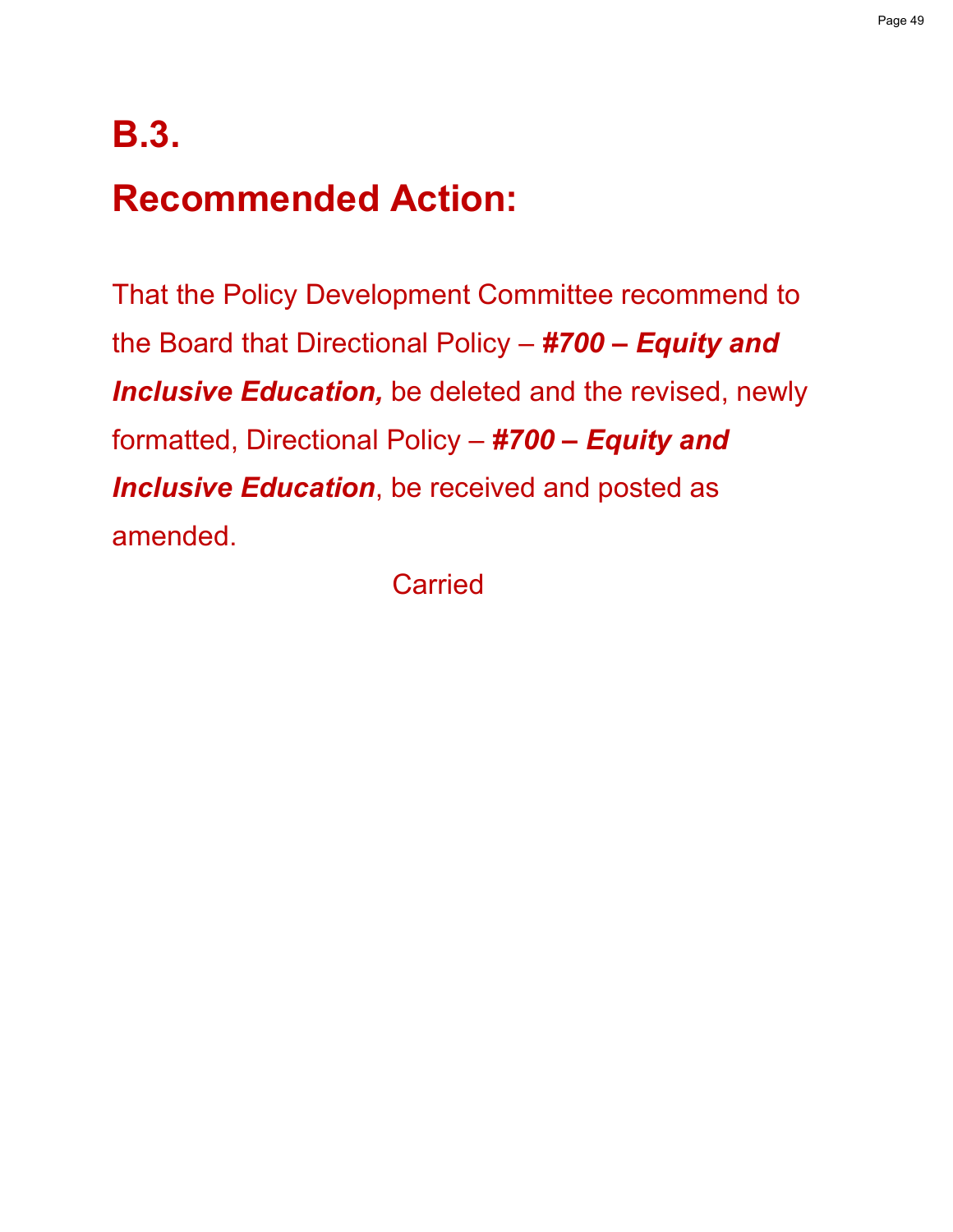# **B.3.**

# **Recommended Action:**

That the Policy Development Committee recommend to the Board that Directional Policy – *#700 – Equity and Inclusive Education,* be deleted and the revised, newly formatted, Directional Policy – *#700 – Equity and Inclusive Education*, be received and posted as amended.

**Carried**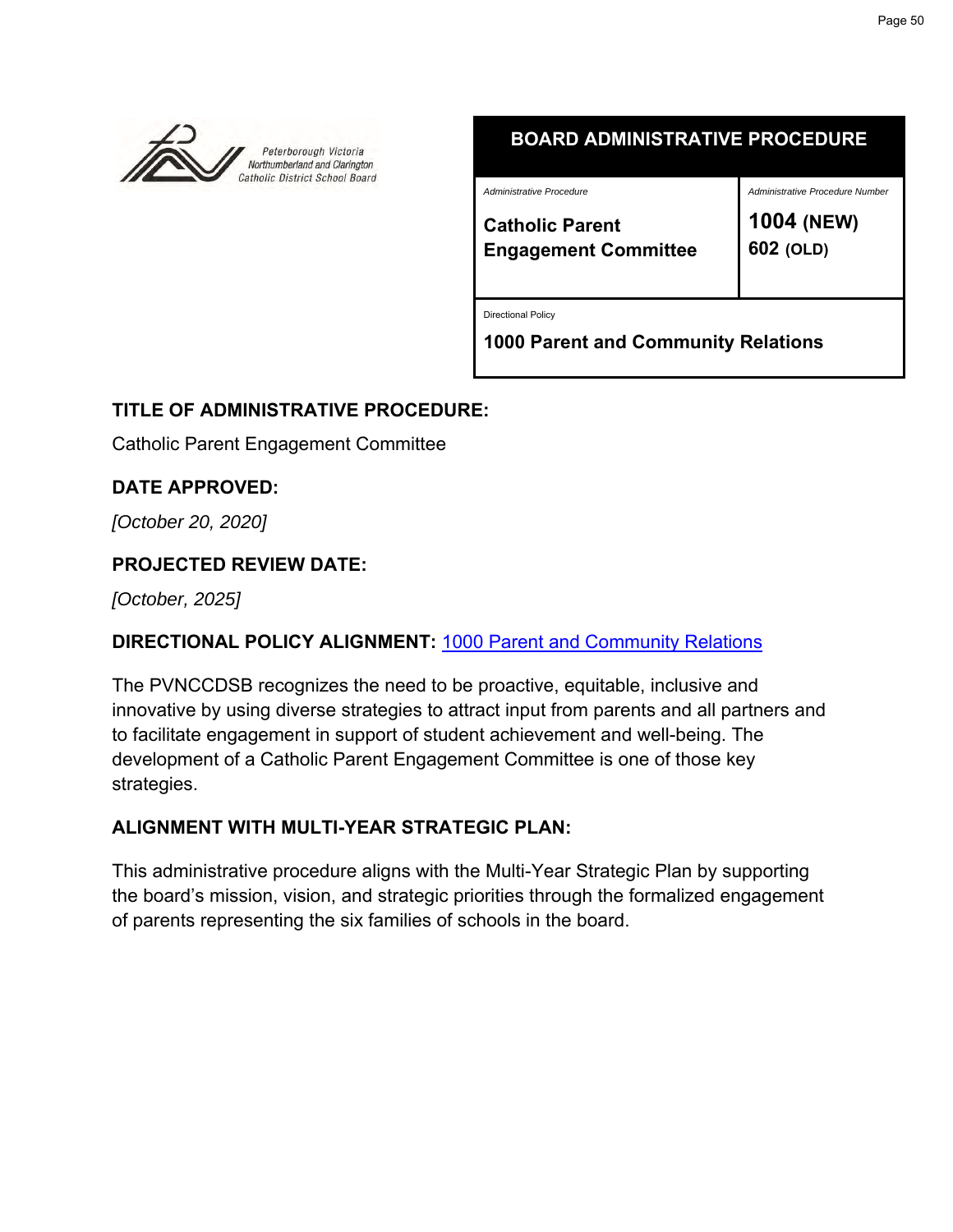

## **BOARD ADMINISTRATIVE PROCEDURE**

*Administrative Procedure*

*Administrative Procedure Number*

**Catholic Parent Engagement Committee**

**1004 (NEW) 602 (OLD)**

Directional Policy

**1000 Parent and Community Relations**

## **TITLE OF ADMINISTRATIVE PROCEDURE:**

Catholic Parent Engagement Committee

**DATE APPROVED:**

*[October 20, 2020]*

## **PROJECTED REVIEW DATE:**

*[October, 2025]*

## **DIRECTIONAL POLICY ALIGNMENT:** [1000 Parent and Community Relations](https://www.pvnccdsb.on.ca/wp-content/uploads/2018/07/1000-Parent-and-Community-Relations.pdf)

The PVNCCDSB recognizes the need to be proactive, equitable, inclusive and innovative by using diverse strategies to attract input from parents and all partners and to facilitate engagement in support of student achievement and well-being. The development of a Catholic Parent Engagement Committee is one of those key strategies.

## **ALIGNMENT WITH MULTI-YEAR STRATEGIC PLAN:**

This administrative procedure aligns with the Multi-Year Strategic Plan by supporting the board's mission, vision, and strategic priorities through the formalized engagement of parents representing the six families of schools in the board.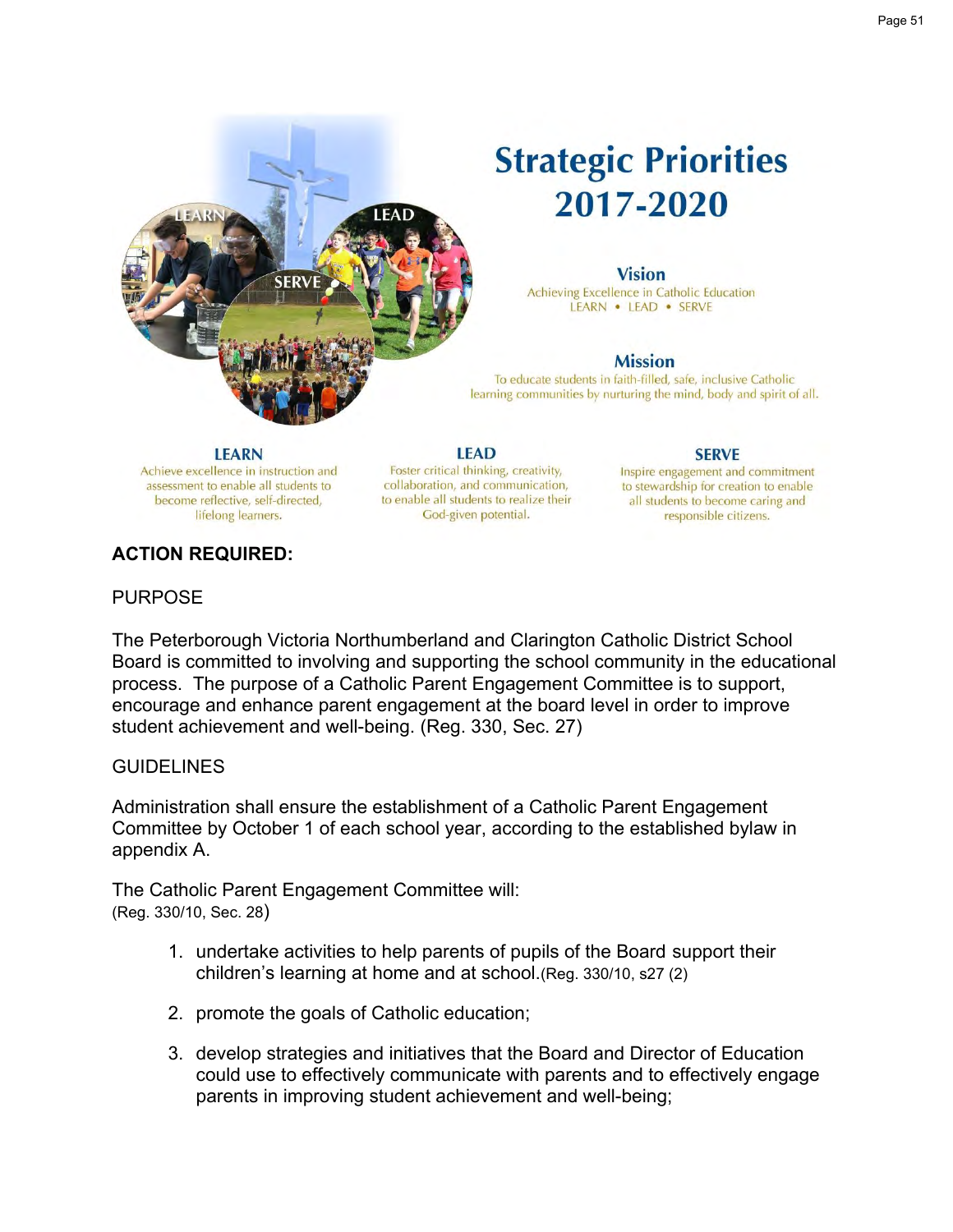

## **Strategic Priorities** 2017-2020

#### **Vision**

Achieving Excellence in Catholic Education LEARN . LEAD . SERVE

#### **Mission**

To educate students in faith-filled, safe, inclusive Catholic learning communities by nurturing the mind, body and spirit of all.

#### **LEARN**

Achieve excellence in instruction and assessment to enable all students to become reflective, self-directed, lifelong learners.

**LEAD** Foster critical thinking, creativity, collaboration, and communication, to enable all students to realize their God-given potential.

#### **SERVE**

Inspire engagement and commitment to stewardship for creation to enable all students to become caring and responsible citizens.

#### **ACTION REQUIRED:**

#### **PURPOSE**

The Peterborough Victoria Northumberland and Clarington Catholic District School Board is committed to involving and supporting the school community in the educational process. The purpose of a Catholic Parent Engagement Committee is to support, encourage and enhance parent engagement at the board level in order to improve student achievement and well-being. (Reg. 330, Sec. 27)

#### **GUIDELINES**

Administration shall ensure the establishment of a Catholic Parent Engagement Committee by October 1 of each school year, according to the established bylaw in appendix A.

The Catholic Parent Engagement Committee will: (Reg. 330/10, Sec. 28)

- 1. undertake activities to help parents of pupils of the Board support their children's learning at home and at school.(Reg. 330/10, s27 (2)
- 2. promote the goals of Catholic education;
- 3. develop strategies and initiatives that the Board and Director of Education could use to effectively communicate with parents and to effectively engage parents in improving student achievement and well-being;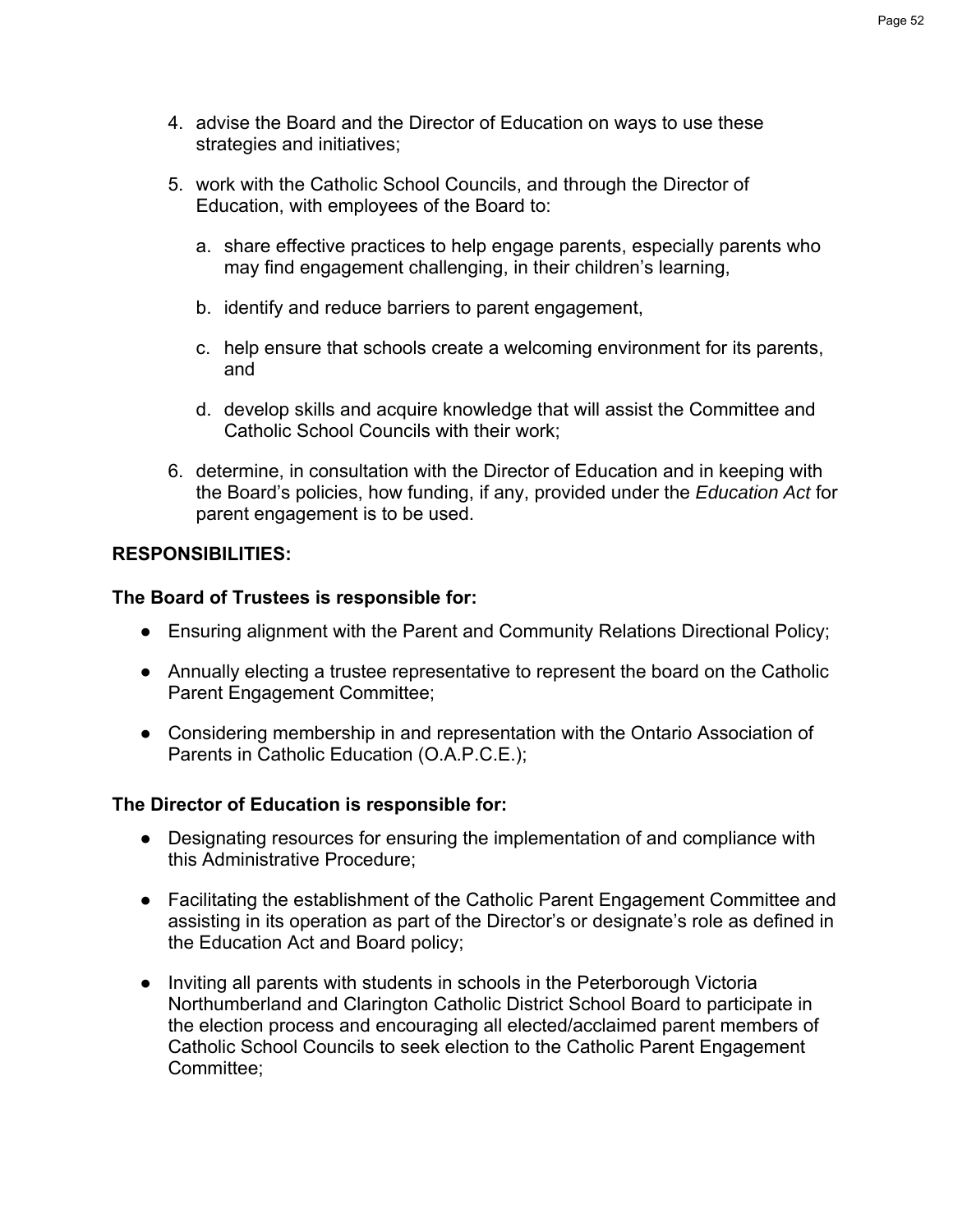- 4. advise the Board and the Director of Education on ways to use these strategies and initiatives;
- 5. work with the Catholic School Councils, and through the Director of Education, with employees of the Board to:
	- a. share effective practices to help engage parents, especially parents who may find engagement challenging, in their children's learning,
	- b. identify and reduce barriers to parent engagement,
	- c. help ensure that schools create a welcoming environment for its parents, and
	- d. develop skills and acquire knowledge that will assist the Committee and Catholic School Councils with their work;
- 6. determine, in consultation with the Director of Education and in keeping with the Board's policies, how funding, if any, provided under the *Education Act* for parent engagement is to be used.

## **RESPONSIBILITIES:**

## **The Board of Trustees is responsible for:**

- Ensuring alignment with the Parent and Community Relations Directional Policy;
- Annually electing a trustee representative to represent the board on the Catholic Parent Engagement Committee;
- Considering membership in and representation with the Ontario Association of Parents in Catholic Education (O.A.P.C.E.);

## **The Director of Education is responsible for:**

- Designating resources for ensuring the implementation of and compliance with this Administrative Procedure;
- Facilitating the establishment of the Catholic Parent Engagement Committee and assisting in its operation as part of the Director's or designate's role as defined in the Education Act and Board policy;
- Inviting all parents with students in schools in the Peterborough Victoria Northumberland and Clarington Catholic District School Board to participate in the election process and encouraging all elected/acclaimed parent members of Catholic School Councils to seek election to the Catholic Parent Engagement Committee;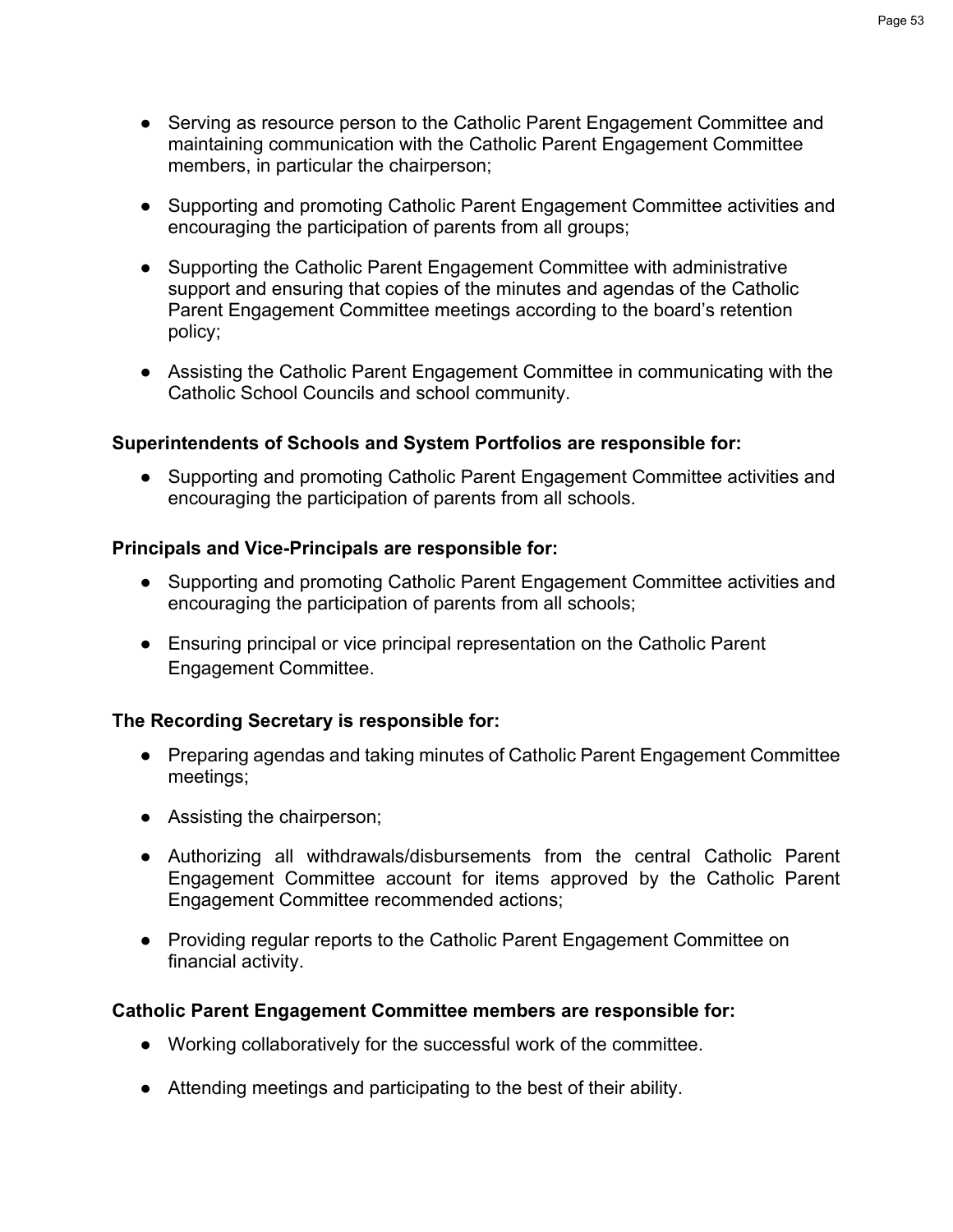- Serving as resource person to the Catholic Parent Engagement Committee and maintaining communication with the Catholic Parent Engagement Committee members, in particular the chairperson;
- Supporting and promoting Catholic Parent Engagement Committee activities and encouraging the participation of parents from all groups;
- Supporting the Catholic Parent Engagement Committee with administrative support and ensuring that copies of the minutes and agendas of the Catholic Parent Engagement Committee meetings according to the board's retention policy;
- Assisting the Catholic Parent Engagement Committee in communicating with the Catholic School Councils and school community.

## **Superintendents of Schools and System Portfolios are responsible for:**

● Supporting and promoting Catholic Parent Engagement Committee activities and encouraging the participation of parents from all schools.

## **Principals and Vice-Principals are responsible for:**

- Supporting and promoting Catholic Parent Engagement Committee activities and encouraging the participation of parents from all schools;
- Ensuring principal or vice principal representation on the Catholic Parent Engagement Committee.

## **The Recording Secretary is responsible for:**

- Preparing agendas and taking minutes of Catholic Parent Engagement Committee meetings;
- Assisting the chairperson;
- Authorizing all withdrawals/disbursements from the central Catholic Parent Engagement Committee account for items approved by the Catholic Parent Engagement Committee recommended actions;
- Providing regular reports to the Catholic Parent Engagement Committee on financial activity.

## **Catholic Parent Engagement Committee members are responsible for:**

- Working collaboratively for the successful work of the committee.
- Attending meetings and participating to the best of their ability.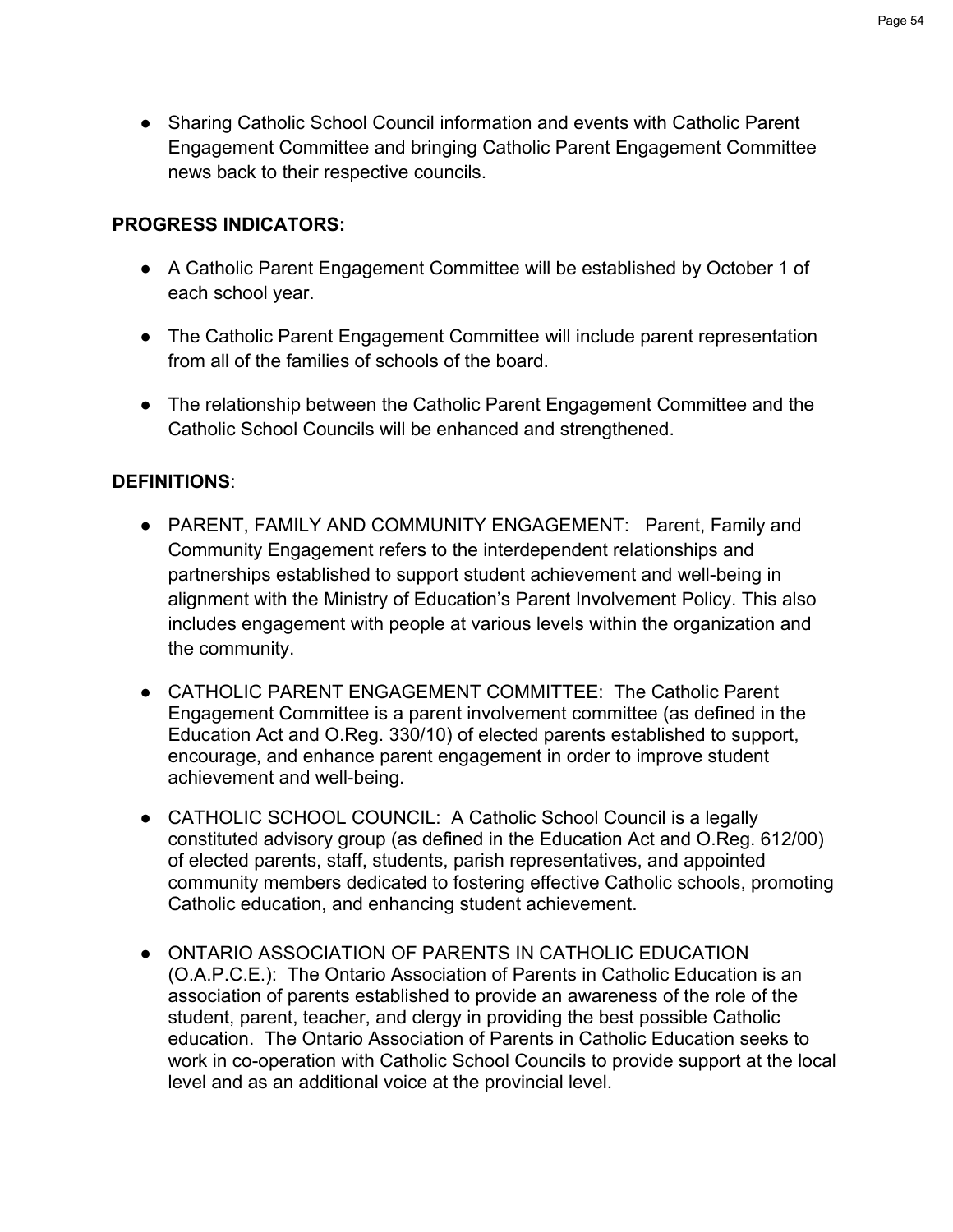● Sharing Catholic School Council information and events with Catholic Parent Engagement Committee and bringing Catholic Parent Engagement Committee news back to their respective councils.

## **PROGRESS INDICATORS:**

- A Catholic Parent Engagement Committee will be established by October 1 of each school year.
- The Catholic Parent Engagement Committee will include parent representation from all of the families of schools of the board.
- The relationship between the Catholic Parent Engagement Committee and the Catholic School Councils will be enhanced and strengthened.

## **DEFINITIONS**:

- PARENT, FAMILY AND COMMUNITY ENGAGEMENT: Parent, Family and Community Engagement refers to the interdependent relationships and partnerships established to support student achievement and well-being in alignment with the Ministry of Education's Parent Involvement Policy. This also includes engagement with people at various levels within the organization and the community.
- CATHOLIC PARENT ENGAGEMENT COMMITTEE: The Catholic Parent Engagement Committee is a parent involvement committee (as defined in the Education Act and O.Reg. 330/10) of elected parents established to support, encourage, and enhance parent engagement in order to improve student achievement and well-being.
- CATHOLIC SCHOOL COUNCIL: A Catholic School Council is a legally constituted advisory group (as defined in the Education Act and O.Reg. 612/00) of elected parents, staff, students, parish representatives, and appointed community members dedicated to fostering effective Catholic schools, promoting Catholic education, and enhancing student achievement.
- ONTARIO ASSOCIATION OF PARENTS IN CATHOLIC EDUCATION (O.A.P.C.E.): The Ontario Association of Parents in Catholic Education is an association of parents established to provide an awareness of the role of the student, parent, teacher, and clergy in providing the best possible Catholic education. The Ontario Association of Parents in Catholic Education seeks to work in co-operation with Catholic School Councils to provide support at the local level and as an additional voice at the provincial level.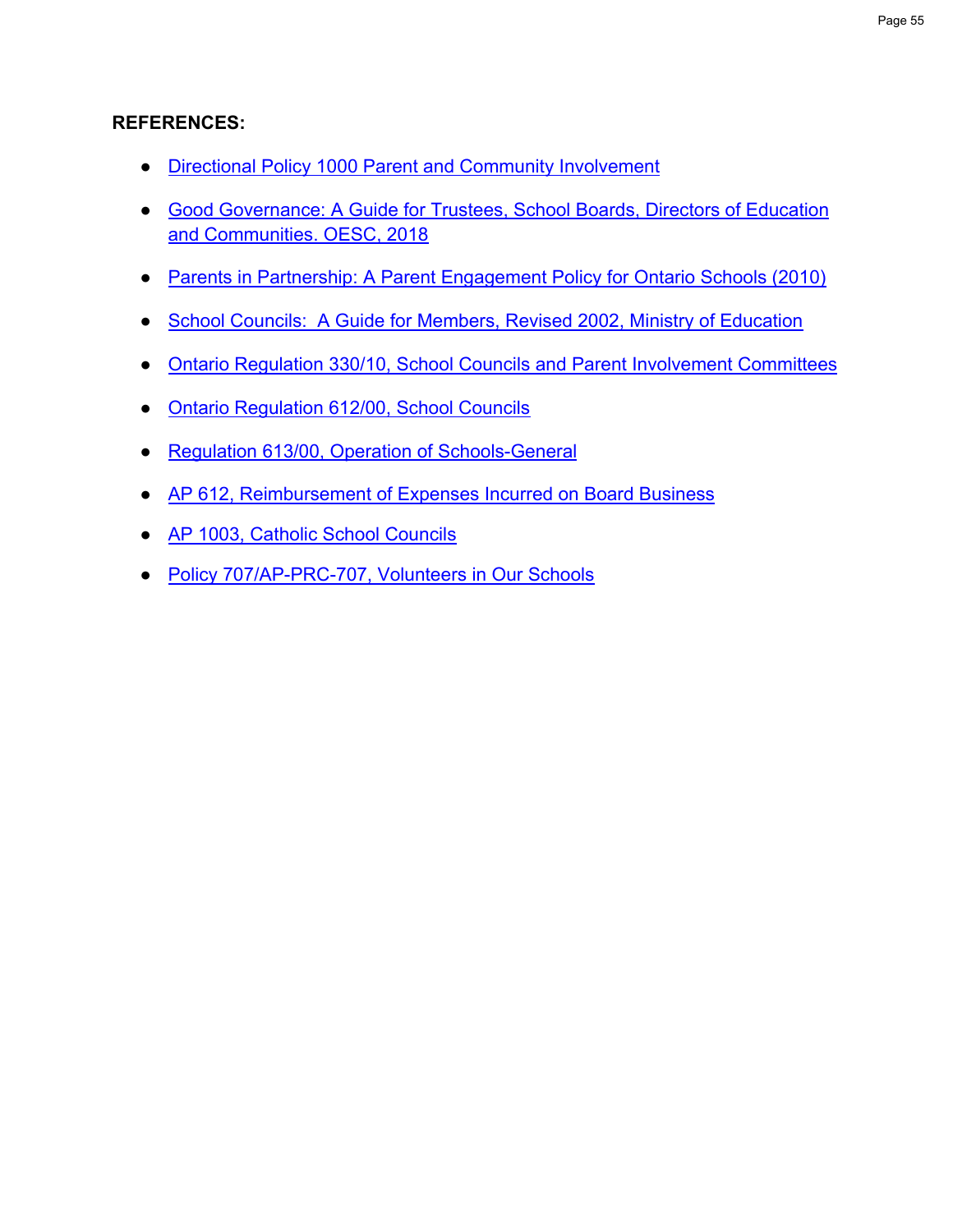## **REFERENCES:**

- [Directional Policy 1000 Parent and Community Involvement](https://www.pvnccdsb.on.ca/wp-content/uploads/2018/07/1000-Parent-and-Community-Relations.pdf)
- [Good Governance: A Guide for Trustees, School Boards, Directors of Education](https://www.ocsta.on.ca/ocsta/wp-content/uploads/2019/01/OESC-Good-Governance-Guide-Fizzz-Design-as-of-Nov-12.pdf)  [and Communities. OESC, 2018](https://www.ocsta.on.ca/ocsta/wp-content/uploads/2019/01/OESC-Good-Governance-Guide-Fizzz-Design-as-of-Nov-12.pdf)
- [Parents in Partnership: A Parent Engagement Policy for Ontario Schools \(2010\)](http://www.edu.gov.on.ca/eng/parents/involvement/pe_policy2010.pdf)
- [School Councils: A Guide for Members, Revised 2002, Ministry of Education](http://www.edu.gov.on.ca/eng/general/elemsec/council/guide.html)
- Ontario Regulation [330/10, School Councils and Parent Involvement Committees](https://www.ontario.ca/laws/regulation/r10330)
- [Ontario Regulation 612/00, School Councils](https://www.ontario.ca/laws/regulation/r00612)
- [Regulation 613/00, Operation of Schools-General](https://www.ontario.ca/laws/regulation/r00613)
- AP 612, Reimbursement of [Expenses Incurred on Board Business](https://www.pvnccdsb.on.ca/wp-content/uploads/2018/07/612-AP-Reimbursement-of-Expenditures-Incurred-on-Board-Business.pdf)
- [AP 1003, Catholic School Councils](https://www.pvnccdsb.on.ca/wp-content/uploads/2018/07/1003-AP-Catholic-School-Councils.pdf)
- [Policy 707/AP-PRC-707, Volunteers in Our Schools](https://www.pvnccdsb.on.ca/wp-content/uploads/2018/07/707-POL-Volunteers-in-Our-Schools.pdf)